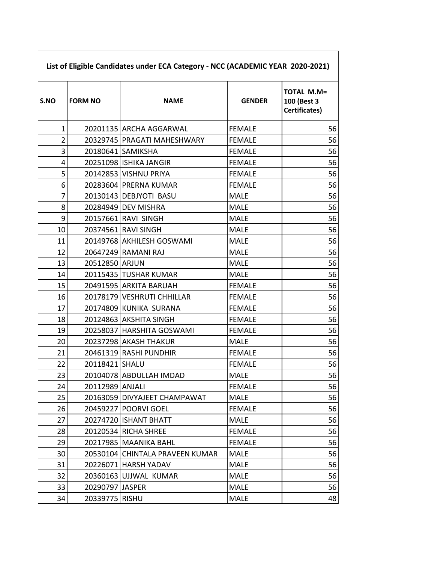| S.NO           | <b>FORM NO</b>  | <b>NAME</b>                     | <b>GENDER</b> | <b>TOTAL M.M=</b><br>100 (Best 3<br>Certificates) |
|----------------|-----------------|---------------------------------|---------------|---------------------------------------------------|
| $\mathbf{1}$   |                 | 20201135 ARCHA AGGARWAL         | <b>FEMALE</b> | 56                                                |
| $\overline{2}$ |                 | 20329745 PRAGATI MAHESHWARY     | <b>FEMALE</b> | 56                                                |
| 3              |                 | 20180641 SAMIKSHA               | <b>FEMALE</b> | 56                                                |
| 4              |                 | 20251098 ISHIKA JANGIR          | <b>FEMALE</b> | 56                                                |
| 5              |                 | 20142853 VISHNU PRIYA           | <b>FEMALE</b> | 56                                                |
| 6              |                 | 20283604 PRERNA KUMAR           | <b>FEMALE</b> | 56                                                |
| $\overline{7}$ |                 | 20130143 DEBJYOTI BASU          | <b>MALE</b>   | 56                                                |
| 8              |                 | 20284949 DEV MISHRA             | <b>MALE</b>   | 56                                                |
| 9              |                 | 20157661 RAVI SINGH             | <b>MALE</b>   | 56                                                |
| 10             |                 | 20374561 RAVI SINGH             | <b>MALE</b>   | 56                                                |
| 11             |                 | 20149768 AKHILESH GOSWAMI       | <b>MALE</b>   | 56                                                |
| 12             |                 | 20647249 RAMANI RAJ             | <b>MALE</b>   | 56                                                |
| 13             | 20512850 ARJUN  |                                 | <b>MALE</b>   | 56                                                |
| 14             |                 | 20115435 TUSHAR KUMAR           | <b>MALE</b>   | 56                                                |
| 15             |                 | 20491595 ARKITA BARUAH          | <b>FEMALE</b> | 56                                                |
| 16             |                 | 20178179 VESHRUTI CHHILLAR      | <b>FEMALE</b> | 56                                                |
| 17             |                 | 20174809 KUNIKA SURANA          | <b>FEMALE</b> | 56                                                |
| 18             |                 | 20124863 AKSHITA SINGH          | <b>FEMALE</b> | 56                                                |
| 19             |                 | 20258037 HARSHITA GOSWAMI       | <b>FEMALE</b> | 56                                                |
| 20             |                 | 20237298 AKASH THAKUR           | <b>MALE</b>   | 56                                                |
| 21             |                 | 20461319 RASHI PUNDHIR          | <b>FEMALE</b> | 56                                                |
| 22             | 20118421 SHALU  |                                 | <b>FEMALE</b> | 56                                                |
| 23             |                 | 20104078 ABDULLAH IMDAD         | <b>MALE</b>   | 56                                                |
| 24             | 20112989 ANJALI |                                 | <b>FEMALE</b> | 56                                                |
| 25             |                 | 20163059 DIVYAJEET CHAMPAWAT    | MALE          | 56                                                |
| 26             |                 | 20459227   POORVI GOEL          | <b>FEMALE</b> | 56                                                |
| 27             |                 | 20274720 ISHANT BHATT           | <b>MALE</b>   | 56                                                |
| 28             |                 | 20120534 RICHA SHREE            | <b>FEMALE</b> | 56                                                |
| 29             |                 | 20217985 MAANIKA BAHL           | <b>FEMALE</b> | 56                                                |
| 30             |                 | 20530104 CHINTALA PRAVEEN KUMAR | <b>MALE</b>   | 56                                                |
| 31             |                 | 20226071 HARSH YADAV            | <b>MALE</b>   | 56                                                |
| 32             |                 | 20360163 UJJWAL KUMAR           | <b>MALE</b>   | 56                                                |
| 33             | 20290797 JASPER |                                 | <b>MALE</b>   | 56                                                |
| 34             | 20339775 RISHU  |                                 | <b>MALE</b>   | 48                                                |

Г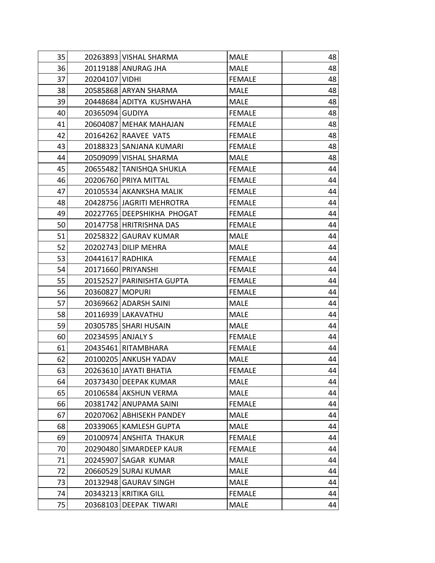| 35 |                   | 20263893 VISHAL SHARMA     | <b>MALE</b>   | 48 |
|----|-------------------|----------------------------|---------------|----|
| 36 |                   | 20119188 ANURAG JHA        | <b>MALE</b>   | 48 |
| 37 | 20204107 VIDHI    |                            | <b>FEMALE</b> | 48 |
| 38 |                   | 20585868 ARYAN SHARMA      | <b>MALE</b>   | 48 |
| 39 |                   | 20448684 ADITYA KUSHWAHA   | MALE          | 48 |
| 40 | 20365094 GUDIYA   |                            | <b>FEMALE</b> | 48 |
| 41 |                   | 20604087 MEHAK MAHAJAN     | <b>FEMALE</b> | 48 |
| 42 |                   | 20164262 RAAVEE VATS       | <b>FEMALE</b> | 48 |
| 43 |                   | 20188323 SANJANA KUMARI    | <b>FEMALE</b> | 48 |
| 44 |                   | 20509099 VISHAL SHARMA     | <b>MALE</b>   | 48 |
| 45 |                   | 20655482 TANISHQA SHUKLA   | <b>FEMALE</b> | 44 |
| 46 |                   | 20206760 PRIYA MITTAL      | <b>FEMALE</b> | 44 |
| 47 |                   | 20105534 AKANKSHA MALIK    | <b>FEMALE</b> | 44 |
| 48 |                   | 20428756 JAGRITI MEHROTRA  | <b>FEMALE</b> | 44 |
| 49 |                   | 20227765 DEEPSHIKHA PHOGAT | <b>FEMALE</b> | 44 |
| 50 |                   | 20147758 HRITRISHNA DAS    | <b>FEMALE</b> | 44 |
| 51 |                   | 20258322 GAURAV KUMAR      | <b>MALE</b>   | 44 |
| 52 |                   | 20202743 DILIP MEHRA       | <b>MALE</b>   | 44 |
| 53 | 20441617 RADHIKA  |                            | <b>FEMALE</b> | 44 |
| 54 |                   | 20171660 PRIYANSHI         | <b>FEMALE</b> | 44 |
| 55 |                   | 20152527 PARINISHTA GUPTA  | <b>FEMALE</b> | 44 |
| 56 | 20360827 MOPURI   |                            | <b>FEMALE</b> | 44 |
| 57 |                   | 20369662 ADARSH SAINI      | MALE          | 44 |
| 58 |                   | 20116939 LAKAVATHU         | <b>MALE</b>   | 44 |
| 59 |                   | 20305785 SHARI HUSAIN      | <b>MALE</b>   | 44 |
| 60 | 20234595 ANJALY S |                            | <b>FEMALE</b> | 44 |
| 61 |                   | 20435461 RITAMBHARA        | <b>FEMALE</b> | 44 |
| 62 |                   | 20100205 ANKUSH YADAV      | <b>MALE</b>   | 44 |
| 63 |                   | 20263610 JAYATI BHATIA     | <b>FEMALE</b> | 44 |
| 64 |                   | 20373430 DEEPAK KUMAR      | <b>MALE</b>   | 44 |
| 65 |                   | 20106584 AKSHUN VERMA      | <b>MALE</b>   | 44 |
| 66 |                   | 20381742 ANUPAMA SAINI     | <b>FEMALE</b> | 44 |
| 67 |                   | 20207062 ABHISEKH PANDEY   | <b>MALE</b>   | 44 |
| 68 |                   | 20339065 KAMLESH GUPTA     | <b>MALE</b>   | 44 |
| 69 |                   | 20100974 ANSHITA THAKUR    | <b>FEMALE</b> | 44 |
| 70 |                   | 20290480 SIMARDEEP KAUR    | <b>FEMALE</b> | 44 |
| 71 |                   | 20245907 SAGAR KUMAR       | <b>MALE</b>   | 44 |
| 72 |                   | 20660529 SURAJ KUMAR       | <b>MALE</b>   | 44 |
| 73 |                   | 20132948 GAURAV SINGH      | <b>MALE</b>   | 44 |
| 74 |                   | 20343213 KRITIKA GILL      | <b>FEMALE</b> | 44 |
| 75 |                   | 20368103 DEEPAK TIWARI     | <b>MALE</b>   | 44 |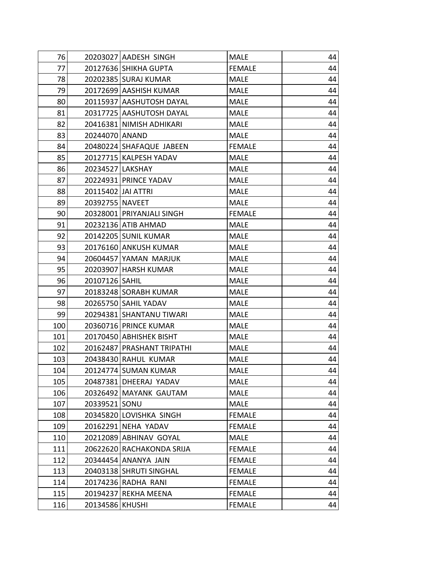| 76  |                    | 20203027 AADESH SINGH      | <b>MALE</b>   | 44 |
|-----|--------------------|----------------------------|---------------|----|
| 77  |                    | 20127636 SHIKHA GUPTA      | <b>FEMALE</b> | 44 |
| 78  |                    | 20202385 SURAJ KUMAR       | <b>MALE</b>   | 44 |
| 79  |                    | 20172699 AASHISH KUMAR     | <b>MALE</b>   | 44 |
| 80  |                    | 20115937 AASHUTOSH DAYAL   | <b>MALE</b>   | 44 |
| 81  |                    | 20317725 AASHUTOSH DAYAL   | <b>MALE</b>   | 44 |
| 82  |                    | 20416381 NIMISH ADHIKARI   | <b>MALE</b>   | 44 |
| 83  | 20244070 ANAND     |                            | <b>MALE</b>   | 44 |
| 84  |                    | 20480224 SHAFAQUE JABEEN   | <b>FEMALE</b> | 44 |
| 85  |                    | 20127715 KALPESH YADAV     | <b>MALE</b>   | 44 |
| 86  | 20234527 LAKSHAY   |                            | <b>MALE</b>   | 44 |
| 87  |                    | 20224931 PRINCE YADAV      | <b>MALE</b>   | 44 |
| 88  | 20115402 JAI ATTRI |                            | <b>MALE</b>   | 44 |
| 89  | 20392755 NAVEET    |                            | <b>MALE</b>   | 44 |
| 90  |                    | 20328001 PRIYANJALI SINGH  | <b>FEMALE</b> | 44 |
| 91  |                    | 20232136 ATIB AHMAD        | <b>MALE</b>   | 44 |
| 92  |                    | 20142205 SUNIL KUMAR       | MALE          | 44 |
| 93  |                    | 20176160 ANKUSH KUMAR      | <b>MALE</b>   | 44 |
| 94  |                    | 20604457 YAMAN MARJUK      | <b>MALE</b>   | 44 |
| 95  |                    | 20203907   HARSH KUMAR     | <b>MALE</b>   | 44 |
| 96  | 20107126   SAHIL   |                            | <b>MALE</b>   | 44 |
| 97  |                    | 20183248 SORABH KUMAR      | <b>MALE</b>   | 44 |
| 98  |                    | 20265750 SAHIL YADAV       | <b>MALE</b>   | 44 |
| 99  |                    | 20294381 SHANTANU TIWARI   | <b>MALE</b>   | 44 |
| 100 |                    | 20360716 PRINCE KUMAR      | MALE          | 44 |
| 101 |                    | 20170450 ABHISHEK BISHT    | <b>MALE</b>   | 44 |
| 102 |                    | 20162487 PRASHANT TRIPATHI | <b>MALE</b>   | 44 |
| 103 |                    | 20438430 RAHUL KUMAR       | <b>MALE</b>   | 44 |
| 104 |                    | 20124774 SUMAN KUMAR       | <b>MALE</b>   | 44 |
| 105 |                    | 20487381 DHEERAJ YADAV     | <b>MALE</b>   | 44 |
| 106 |                    | 20326492 MAYANK GAUTAM     | <b>MALE</b>   | 44 |
| 107 | 20339521 SONU      |                            | <b>MALE</b>   | 44 |
| 108 |                    | 20345820 LOVISHKA SINGH    | <b>FEMALE</b> | 44 |
| 109 |                    | 20162291 NEHA YADAV        | <b>FEMALE</b> | 44 |
| 110 |                    | 20212089 ABHINAV GOYAL     | <b>MALE</b>   | 44 |
| 111 |                    | 20622620 RACHAKONDA SRIJA  | <b>FEMALE</b> | 44 |
| 112 |                    | 20344454 ANANYA JAIN       | <b>FEMALE</b> | 44 |
| 113 |                    | 20403138 SHRUTI SINGHAL    | <b>FEMALE</b> | 44 |
| 114 |                    | 20174236 RADHA RANI        | <b>FEMALE</b> | 44 |
| 115 |                    | 20194237 REKHA MEENA       | <b>FEMALE</b> | 44 |
| 116 | 20134586 KHUSHI    |                            | <b>FEMALE</b> | 44 |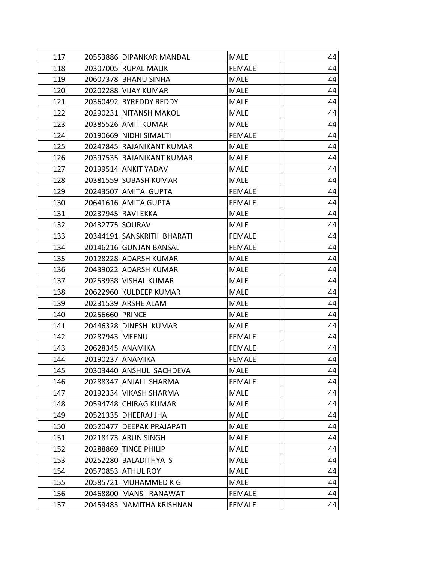| 117 | 20553886 DIPANKAR MANDAL    | <b>MALE</b>   | 44 |
|-----|-----------------------------|---------------|----|
| 118 | 20307005 RUPAL MALIK        | <b>FEMALE</b> | 44 |
| 119 | 20607378 BHANU SINHA        | <b>MALE</b>   | 44 |
| 120 | 20202288 VIJAY KUMAR        | <b>MALE</b>   | 44 |
| 121 | 20360492 BYREDDY REDDY      | <b>MALE</b>   | 44 |
| 122 | 20290231 NITANSH MAKOL      | <b>MALE</b>   | 44 |
| 123 | 20385526 AMIT KUMAR         | <b>MALE</b>   | 44 |
| 124 | 20190669 NIDHI SIMALTI      | <b>FEMALE</b> | 44 |
| 125 | 20247845 RAJANIKANT KUMAR   | <b>MALE</b>   | 44 |
| 126 | 20397535 RAJANIKANT KUMAR   | <b>MALE</b>   | 44 |
| 127 | 20199514 ANKIT YADAV        | <b>MALE</b>   | 44 |
| 128 | 20381559 SUBASH KUMAR       | <b>MALE</b>   | 44 |
| 129 | 20243507 AMITA GUPTA        | <b>FEMALE</b> | 44 |
| 130 | 20641616 AMITA GUPTA        | <b>FEMALE</b> | 44 |
| 131 | 20237945 RAVI EKKA          | <b>MALE</b>   | 44 |
| 132 | 20432775   SOURAV           | <b>MALE</b>   | 44 |
| 133 | 20344191 SANSKRITII BHARATI | <b>FEMALE</b> | 44 |
| 134 | 20146216 GUNJAN BANSAL      | <b>FEMALE</b> | 44 |
| 135 | 20128228 ADARSH KUMAR       | <b>MALE</b>   | 44 |
| 136 | 20439022 ADARSH KUMAR       | <b>MALE</b>   | 44 |
| 137 | 20253938 VISHAL KUMAR       | <b>MALE</b>   | 44 |
| 138 | 20622960 KULDEEP KUMAR      | <b>MALE</b>   | 44 |
| 139 | 20231539 ARSHE ALAM         | <b>MALE</b>   | 44 |
| 140 | 20256660 PRINCE             | <b>MALE</b>   | 44 |
| 141 | 20446328 DINESH KUMAR       | <b>MALE</b>   | 44 |
| 142 | 20287943 MEENU              | <b>FEMALE</b> | 44 |
| 143 | 20628345 ANAMIKA            | <b>FEMALE</b> | 44 |
| 144 | 20190237 ANAMIKA            | <b>FEMALE</b> | 44 |
| 145 | 20303440 ANSHUL SACHDEVA    | <b>MALE</b>   | 44 |
| 146 | 20288347 ANJALI SHARMA      | <b>FEMALE</b> | 44 |
| 147 | 20192334 VIKASH SHARMA      | <b>MALE</b>   | 44 |
| 148 | 20594748 CHIRAG KUMAR       | <b>MALE</b>   | 44 |
| 149 | 20521335 DHEERAJ JHA        | <b>MALE</b>   | 44 |
| 150 | 20520477 DEEPAK PRAJAPATI   | <b>MALE</b>   | 44 |
| 151 | 20218173 ARUN SINGH         | <b>MALE</b>   | 44 |
| 152 | 20288869 TINCE PHILIP       | <b>MALE</b>   | 44 |
| 153 | 20252280 BALADITHYA S       | <b>MALE</b>   | 44 |
| 154 | 20570853 ATHUL ROY          | <b>MALE</b>   | 44 |
| 155 | 20585721<br>MUHAMMED K G    | <b>MALE</b>   | 44 |
| 156 | 20468800 MANSI RANAWAT      | <b>FEMALE</b> | 44 |
| 157 | 20459483 NAMITHA KRISHNAN   | <b>FEMALE</b> | 44 |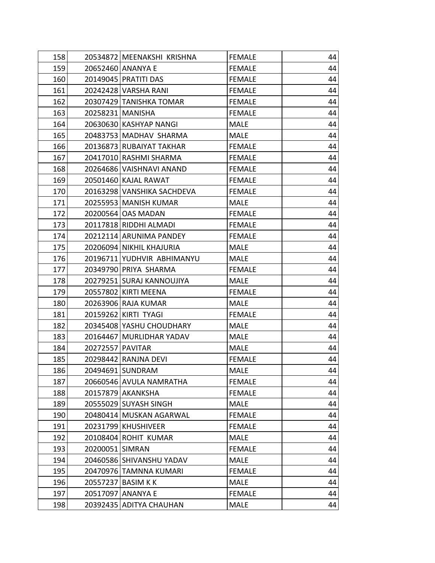| 158 |                  | 20534872 MEENAKSHI KRISHNA | <b>FEMALE</b> | 44 |
|-----|------------------|----------------------------|---------------|----|
| 159 |                  | 20652460 ANANYA E          | <b>FEMALE</b> | 44 |
| 160 |                  | 20149045 PRATITI DAS       | <b>FEMALE</b> | 44 |
| 161 |                  | 20242428 VARSHA RANI       | <b>FEMALE</b> | 44 |
| 162 |                  | 20307429 TANISHKA TOMAR    | <b>FEMALE</b> | 44 |
| 163 |                  | 20258231 MANISHA           | <b>FEMALE</b> | 44 |
| 164 |                  | 20630630 KASHYAP NANGI     | MALE          | 44 |
| 165 |                  | 20483753 MADHAV SHARMA     | <b>MALE</b>   | 44 |
| 166 |                  | 20136873 RUBAIYAT TAKHAR   | <b>FEMALE</b> | 44 |
| 167 |                  | 20417010 RASHMI SHARMA     | <b>FEMALE</b> | 44 |
| 168 |                  | 20264686 VAISHNAVI ANAND   | <b>FEMALE</b> | 44 |
| 169 |                  | 20501460 KAJAL RAWAT       | <b>FEMALE</b> | 44 |
| 170 |                  | 20163298 VANSHIKA SACHDEVA | <b>FEMALE</b> | 44 |
| 171 |                  | 20255953 MANISH KUMAR      | <b>MALE</b>   | 44 |
| 172 |                  | 20200564   OAS MADAN       | <b>FEMALE</b> | 44 |
| 173 |                  | 20117818 RIDDHI ALMADI     | <b>FEMALE</b> | 44 |
| 174 |                  | 20212114 ARUNIMA PANDEY    | <b>FEMALE</b> | 44 |
| 175 |                  | 20206094 NIKHIL KHAJURIA   | <b>MALE</b>   | 44 |
| 176 |                  | 20196711 YUDHVIR ABHIMANYU | <b>MALE</b>   | 44 |
| 177 |                  | 20349790 PRIYA SHARMA      | <b>FEMALE</b> | 44 |
| 178 |                  | 20279251 SURAJ KANNOUJIYA  | <b>MALE</b>   | 44 |
| 179 |                  | 20557802 KIRTI MEENA       | <b>FEMALE</b> | 44 |
| 180 |                  | 20263906 RAJA KUMAR        | MALE          | 44 |
| 181 |                  | 20159262 KIRTI TYAGI       | <b>FEMALE</b> | 44 |
| 182 |                  | 20345408 YASHU CHOUDHARY   | <b>MALE</b>   | 44 |
| 183 |                  | 20164467 MURLIDHAR YADAV   | <b>MALE</b>   | 44 |
| 184 | 20272557 PAVITAR |                            | <b>MALE</b>   | 44 |
| 185 |                  | 20298442 RANJNA DEVI       | <b>FEMALE</b> | 44 |
| 186 |                  | 20494691 SUNDRAM           | MALE          | 44 |
| 187 |                  | 20660546 AVULA NAMRATHA    | <b>FEMALE</b> | 44 |
| 188 |                  | 20157879 AKANKSHA          | <b>FEMALE</b> | 44 |
| 189 |                  | 20555029 SUYASH SINGH      | <b>MALE</b>   | 44 |
| 190 |                  | 20480414 MUSKAN AGARWAL    | <b>FEMALE</b> | 44 |
| 191 |                  | 20231799 KHUSHIVEER        | <b>FEMALE</b> | 44 |
| 192 |                  | 20108404 ROHIT KUMAR       | <b>MALE</b>   | 44 |
| 193 | 20200051 SIMRAN  |                            | <b>FEMALE</b> | 44 |
| 194 |                  | 20460586 SHIVANSHU YADAV   | <b>MALE</b>   | 44 |
| 195 |                  | 20470976 TAMNNA KUMARI     | <b>FEMALE</b> | 44 |
| 196 |                  | 20557237 BASIM K K         | <b>MALE</b>   | 44 |
| 197 |                  | 20517097 ANANYA E          | <b>FEMALE</b> | 44 |
| 198 |                  | 20392435 ADITYA CHAUHAN    | <b>MALE</b>   | 44 |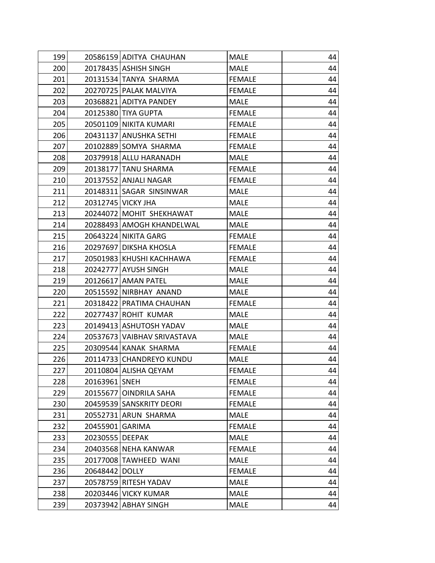| 199 |                 | 20586159 ADITYA CHAUHAN     | <b>MALE</b>   | 44 |
|-----|-----------------|-----------------------------|---------------|----|
| 200 |                 | 20178435 ASHISH SINGH       | <b>MALE</b>   | 44 |
| 201 |                 | 20131534 TANYA SHARMA       | <b>FEMALE</b> | 44 |
| 202 |                 | 20270725 PALAK MALVIYA      | <b>FEMALE</b> | 44 |
| 203 |                 | 20368821 ADITYA PANDEY      | <b>MALE</b>   | 44 |
| 204 |                 | 20125380 TIYA GUPTA         | <b>FEMALE</b> | 44 |
| 205 |                 | 20501109 NIKITA KUMARI      | <b>FEMALE</b> | 44 |
| 206 |                 | 20431137 ANUSHKA SETHI      | <b>FEMALE</b> | 44 |
| 207 |                 | 20102889 SOMYA SHARMA       | <b>FEMALE</b> | 44 |
| 208 |                 | 20379918 ALLU HARANADH      | MALE          | 44 |
| 209 |                 | 20138177 TANU SHARMA        | <b>FEMALE</b> | 44 |
| 210 |                 | 20137552 ANJALI NAGAR       | <b>FEMALE</b> | 44 |
| 211 |                 | 20148311 SAGAR SINSINWAR    | <b>MALE</b>   | 44 |
| 212 |                 | 20312745 VICKY JHA          | <b>MALE</b>   | 44 |
| 213 |                 | 20244072 MOHIT SHEKHAWAT    | <b>MALE</b>   | 44 |
| 214 |                 | 20288493 AMOGH KHANDELWAL   | <b>MALE</b>   | 44 |
| 215 |                 | 20643224 NIKITA GARG        | <b>FEMALE</b> | 44 |
| 216 |                 | 20297697 DIKSHA KHOSLA      | <b>FEMALE</b> | 44 |
| 217 |                 | 20501983 KHUSHI KACHHAWA    | <b>FEMALE</b> | 44 |
| 218 |                 | 20242777 AYUSH SINGH        | <b>MALE</b>   | 44 |
| 219 |                 | 20126617 AMAN PATEL         | <b>MALE</b>   | 44 |
| 220 |                 | 20515592 NIRBHAY ANAND      | <b>MALE</b>   | 44 |
| 221 |                 | 20318422 PRATIMA CHAUHAN    | <b>FEMALE</b> | 44 |
| 222 |                 | 20277437 ROHIT KUMAR        | <b>MALE</b>   | 44 |
| 223 |                 | 20149413 ASHUTOSH YADAV     | <b>MALE</b>   | 44 |
| 224 |                 | 20537673 VAIBHAV SRIVASTAVA | <b>MALE</b>   | 44 |
| 225 |                 | 20309544 KANAK SHARMA       | <b>FEMALE</b> | 44 |
| 226 |                 | 20114733 CHANDREYO KUNDU    | <b>MALE</b>   | 44 |
| 227 |                 | 20110804 ALISHA QEYAM       | <b>FEMALE</b> | 44 |
| 228 | 20163961 SNEH   |                             | <b>FEMALE</b> | 44 |
| 229 |                 | 20155677 OINDRILA SAHA      | <b>FEMALE</b> | 44 |
| 230 |                 | 20459539 SANSKRITY DEORI    | <b>FEMALE</b> | 44 |
| 231 |                 | 20552731 ARUN SHARMA        | <b>MALE</b>   | 44 |
| 232 | 20455901 GARIMA |                             | <b>FEMALE</b> | 44 |
| 233 | 20230555 DEEPAK |                             | <b>MALE</b>   | 44 |
| 234 |                 | 20403568 NEHA KANWAR        | <b>FEMALE</b> | 44 |
| 235 |                 | 20177008 TAWHEED WANI       | <b>MALE</b>   | 44 |
| 236 | 20648442 DOLLY  |                             | <b>FEMALE</b> | 44 |
| 237 |                 | 20578759 RITESH YADAV       | <b>MALE</b>   | 44 |
| 238 |                 | 20203446 VICKY KUMAR        | <b>MALE</b>   | 44 |
| 239 |                 | 20373942 ABHAY SINGH        | <b>MALE</b>   | 44 |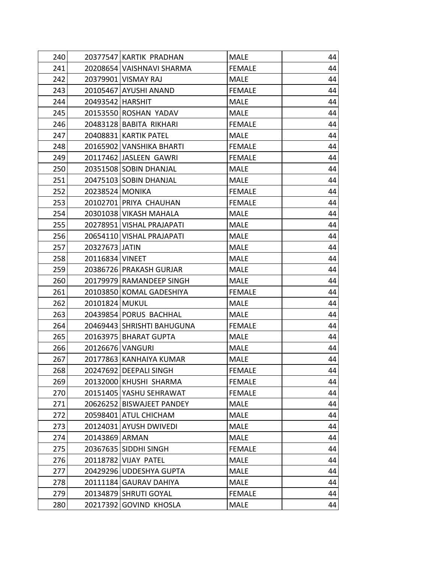| 240 |                  | 20377547 KARTIK PRADHAN    | MALE          | 44 |
|-----|------------------|----------------------------|---------------|----|
| 241 |                  | 20208654 VAISHNAVI SHARMA  | <b>FEMALE</b> | 44 |
| 242 |                  | 20379901 VISMAY RAJ        | <b>MALE</b>   | 44 |
| 243 |                  | 20105467 AYUSHI ANAND      | <b>FEMALE</b> | 44 |
| 244 | 20493542 HARSHIT |                            | <b>MALE</b>   | 44 |
| 245 |                  | 20153550 ROSHAN YADAV      | <b>MALE</b>   | 44 |
| 246 |                  | 20483128 BABITA RIKHARI    | <b>FEMALE</b> | 44 |
| 247 |                  | 20408831 KARTIK PATEL      | <b>MALE</b>   | 44 |
| 248 |                  | 20165902 VANSHIKA BHARTI   | <b>FEMALE</b> | 44 |
| 249 |                  | 20117462 JASLEEN GAWRI     | <b>FEMALE</b> | 44 |
| 250 |                  | 20351508 SOBIN DHANJAL     | <b>MALE</b>   | 44 |
| 251 |                  | 20475103 SOBIN DHANJAL     | <b>MALE</b>   | 44 |
| 252 | 20238524 MONIKA  |                            | <b>FEMALE</b> | 44 |
| 253 |                  | 20102701 PRIYA CHAUHAN     | <b>FEMALE</b> | 44 |
| 254 |                  | 20301038 VIKASH MAHALA     | <b>MALE</b>   | 44 |
| 255 |                  | 20278951 VISHAL PRAJAPATI  | <b>MALE</b>   | 44 |
| 256 |                  | 20654110 VISHAL PRAJAPATI  | <b>MALE</b>   | 44 |
| 257 | 20327673 JATIN   |                            | <b>MALE</b>   | 44 |
| 258 | 20116834 VINEET  |                            | <b>MALE</b>   | 44 |
| 259 |                  | 20386726 PRAKASH GURJAR    | <b>MALE</b>   | 44 |
| 260 |                  | 20179979 RAMANDEEP SINGH   | <b>MALE</b>   | 44 |
| 261 |                  | 20103850 KOMAL GADESHIYA   | <b>FEMALE</b> | 44 |
| 262 | 20101824 MUKUL   |                            | <b>MALE</b>   | 44 |
| 263 |                  | 20439854 PORUS BACHHAL     | <b>MALE</b>   | 44 |
| 264 |                  | 20469443 SHRISHTI BAHUGUNA | <b>FEMALE</b> | 44 |
| 265 |                  | 20163975 BHARAT GUPTA      | <b>MALE</b>   | 44 |
| 266 | 20126676 VANGURI |                            | <b>MALE</b>   | 44 |
| 267 |                  | 20177863 KANHAIYA KUMAR    | <b>MALE</b>   | 44 |
| 268 |                  | 20247692 DEEPALI SINGH     | <b>FEMALE</b> | 44 |
| 269 |                  | 20132000 KHUSHI SHARMA     | <b>FEMALE</b> | 44 |
| 270 |                  | 20151405 YASHU SEHRAWAT    | <b>FEMALE</b> | 44 |
| 271 |                  | 20626252 BISWAJEET PANDEY  | <b>MALE</b>   | 44 |
| 272 |                  | 20598401 ATUL CHICHAM      | <b>MALE</b>   | 44 |
| 273 |                  | 20124031 AYUSH DWIVEDI     | <b>MALE</b>   | 44 |
| 274 | 20143869 ARMAN   |                            | <b>MALE</b>   | 44 |
| 275 |                  | 20367635 SIDDHI SINGH      | <b>FEMALE</b> | 44 |
| 276 |                  | 20118782 VIJAY PATEL       | <b>MALE</b>   | 44 |
| 277 |                  | 20429296 UDDESHYA GUPTA    | <b>MALE</b>   | 44 |
| 278 |                  | 20111184 GAURAV DAHIYA     | <b>MALE</b>   | 44 |
| 279 |                  | 20134879 SHRUTI GOYAL      | <b>FEMALE</b> | 44 |
| 280 | 20217392         | <b>GOVIND KHOSLA</b>       | <b>MALE</b>   | 44 |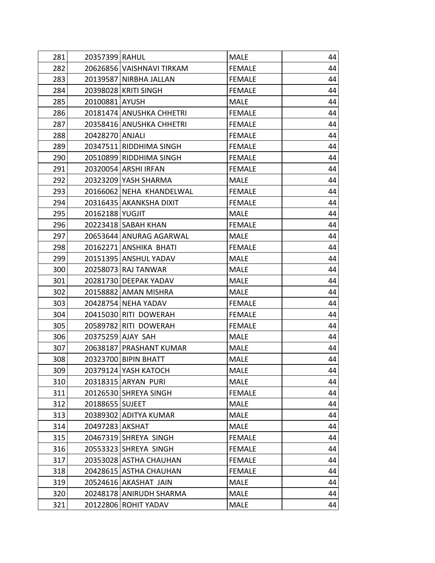| 281 | 20357399 RAHUL  |                           | MALE          | 44 |
|-----|-----------------|---------------------------|---------------|----|
| 282 |                 | 20626856 VAISHNAVI TIRKAM | <b>FEMALE</b> | 44 |
| 283 |                 | 20139587 NIRBHA JALLAN    | <b>FEMALE</b> | 44 |
| 284 |                 | 20398028 KRITI SINGH      | <b>FEMALE</b> | 44 |
| 285 | 20100881 AYUSH  |                           | <b>MALE</b>   | 44 |
| 286 |                 | 20181474 ANUSHKA CHHETRI  | <b>FEMALE</b> | 44 |
| 287 |                 | 20358416 ANUSHKA CHHETRI  | <b>FEMALE</b> | 44 |
| 288 | 20428270 ANJALI |                           | <b>FEMALE</b> | 44 |
| 289 |                 | 20347511 RIDDHIMA SINGH   | <b>FEMALE</b> | 44 |
| 290 |                 | 20510899 RIDDHIMA SINGH   | <b>FEMALE</b> | 44 |
| 291 |                 | 20320054 ARSHI IRFAN      | <b>FEMALE</b> | 44 |
| 292 |                 | 20323209 YASH SHARMA      | <b>MALE</b>   | 44 |
| 293 |                 | 20166062 NEHA KHANDELWAL  | <b>FEMALE</b> | 44 |
| 294 |                 | 20316435 AKANKSHA DIXIT   | <b>FEMALE</b> | 44 |
| 295 | 20162188 YUGJIT |                           | <b>MALE</b>   | 44 |
| 296 |                 | 20223418 SABAH KHAN       | <b>FEMALE</b> | 44 |
| 297 |                 | 20653644 ANURAG AGARWAL   | <b>MALE</b>   | 44 |
| 298 |                 | 20162271 ANSHIKA BHATI    | <b>FEMALE</b> | 44 |
| 299 |                 | 20151395 ANSHUL YADAV     | <b>MALE</b>   | 44 |
| 300 |                 | 20258073 RAJ TANWAR       | <b>MALE</b>   | 44 |
| 301 |                 | 20281730 DEEPAK YADAV     | <b>MALE</b>   | 44 |
| 302 |                 | 20158882 AMAN MISHRA      | <b>MALE</b>   | 44 |
| 303 |                 | 20428754 NEHA YADAV       | <b>FEMALE</b> | 44 |
| 304 |                 | 20415030 RITI DOWERAH     | <b>FEMALE</b> | 44 |
| 305 |                 | 20589782 RITI DOWERAH     | <b>FEMALE</b> | 44 |
| 306 |                 | 20375259 AJAY SAH         | <b>MALE</b>   | 44 |
| 307 |                 | 20638187 PRASHANT KUMAR   | <b>MALE</b>   | 44 |
| 308 |                 | 20323700 BIPIN BHATT      | <b>MALE</b>   | 44 |
| 309 |                 | 20379124 YASH KATOCH      | <b>MALE</b>   | 44 |
| 310 |                 | 20318315 ARYAN PURI       | <b>MALE</b>   | 44 |
| 311 |                 | 20126530 SHREYA SINGH     | <b>FEMALE</b> | 44 |
| 312 | 20188655 SUJEET |                           | <b>MALE</b>   | 44 |
| 313 |                 | 20389302 ADITYA KUMAR     | <b>MALE</b>   | 44 |
| 314 | 20497283 AKSHAT |                           | <b>MALE</b>   | 44 |
| 315 |                 | 20467319 SHREYA SINGH     | <b>FEMALE</b> | 44 |
| 316 |                 | 20553323 SHREYA SINGH     | <b>FEMALE</b> | 44 |
| 317 |                 | 20353028 ASTHA CHAUHAN    | <b>FEMALE</b> | 44 |
| 318 |                 | 20428615 ASTHA CHAUHAN    | <b>FEMALE</b> | 44 |
| 319 |                 | 20524616 AKASHAT JAIN     | <b>MALE</b>   | 44 |
| 320 |                 | 20248178 ANIRUDH SHARMA   | <b>MALE</b>   | 44 |
| 321 |                 | 20122806 ROHIT YADAV      | <b>MALE</b>   | 44 |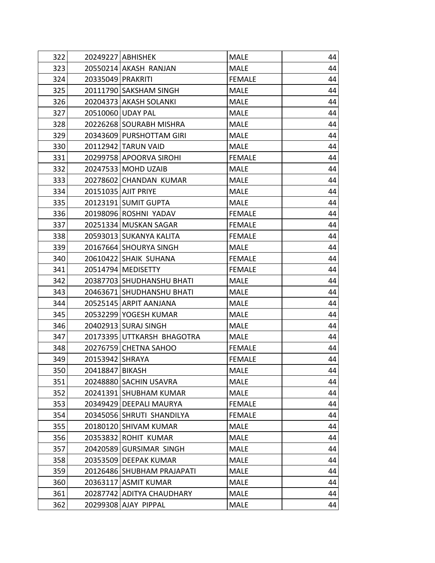| 322 |                   | 20249227 ABHISHEK          | <b>MALE</b>   | 44 |
|-----|-------------------|----------------------------|---------------|----|
| 323 |                   | 20550214 AKASH RANJAN      | <b>MALE</b>   | 44 |
| 324 | 20335049 PRAKRITI |                            | <b>FEMALE</b> | 44 |
| 325 |                   | 20111790 SAKSHAM SINGH     | <b>MALE</b>   | 44 |
| 326 |                   | 20204373 AKASH SOLANKI     | <b>MALE</b>   | 44 |
| 327 |                   | 20510060 UDAY PAL          | <b>MALE</b>   | 44 |
| 328 |                   | 20226268 SOURABH MISHRA    | <b>MALE</b>   | 44 |
| 329 |                   | 20343609 PURSHOTTAM GIRI   | <b>MALE</b>   | 44 |
| 330 |                   | 20112942 TARUN VAID        | <b>MALE</b>   | 44 |
| 331 |                   | 20299758 APOORVA SIROHI    | <b>FEMALE</b> | 44 |
| 332 |                   | 20247533 MOHD UZAIB        | <b>MALE</b>   | 44 |
| 333 |                   | 20278602 CHANDAN KUMAR     | <b>MALE</b>   | 44 |
| 334 |                   | 20151035 AJIT PRIYE        | <b>MALE</b>   | 44 |
| 335 |                   | 20123191 SUMIT GUPTA       | <b>MALE</b>   | 44 |
| 336 |                   | 20198096 ROSHNI YADAV      | <b>FEMALE</b> | 44 |
| 337 |                   | 20251334 MUSKAN SAGAR      | <b>FEMALE</b> | 44 |
| 338 |                   | 20593013 SUKANYA KALITA    | <b>FEMALE</b> | 44 |
| 339 |                   | 20167664 SHOURYA SINGH     | <b>MALE</b>   | 44 |
| 340 |                   | 20610422 SHAIK SUHANA      | <b>FEMALE</b> | 44 |
| 341 |                   | 20514794 MEDISETTY         | <b>FEMALE</b> | 44 |
| 342 |                   | 20387703 SHUDHANSHU BHATI  | <b>MALE</b>   | 44 |
| 343 |                   | 20463671 SHUDHANSHU BHATI  | <b>MALE</b>   | 44 |
| 344 |                   | 20525145 ARPIT AANJANA     | <b>MALE</b>   | 44 |
| 345 |                   | 20532299 YOGESH KUMAR      | <b>MALE</b>   | 44 |
| 346 |                   | 20402913 SURAJ SINGH       | <b>MALE</b>   | 44 |
| 347 |                   | 20173395 UTTKARSH BHAGOTRA | <b>MALE</b>   | 44 |
| 348 |                   | 20276759 CHETNA SAHOO      | <b>FEMALE</b> | 44 |
| 349 | 20153942 SHRAYA   |                            | <b>FEMALE</b> | 44 |
| 350 | 20418847 BIKASH   |                            | <b>MALE</b>   | 44 |
| 351 | 20248880          | <b>SACHIN USAVRA</b>       | <b>MALE</b>   | 44 |
| 352 |                   | 20241391 SHUBHAM KUMAR     | <b>MALE</b>   | 44 |
| 353 |                   | 20349429 DEEPALI MAURYA    | <b>FEMALE</b> | 44 |
| 354 |                   | 20345056 SHRUTI SHANDILYA  | <b>FEMALE</b> | 44 |
| 355 |                   | 20180120 SHIVAM KUMAR      | <b>MALE</b>   | 44 |
| 356 |                   | 20353832 ROHIT KUMAR       | <b>MALE</b>   | 44 |
| 357 |                   | 20420589 GURSIMAR SINGH    | <b>MALE</b>   | 44 |
| 358 |                   | 20353509 DEEPAK KUMAR      | <b>MALE</b>   | 44 |
| 359 |                   | 20126486 SHUBHAM PRAJAPATI | <b>MALE</b>   | 44 |
| 360 |                   | 20363117 ASMIT KUMAR       | <b>MALE</b>   | 44 |
| 361 |                   | 20287742 ADITYA CHAUDHARY  | <b>MALE</b>   | 44 |
| 362 |                   | 20299308 AJAY PIPPAL       | <b>MALE</b>   | 44 |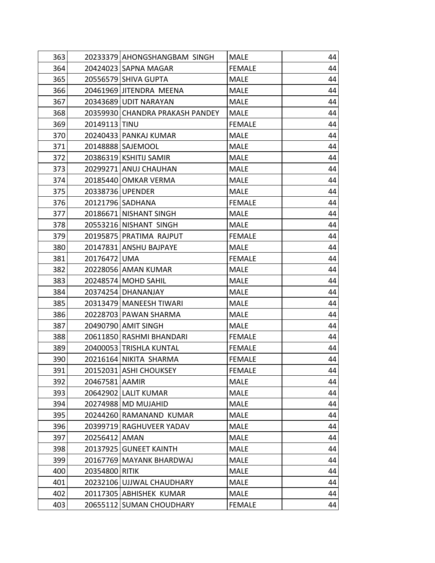| 363 |                | 20233379 AHONGSHANGBAM SINGH    | <b>MALE</b>   | 44 |
|-----|----------------|---------------------------------|---------------|----|
| 364 |                | 20424023 SAPNA MAGAR            | <b>FEMALE</b> | 44 |
| 365 |                | 20556579 SHIVA GUPTA            | <b>MALE</b>   | 44 |
| 366 |                | 20461969 JITENDRA MEENA         | <b>MALE</b>   | 44 |
| 367 |                | 20343689 UDIT NARAYAN           | <b>MALE</b>   | 44 |
| 368 |                | 20359930 CHANDRA PRAKASH PANDEY | <b>MALE</b>   | 44 |
| 369 | 20149113 TINU  |                                 | <b>FEMALE</b> | 44 |
| 370 |                | 20240433 PANKAJ KUMAR           | <b>MALE</b>   | 44 |
| 371 |                | 20148888 SAJEMOOL               | <b>MALE</b>   | 44 |
| 372 |                | 20386319 KSHITIJ SAMIR          | <b>MALE</b>   | 44 |
| 373 |                | 20299271 ANUJ CHAUHAN           | <b>MALE</b>   | 44 |
| 374 |                | 20185440 OMKAR VERMA            | <b>MALE</b>   | 44 |
| 375 |                | 20338736 UPENDER                | <b>MALE</b>   | 44 |
| 376 |                | 20121796 SADHANA                | <b>FEMALE</b> | 44 |
| 377 |                | 20186671 NISHANT SINGH          | <b>MALE</b>   | 44 |
| 378 |                | 20553216 NISHANT SINGH          | <b>MALE</b>   | 44 |
| 379 |                | 20195875 PRATIMA RAJPUT         | <b>FEMALE</b> | 44 |
| 380 |                | 20147831 ANSHU BAJPAYE          | <b>MALE</b>   | 44 |
| 381 | 20176472 UMA   |                                 | <b>FEMALE</b> | 44 |
| 382 |                | 20228056 AMAN KUMAR             | <b>MALE</b>   | 44 |
| 383 |                | 20248574 MOHD SAHIL             | <b>MALE</b>   | 44 |
| 384 |                | 20374254 DHANANJAY              | <b>MALE</b>   | 44 |
| 385 |                | 20313479   MANEESH TIWARI       | <b>MALE</b>   | 44 |
| 386 |                | 20228703 PAWAN SHARMA           | <b>MALE</b>   | 44 |
| 387 |                | 20490790 AMIT SINGH             | <b>MALE</b>   | 44 |
| 388 |                | 20611850 RASHMI BHANDARI        | <b>FEMALE</b> | 44 |
| 389 |                | 20400053 TRISHLA KUNTAL         | <b>FEMALE</b> | 44 |
| 390 |                | 20216164 NIKITA SHARMA          | <b>FEMALE</b> | 44 |
| 391 |                | 20152031 ASHI CHOUKSEY          | <b>FEMALE</b> | 44 |
| 392 | 20467581 AAMIR |                                 | <b>MALE</b>   | 44 |
| 393 |                | 20642902 LALIT KUMAR            | <b>MALE</b>   | 44 |
| 394 |                | 20274988 MD MUJAHID             | <b>MALE</b>   | 44 |
| 395 |                | 20244260 RAMANAND KUMAR         | <b>MALE</b>   | 44 |
| 396 |                | 20399719 RAGHUVEER YADAV        | <b>MALE</b>   | 44 |
| 397 | 20256412 AMAN  |                                 | <b>MALE</b>   | 44 |
| 398 |                | 20137925 GUNEET KAINTH          | <b>MALE</b>   | 44 |
| 399 |                | 20167769 MAYANK BHARDWAJ        | <b>MALE</b>   | 44 |
| 400 | 20354800 RITIK |                                 | <b>MALE</b>   | 44 |
| 401 |                | 20232106 UJJWAL CHAUDHARY       | <b>MALE</b>   | 44 |
| 402 |                | 20117305 ABHISHEK KUMAR         | <b>MALE</b>   | 44 |
| 403 |                | 20655112 SUMAN CHOUDHARY        | <b>FEMALE</b> | 44 |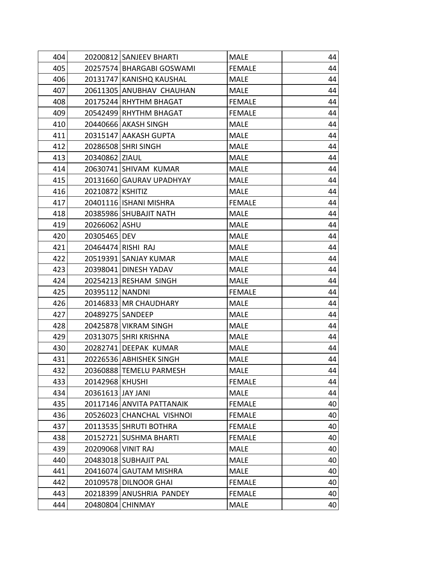| 404 |                    | 20200812 SANJEEV BHARTI   | <b>MALE</b>   | 44 |
|-----|--------------------|---------------------------|---------------|----|
| 405 |                    | 20257574 BHARGABI GOSWAMI | <b>FEMALE</b> | 44 |
| 406 |                    | 20131747 KANISHQ KAUSHAL  | <b>MALE</b>   | 44 |
| 407 |                    | 20611305 ANUBHAV CHAUHAN  | <b>MALE</b>   | 44 |
| 408 |                    | 20175244 RHYTHM BHAGAT    | <b>FEMALE</b> | 44 |
| 409 |                    | 20542499 RHYTHM BHAGAT    | <b>FEMALE</b> | 44 |
| 410 |                    | 20440666 AKASH SINGH      | <b>MALE</b>   | 44 |
| 411 |                    | 20315147 AAKASH GUPTA     | <b>MALE</b>   | 44 |
| 412 |                    | 20286508 SHRI SINGH       | <b>MALE</b>   | 44 |
| 413 | 20340862 ZIAUL     |                           | <b>MALE</b>   | 44 |
| 414 |                    | 20630741 SHIVAM KUMAR     | <b>MALE</b>   | 44 |
| 415 |                    | 20131660 GAURAV UPADHYAY  | <b>MALE</b>   | 44 |
| 416 | 20210872 KSHITIZ   |                           | <b>MALE</b>   | 44 |
| 417 |                    | 20401116   ISHANI MISHRA  | <b>FEMALE</b> | 44 |
| 418 |                    | 20385986 SHUBAJIT NATH    | <b>MALE</b>   | 44 |
| 419 | 20266062 ASHU      |                           | <b>MALE</b>   | 44 |
| 420 | 20305465 DEV       |                           | <b>MALE</b>   | 44 |
| 421 |                    | 20464474 RISHI RAJ        | <b>MALE</b>   | 44 |
| 422 |                    | 20519391 SANJAY KUMAR     | <b>MALE</b>   | 44 |
| 423 |                    | 20398041 DINESH YADAV     | <b>MALE</b>   | 44 |
| 424 |                    | 20254213 RESHAM SINGH     | <b>MALE</b>   | 44 |
| 425 | 20395112 NANDNI    |                           | <b>FEMALE</b> | 44 |
| 426 |                    | 20146833 MR CHAUDHARY     | <b>MALE</b>   | 44 |
| 427 | 20489275   SANDEEP |                           | <b>MALE</b>   | 44 |
| 428 |                    | 20425878 VIKRAM SINGH     | <b>MALE</b>   | 44 |
| 429 |                    | 20313075 SHRI KRISHNA     | <b>MALE</b>   | 44 |
| 430 |                    | 20282741 DEEPAK KUMAR     | <b>MALE</b>   | 44 |
| 431 |                    | 20226536 ABHISHEK SINGH   | <b>MALE</b>   | 44 |
| 432 |                    | 20360888 TEMELU PARMESH   | <b>MALE</b>   | 44 |
| 433 | 20142968 KHUSHI    |                           | <b>FEMALE</b> | 44 |
| 434 | 20361613 JAY JANI  |                           | <b>MALE</b>   | 44 |
| 435 |                    | 20117146 ANVITA PATTANAIK | <b>FEMALE</b> | 40 |
| 436 |                    | 20526023 CHANCHAL VISHNOI | <b>FEMALE</b> | 40 |
| 437 |                    | 20113535 SHRUTI BOTHRA    | <b>FEMALE</b> | 40 |
| 438 |                    | 20152721 SUSHMA BHARTI    | <b>FEMALE</b> | 40 |
| 439 | 20209068 VINIT RAJ |                           | <b>MALE</b>   | 40 |
| 440 |                    | 20483018 SUBHAJIT PAL     | <b>MALE</b>   | 40 |
| 441 |                    | 20416074 GAUTAM MISHRA    | <b>MALE</b>   | 40 |
| 442 |                    | 20109578 DILNOOR GHAI     | <b>FEMALE</b> | 40 |
| 443 |                    | 20218399 ANUSHRIA PANDEY  | <b>FEMALE</b> | 40 |
| 444 | 20480804           | <b>CHINMAY</b>            | <b>MALE</b>   | 40 |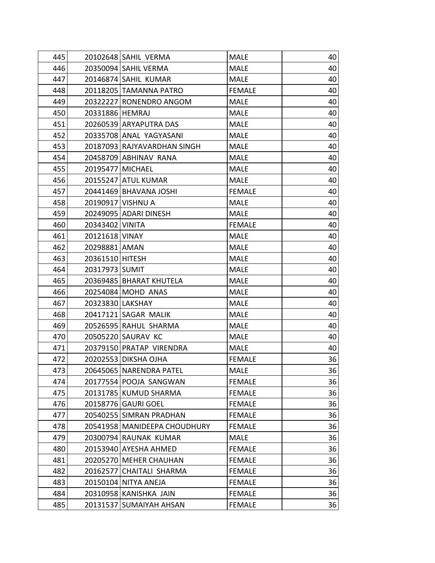| 445 |                  | 20102648 SAHIL VERMA         | <b>MALE</b>   | 40 |
|-----|------------------|------------------------------|---------------|----|
| 446 |                  | 20350094 SAHIL VERMA         | <b>MALE</b>   | 40 |
| 447 |                  | 20146874 SAHIL KUMAR         | <b>MALE</b>   | 40 |
| 448 |                  | 20118205 TAMANNA PATRO       | <b>FEMALE</b> | 40 |
| 449 |                  | 20322227 RONENDRO ANGOM      | <b>MALE</b>   | 40 |
| 450 | 20331886 HEMRAJ  |                              | <b>MALE</b>   | 40 |
| 451 |                  | 20260539 ARYAPUTRA DAS       | <b>MALE</b>   | 40 |
| 452 |                  | 20335708 ANAL YAGYASANI      | <b>MALE</b>   | 40 |
| 453 |                  | 20187093 RAJYAVARDHAN SINGH  | <b>MALE</b>   | 40 |
| 454 |                  | 20458709 ABHINAV RANA        | <b>MALE</b>   | 40 |
| 455 | 20195477 MICHAEL |                              | <b>MALE</b>   | 40 |
| 456 |                  | 20155247 ATUL KUMAR          | <b>MALE</b>   | 40 |
| 457 |                  | 20441469 BHAVANA JOSHI       | <b>FEMALE</b> | 40 |
| 458 |                  | 20190917 VISHNU A            | <b>MALE</b>   | 40 |
| 459 |                  | 20249095 ADARI DINESH        | <b>MALE</b>   | 40 |
| 460 | 20343402 VINITA  |                              | <b>FEMALE</b> | 40 |
| 461 | 20121618 VINAY   |                              | <b>MALE</b>   | 40 |
| 462 | 20298881 AMAN    |                              | <b>MALE</b>   | 40 |
| 463 | 20361510 HITESH  |                              | <b>MALE</b>   | 40 |
| 464 | 20317973 SUMIT   |                              | <b>MALE</b>   | 40 |
| 465 |                  | 20369485   BHARAT KHUTELA    | <b>MALE</b>   | 40 |
| 466 |                  | 20254084 MOHD ANAS           | <b>MALE</b>   | 40 |
| 467 | 20323830 LAKSHAY |                              | <b>MALE</b>   | 40 |
| 468 |                  | 20417121 SAGAR MALIK         | <b>MALE</b>   | 40 |
| 469 |                  | 20526595 RAHUL SHARMA        | <b>MALE</b>   | 40 |
| 470 |                  | 20505220 SAURAV KC           | <b>MALE</b>   | 40 |
| 471 |                  | 20379150 PRATAP VIRENDRA     | <b>MALE</b>   | 40 |
| 472 |                  | 20202553 DIKSHA OJHA         | <b>FEMALE</b> | 36 |
| 473 |                  | 20645065 NARENDRA PATEL      | <b>MALE</b>   | 36 |
| 474 |                  | 20177554 POOJA SANGWAN       | <b>FEMALE</b> | 36 |
| 475 |                  | 20131785 KUMUD SHARMA        | <b>FEMALE</b> | 36 |
| 476 |                  | 20158776 GAURI GOEL          | <b>FEMALE</b> | 36 |
| 477 |                  | 20540255 SIMRAN PRADHAN      | <b>FEMALE</b> | 36 |
| 478 |                  | 20541958 MANIDEEPA CHOUDHURY | <b>FEMALE</b> | 36 |
| 479 |                  | 20300794 RAUNAK KUMAR        | <b>MALE</b>   | 36 |
| 480 |                  | 20153940 AYESHA AHMED        | <b>FEMALE</b> | 36 |
| 481 |                  | 20205270 MEHER CHAUHAN       | <b>FEMALE</b> | 36 |
| 482 |                  | 20162577 CHAITALI SHARMA     | <b>FEMALE</b> | 36 |
| 483 |                  | 20150104 NITYA ANEJA         | <b>FEMALE</b> | 36 |
| 484 |                  | 20310958 KANISHKA JAIN       | <b>FEMALE</b> | 36 |
| 485 |                  | 20131537 SUMAIYAH AHSAN      | <b>FEMALE</b> | 36 |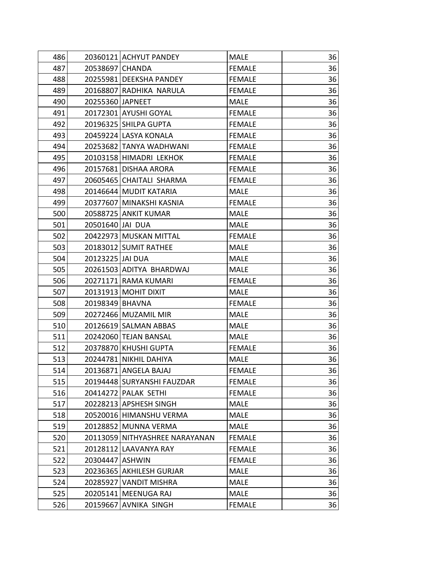| 486 |                  | 20360121 ACHYUT PANDEY         | MALE          | 36 |
|-----|------------------|--------------------------------|---------------|----|
| 487 | 20538697 CHANDA  |                                | <b>FEMALE</b> | 36 |
| 488 |                  | 20255981 DEEKSHA PANDEY        | <b>FEMALE</b> | 36 |
| 489 |                  | 20168807 RADHIKA NARULA        | <b>FEMALE</b> | 36 |
| 490 | 20255360 JAPNEET |                                | <b>MALE</b>   | 36 |
| 491 |                  | 20172301 AYUSHI GOYAL          | <b>FEMALE</b> | 36 |
| 492 |                  | 20196325 SHILPA GUPTA          | <b>FEMALE</b> | 36 |
| 493 |                  | 20459224 LASYA KONALA          | <b>FEMALE</b> | 36 |
| 494 |                  | 20253682 TANYA WADHWANI        | <b>FEMALE</b> | 36 |
| 495 |                  | 20103158 HIMADRI LEKHOK        | <b>FEMALE</b> | 36 |
| 496 |                  | 20157681 DISHAA ARORA          | <b>FEMALE</b> | 36 |
| 497 |                  | 20605465 CHAITALI SHARMA       | <b>FEMALE</b> | 36 |
| 498 |                  | 20146644 MUDIT KATARIA         | <b>MALE</b>   | 36 |
| 499 |                  | 20377607 MINAKSHI KASNIA       | <b>FEMALE</b> | 36 |
| 500 |                  | 20588725 ANKIT KUMAR           | <b>MALE</b>   | 36 |
| 501 | 20501640 JAI DUA |                                | <b>MALE</b>   | 36 |
| 502 |                  | 20422973 MUSKAN MITTAL         | <b>FEMALE</b> | 36 |
| 503 |                  | 20183012 SUMIT RATHEE          | <b>MALE</b>   | 36 |
| 504 | 20123225 JAI DUA |                                | <b>MALE</b>   | 36 |
| 505 |                  | 20261503 ADITYA BHARDWAJ       | <b>MALE</b>   | 36 |
| 506 |                  | 20271171 RAMA KUMARI           | <b>FEMALE</b> | 36 |
| 507 |                  | 20131913 MOHIT DIXIT           | <b>MALE</b>   | 36 |
| 508 | 20198349 BHAVNA  |                                | <b>FEMALE</b> | 36 |
| 509 |                  | 20272466 MUZAMIL MIR           | <b>MALE</b>   | 36 |
| 510 |                  | 20126619 SALMAN ABBAS          | <b>MALE</b>   | 36 |
| 511 |                  | 20242060 TEJAN BANSAL          | <b>MALE</b>   | 36 |
| 512 |                  | 20378870 KHUSHI GUPTA          | <b>FEMALE</b> | 36 |
| 513 |                  | 20244781 NIKHIL DAHIYA         | <b>MALE</b>   | 36 |
| 514 |                  | 20136871 ANGELA BAJAJ          | <b>FEMALE</b> | 36 |
| 515 |                  | 20194448 SURYANSHI FAUZDAR     | <b>FEMALE</b> | 36 |
| 516 |                  | 20414272 PALAK SETHI           | <b>FEMALE</b> | 36 |
| 517 |                  | 20228213 APSHESH SINGH         | <b>MALE</b>   | 36 |
| 518 |                  | 20520016 HIMANSHU VERMA        | <b>MALE</b>   | 36 |
| 519 |                  | 20128852 MUNNA VERMA           | <b>MALE</b>   | 36 |
| 520 |                  | 20113059 NITHYASHREE NARAYANAN | <b>FEMALE</b> | 36 |
| 521 |                  | 20128112 LAAVANYA RAY          | <b>FEMALE</b> | 36 |
| 522 | 20304447 ASHWIN  |                                | <b>FEMALE</b> | 36 |
| 523 |                  | 20236365 AKHILESH GURJAR       | <b>MALE</b>   | 36 |
| 524 | 20285927         | <b>VANDIT MISHRA</b>           | <b>MALE</b>   | 36 |
| 525 |                  | 20205141 MEENUGA RAJ           | <b>MALE</b>   | 36 |
| 526 | 20159667         | <b>AVNIKA SINGH</b>            | <b>FEMALE</b> | 36 |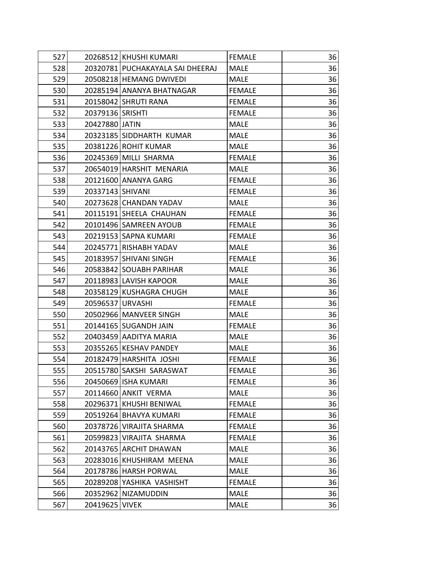| 527 |                  | 20268512 KHUSHI KUMARI           | <b>FEMALE</b> | 36 |
|-----|------------------|----------------------------------|---------------|----|
| 528 |                  | 20320781 PUCHAKAYALA SAI DHEERAJ | <b>MALE</b>   | 36 |
| 529 |                  | 20508218 HEMANG DWIVEDI          | MALE          | 36 |
| 530 |                  | 20285194 ANANYA BHATNAGAR        | <b>FEMALE</b> | 36 |
| 531 |                  | 20158042 SHRUTI RANA             | <b>FEMALE</b> | 36 |
| 532 | 20379136 SRISHTI |                                  | <b>FEMALE</b> | 36 |
| 533 | 20427880 JATIN   |                                  | <b>MALE</b>   | 36 |
| 534 |                  | 20323185 SIDDHARTH KUMAR         | <b>MALE</b>   | 36 |
| 535 |                  | 20381226 ROHIT KUMAR             | <b>MALE</b>   | 36 |
| 536 |                  | 20245369 MILLI SHARMA            | <b>FEMALE</b> | 36 |
| 537 |                  | 20654019 HARSHIT MENARIA         | <b>MALE</b>   | 36 |
| 538 |                  | 20121600 ANANYA GARG             | <b>FEMALE</b> | 36 |
| 539 | 20337143 SHIVANI |                                  | <b>FEMALE</b> | 36 |
| 540 |                  | 20273628 CHANDAN YADAV           | <b>MALE</b>   | 36 |
| 541 |                  | 20115191 SHEELA CHAUHAN          | <b>FEMALE</b> | 36 |
| 542 |                  | 20101496 SAMREEN AYOUB           | <b>FEMALE</b> | 36 |
| 543 |                  | 20219153 SAPNA KUMARI            | <b>FEMALE</b> | 36 |
| 544 |                  | 20245771 RISHABH YADAV           | <b>MALE</b>   | 36 |
| 545 |                  | 20183957 SHIVANI SINGH           | <b>FEMALE</b> | 36 |
| 546 |                  | 20583842 SOUABH PARIHAR          | <b>MALE</b>   | 36 |
| 547 |                  | 20118983 LAVISH KAPOOR           | <b>MALE</b>   | 36 |
| 548 |                  | 20358129 KUSHAGRA CHUGH          | <b>MALE</b>   | 36 |
| 549 | 20596537 URVASHI |                                  | <b>FEMALE</b> | 36 |
| 550 |                  | 20502966   MANVEER SINGH         | <b>MALE</b>   | 36 |
| 551 |                  | 20144165 SUGANDH JAIN            | <b>FEMALE</b> | 36 |
| 552 |                  | 20403459 AADITYA MARIA           | <b>MALE</b>   | 36 |
| 553 |                  | 20355265 KESHAV PANDEY           | MALE          | 36 |
| 554 |                  | 20182479 HARSHITA JOSHI          | <b>FEMALE</b> | 36 |
| 555 |                  | 20515780 SAKSHI SARASWAT         | <b>FEMALE</b> | 36 |
| 556 |                  | 20450669 ISHA KUMARI             | <b>FEMALE</b> | 36 |
| 557 |                  | 20114660 ANKIT VERMA             | <b>MALE</b>   | 36 |
| 558 |                  | 20296371 KHUSHI BENIWAL          | <b>FEMALE</b> | 36 |
| 559 |                  | 20519264 BHAVYA KUMARI           | <b>FEMALE</b> | 36 |
| 560 |                  | 20378726 VIRAJITA SHARMA         | <b>FEMALE</b> | 36 |
| 561 |                  | 20599823 VIRAJITA SHARMA         | <b>FEMALE</b> | 36 |
| 562 |                  | 20143765 ARCHIT DHAWAN           | <b>MALE</b>   | 36 |
| 563 |                  | 20283016 KHUSHIRAM MEENA         | <b>MALE</b>   | 36 |
| 564 |                  | 20178786 HARSH PORWAL            | <b>MALE</b>   | 36 |
| 565 |                  | 20289208 YASHIKA VASHISHT        | <b>FEMALE</b> | 36 |
| 566 |                  | 20352962 NIZAMUDDIN              | <b>MALE</b>   | 36 |
| 567 | 20419625         | <b>VIVEK</b>                     | <b>MALE</b>   | 36 |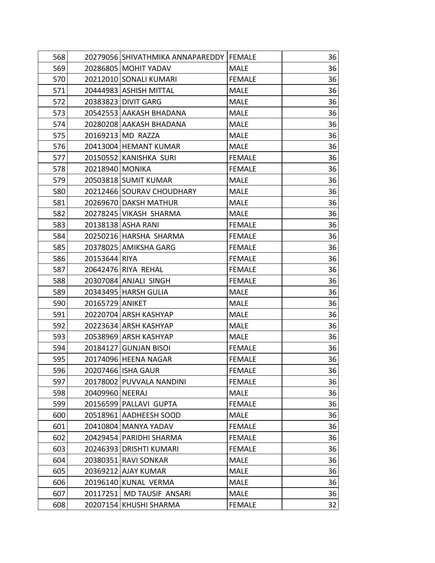| 568 |                 | 20279056 SHIVATHMIKA ANNAPAREDDY   FEMALE |               | 36 |
|-----|-----------------|-------------------------------------------|---------------|----|
| 569 |                 | 20286805 MOHIT YADAV                      | <b>MALE</b>   | 36 |
| 570 |                 | 20212010 SONALI KUMARI                    | <b>FEMALE</b> | 36 |
| 571 |                 | 20444983 ASHISH MITTAL                    | <b>MALE</b>   | 36 |
| 572 |                 | 20383823 DIVIT GARG                       | <b>MALE</b>   | 36 |
| 573 |                 | 20542553 AAKASH BHADANA                   | <b>MALE</b>   | 36 |
| 574 |                 | 20280208 AAKASH BHADANA                   | <b>MALE</b>   | 36 |
| 575 |                 | 20169213 MD RAZZA                         | <b>MALE</b>   | 36 |
| 576 |                 | 20413004 HEMANT KUMAR                     | <b>MALE</b>   | 36 |
| 577 |                 | 20150552 KANISHKA SURI                    | <b>FEMALE</b> | 36 |
| 578 | 20218940 MONIKA |                                           | <b>FEMALE</b> | 36 |
| 579 |                 | 20503818 SUMIT KUMAR                      | <b>MALE</b>   | 36 |
| 580 |                 | 20212466 SOURAV CHOUDHARY                 | <b>MALE</b>   | 36 |
| 581 |                 | 20269670 DAKSH MATHUR                     | <b>MALE</b>   | 36 |
| 582 |                 | 20278245 VIKASH SHARMA                    | <b>MALE</b>   | 36 |
| 583 |                 | 20138138 ASHA RANI                        | <b>FEMALE</b> | 36 |
| 584 |                 | 20250216 HARSHA SHARMA                    | <b>FEMALE</b> | 36 |
| 585 |                 | 20378025 AMIKSHA GARG                     | <b>FEMALE</b> | 36 |
| 586 | 20153644 RIYA   |                                           | <b>FEMALE</b> | 36 |
| 587 |                 | 20642476 RIYA REHAL                       | <b>FEMALE</b> | 36 |
| 588 |                 | 20307084 ANJALI SINGH                     | <b>FEMALE</b> | 36 |
| 589 |                 | 20343495 HARSH GULIA                      | <b>MALE</b>   | 36 |
| 590 | 20165729 ANIKET |                                           | <b>MALE</b>   | 36 |
| 591 |                 | 20220704 ARSH KASHYAP                     | <b>MALE</b>   | 36 |
| 592 |                 | 20223634 ARSH KASHYAP                     | <b>MALE</b>   | 36 |
| 593 |                 | 20538969 ARSH KASHYAP                     | <b>MALE</b>   | 36 |
| 594 |                 | 20184127 GUNJAN BISOI                     | <b>FEMALE</b> | 36 |
| 595 |                 | 20174096 HEENA NAGAR                      | <b>FEMALE</b> | 36 |
| 596 |                 | 20207466 ISHA GAUR                        | <b>FEMALE</b> | 36 |
| 597 |                 | 20178002 PUVVALA NANDINI                  | <b>FEMALE</b> | 36 |
| 598 | 20409960 NEERAJ |                                           | <b>MALE</b>   | 36 |
| 599 |                 | 20156599 PALLAVI GUPTA                    | <b>FEMALE</b> | 36 |
| 600 |                 | 20518961 AADHEESH SOOD                    | <b>MALE</b>   | 36 |
| 601 |                 | 20410804 MANYA YADAV                      | <b>FEMALE</b> | 36 |
| 602 |                 | 20429454 PARIDHI SHARMA                   | <b>FEMALE</b> | 36 |
| 603 |                 | 20246393 DRISHTI KUMARI                   | <b>FEMALE</b> | 36 |
| 604 |                 | 20380351 RAVI SONKAR                      | <b>MALE</b>   | 36 |
| 605 |                 | 20369212 AJAY KUMAR                       | <b>MALE</b>   | 36 |
| 606 |                 | 20196140 KUNAL VERMA                      | <b>MALE</b>   | 36 |
| 607 |                 | 20117251 MD TAUSIF ANSARI                 | <b>MALE</b>   | 36 |
| 608 |                 | 20207154 KHUSHI SHARMA                    | <b>FEMALE</b> | 32 |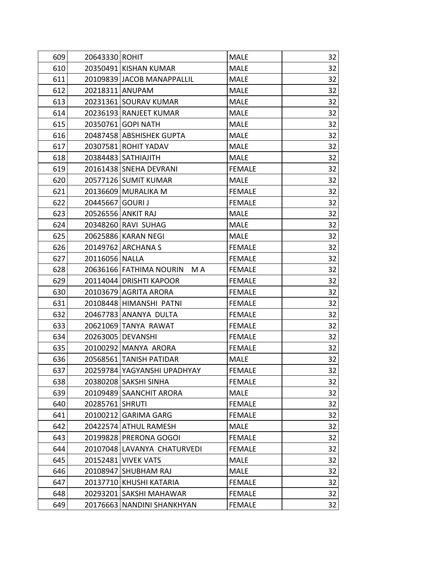| 609 | 20643330 ROHIT   |                             | <b>MALE</b>   | 32 |
|-----|------------------|-----------------------------|---------------|----|
| 610 |                  | 20350491 KISHAN KUMAR       | <b>MALE</b>   | 32 |
| 611 |                  | 20109839 JACOB MANAPPALLIL  | <b>MALE</b>   | 32 |
| 612 |                  | 20218311 ANUPAM             | <b>MALE</b>   | 32 |
| 613 |                  | 20231361 SOURAV KUMAR       | <b>MALE</b>   | 32 |
| 614 |                  | 20236193 RANJEET KUMAR      | <b>MALE</b>   | 32 |
| 615 |                  | 20350761 GOPI NATH          | <b>MALE</b>   | 32 |
| 616 |                  | 20487458 ABSHISHEK GUPTA    | <b>MALE</b>   | 32 |
| 617 |                  | 20307581 ROHIT YADAV        | <b>MALE</b>   | 32 |
| 618 |                  | 20384483   SATHIAJITH       | <b>MALE</b>   | 32 |
| 619 |                  | 20161438 SNEHA DEVRANI      | <b>FEMALE</b> | 32 |
| 620 |                  | 20577126 SUMIT KUMAR        | <b>MALE</b>   | 32 |
| 621 |                  | 20136609 MURALIKA M         | <b>FEMALE</b> | 32 |
| 622 | 20445667 GOURI J |                             | <b>FEMALE</b> | 32 |
| 623 |                  | 20526556 ANKIT RAJ          | <b>MALE</b>   | 32 |
| 624 |                  | 20348260 RAVI SUHAG         | <b>MALE</b>   | 32 |
| 625 |                  | 20625886 KARAN NEGI         | <b>MALE</b>   | 32 |
| 626 |                  | 20149762 ARCHANA S          | <b>FEMALE</b> | 32 |
| 627 | 20116056 NALLA   |                             | <b>FEMALE</b> | 32 |
| 628 |                  | 20636166 FATHIMA NOURIN MA  | <b>FEMALE</b> | 32 |
| 629 |                  | 20114044 DRISHTI KAPOOR     | <b>FEMALE</b> | 32 |
| 630 |                  | 20103679 AGRITA ARORA       | <b>FEMALE</b> | 32 |
| 631 |                  | 20108448 HIMANSHI PATNI     | <b>FEMALE</b> | 32 |
| 632 |                  | 20467783 ANANYA DULTA       | <b>FEMALE</b> | 32 |
| 633 |                  | 20621069 TANYA RAWAT        | <b>FEMALE</b> | 32 |
| 634 |                  | 20263005   DEVANSHI         | <b>FEMALE</b> | 32 |
| 635 |                  | 20100292 MANYA ARORA        | <b>FEMALE</b> | 32 |
| 636 |                  | 20568561 TANISH PATIDAR     | <b>MALE</b>   | 32 |
| 637 |                  | 20259784 YAGYANSHI UPADHYAY | <b>FEMALE</b> | 32 |
| 638 |                  | 20380208 SAKSHI SINHA       | <b>FEMALE</b> | 32 |
| 639 |                  | 20109489 SAANCHIT ARORA     | <b>MALE</b>   | 32 |
| 640 | 20285761 SHRUTI  |                             | <b>FEMALE</b> | 32 |
| 641 |                  | 20100212 GARIMA GARG        | <b>FEMALE</b> | 32 |
| 642 |                  | 20422574 ATHUL RAMESH       | MALE          | 32 |
| 643 |                  | 20199828 PRERONA GOGOI      | <b>FEMALE</b> | 32 |
| 644 |                  | 20107048 LAVANYA CHATURVEDI | <b>FEMALE</b> | 32 |
| 645 |                  | 20152481 VIVEK VATS         | <b>MALE</b>   | 32 |
| 646 |                  | 20108947 SHUBHAM RAJ        | <b>MALE</b>   | 32 |
| 647 |                  | 20137710 KHUSHI KATARIA     | <b>FEMALE</b> | 32 |
| 648 |                  | 20293201 SAKSHI MAHAWAR     | <b>FEMALE</b> | 32 |
| 649 |                  | 20176663 NANDINI SHANKHYAN  | <b>FEMALE</b> | 32 |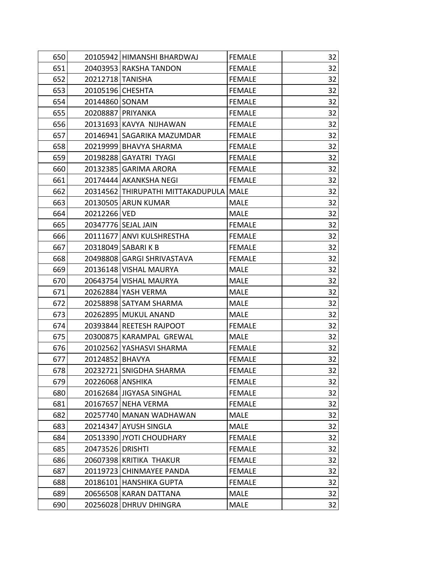| 650 |                  | 20105942 HIMANSHI BHARDWAJ               | <b>FEMALE</b> | 32 |
|-----|------------------|------------------------------------------|---------------|----|
| 651 |                  | 20403953 RAKSHA TANDON                   | <b>FEMALE</b> | 32 |
| 652 | 20212718 TANISHA |                                          | <b>FEMALE</b> | 32 |
| 653 | 20105196 CHESHTA |                                          | <b>FEMALE</b> | 32 |
| 654 | 20144860 SONAM   |                                          | <b>FEMALE</b> | 32 |
| 655 |                  | 20208887 PRIYANKA                        | <b>FEMALE</b> | 32 |
| 656 |                  | 20131693 KAVYA NIJHAWAN                  | <b>FEMALE</b> | 32 |
| 657 |                  | 20146941 SAGARIKA MAZUMDAR               | <b>FEMALE</b> | 32 |
| 658 |                  | 20219999 BHAVYA SHARMA                   | <b>FEMALE</b> | 32 |
| 659 |                  | 20198288 GAYATRI TYAGI                   | <b>FEMALE</b> | 32 |
| 660 |                  | 20132385 GARIMA ARORA                    | <b>FEMALE</b> | 32 |
| 661 |                  | 20174444 AKANKSHA NEGI                   | <b>FEMALE</b> | 32 |
| 662 |                  | 20314562 THIRUPATHI MITTAKADUPULA   MALE |               | 32 |
| 663 |                  | 20130505 ARUN KUMAR                      | <b>MALE</b>   | 32 |
| 664 | 20212266 VED     |                                          | <b>MALE</b>   | 32 |
| 665 |                  | 20347776 SEJAL JAIN                      | <b>FEMALE</b> | 32 |
| 666 |                  | 20111677 ANVI KULSHRESTHA                | <b>FEMALE</b> | 32 |
| 667 |                  | 20318049 SABARIK B                       | <b>FEMALE</b> | 32 |
| 668 |                  | 20498808 GARGI SHRIVASTAVA               | <b>FEMALE</b> | 32 |
| 669 |                  | 20136148 VISHAL MAURYA                   | <b>MALE</b>   | 32 |
| 670 |                  | 20643754 VISHAL MAURYA                   | <b>MALE</b>   | 32 |
| 671 |                  | 20262884 YASH VERMA                      | <b>MALE</b>   | 32 |
| 672 |                  | 20258898 SATYAM SHARMA                   | <b>MALE</b>   | 32 |
| 673 |                  | 20262895 MUKUL ANAND                     | <b>MALE</b>   | 32 |
| 674 |                  | 20393844 REETESH RAJPOOT                 | <b>FEMALE</b> | 32 |
| 675 |                  | 20300875 KARAMPAL GREWAL                 | <b>MALE</b>   | 32 |
| 676 |                  | 20102562 YASHASVI SHARMA                 | <b>FEMALE</b> | 32 |
| 677 | 20124852 BHAVYA  |                                          | <b>FEMALE</b> | 32 |
| 678 |                  | 20232721 SNIGDHA SHARMA                  | <b>FEMALE</b> | 32 |
| 679 | 20226068 ANSHIKA |                                          | <b>FEMALE</b> | 32 |
| 680 |                  | 20162684 JIGYASA SINGHAL                 | <b>FEMALE</b> | 32 |
| 681 |                  | 20167657 NEHA VERMA                      | <b>FEMALE</b> | 32 |
| 682 |                  | 20257740 MANAN WADHAWAN                  | <b>MALE</b>   | 32 |
| 683 |                  | 20214347 AYUSH SINGLA                    | <b>MALE</b>   | 32 |
| 684 |                  | 20513390 JYOTI CHOUDHARY                 | <b>FEMALE</b> | 32 |
| 685 | 20473526 DRISHTI |                                          | <b>FEMALE</b> | 32 |
| 686 |                  | 20607398 KRITIKA THAKUR                  | <b>FEMALE</b> | 32 |
| 687 |                  | 20119723 CHINMAYEE PANDA                 | <b>FEMALE</b> | 32 |
| 688 |                  | 20186101 HANSHIKA GUPTA                  | <b>FEMALE</b> | 32 |
| 689 |                  | 20656508 KARAN DATTANA                   | <b>MALE</b>   | 32 |
| 690 |                  | 20256028 DHRUV DHINGRA                   | <b>MALE</b>   | 32 |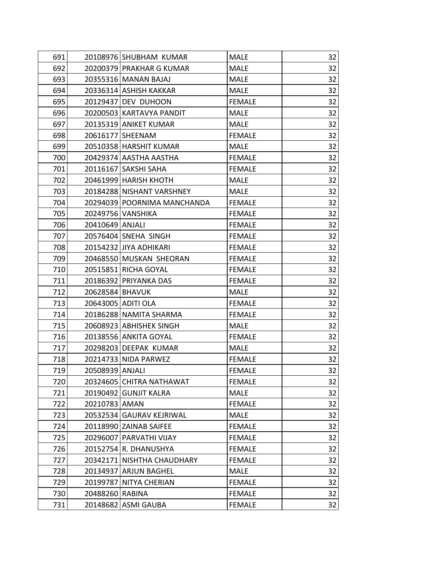| 691 |                 | 20108976 SHUBHAM KUMAR      | <b>MALE</b>   | 32 |
|-----|-----------------|-----------------------------|---------------|----|
| 692 |                 | 20200379 PRAKHAR G KUMAR    | <b>MALE</b>   | 32 |
| 693 |                 | 20355316 MANAN BAJAJ        | <b>MALE</b>   | 32 |
| 694 |                 | 20336314 ASHISH KAKKAR      | <b>MALE</b>   | 32 |
| 695 |                 | 20129437 DEV DUHOON         | <b>FEMALE</b> | 32 |
| 696 |                 | 20200503 KARTAVYA PANDIT    | <b>MALE</b>   | 32 |
| 697 |                 | 20135319 ANIKET KUMAR       | <b>MALE</b>   | 32 |
| 698 |                 | 20616177 SHEENAM            | <b>FEMALE</b> | 32 |
| 699 |                 | 20510358 HARSHIT KUMAR      | <b>MALE</b>   | 32 |
| 700 |                 | 20429374 AASTHA AASTHA      | <b>FEMALE</b> | 32 |
| 701 |                 | 20116167 SAKSHI SAHA        | <b>FEMALE</b> | 32 |
| 702 |                 | 20461999 HARISH KHOTH       | <b>MALE</b>   | 32 |
| 703 |                 | 20184288 NISHANT VARSHNEY   | <b>MALE</b>   | 32 |
| 704 |                 | 20294039 POORNIMA MANCHANDA | <b>FEMALE</b> | 32 |
| 705 |                 | 20249756 VANSHIKA           | <b>FEMALE</b> | 32 |
| 706 | 20410649 ANJALI |                             | <b>FEMALE</b> | 32 |
| 707 |                 | 20576404 SNEHA SINGH        | <b>FEMALE</b> | 32 |
| 708 |                 | 20154232 JIYA ADHIKARI      | <b>FEMALE</b> | 32 |
| 709 |                 | 20468550 MUSKAN SHEORAN     | <b>FEMALE</b> | 32 |
| 710 |                 | 20515851 RICHA GOYAL        | <b>FEMALE</b> | 32 |
| 711 |                 | 20186392 PRIYANKA DAS       | <b>FEMALE</b> | 32 |
| 712 | 20628584 BHAVUK |                             | <b>MALE</b>   | 32 |
| 713 |                 | 20643005 ADITI OLA          | <b>FEMALE</b> | 32 |
| 714 |                 | 20186288 NAMITA SHARMA      | <b>FEMALE</b> | 32 |
| 715 |                 | 20608923 ABHISHEK SINGH     | <b>MALE</b>   | 32 |
| 716 |                 | 20138556 ANKITA GOYAL       | <b>FEMALE</b> | 32 |
| 717 |                 | 20298203 DEEPAK KUMAR       | <b>MALE</b>   | 32 |
| 718 |                 | 20214733 NIDA PARWEZ        | <b>FEMALE</b> | 32 |
| 719 | 20508939 ANJALI |                             | <b>FEMALE</b> | 32 |
| 720 |                 | 20324605 CHITRA NATHAWAT    | <b>FEMALE</b> | 32 |
| 721 |                 | 20190492 GUNJIT KALRA       | <b>MALE</b>   | 32 |
| 722 | 20210783 AMAN   |                             | <b>FEMALE</b> | 32 |
| 723 |                 | 20532534 GAURAV KEJRIWAL    | <b>MALE</b>   | 32 |
| 724 |                 | 20118990 ZAINAB SAIFEE      | <b>FEMALE</b> | 32 |
| 725 |                 | 20296007 PARVATHI VIJAY     | <b>FEMALE</b> | 32 |
| 726 |                 | 20152754 R. DHANUSHYA       | <b>FEMALE</b> | 32 |
| 727 |                 | 20342171 NISHTHA CHAUDHARY  | <b>FEMALE</b> | 32 |
| 728 |                 | 20134937 ARJUN BAGHEL       | <b>MALE</b>   | 32 |
| 729 |                 | 20199787 NITYA CHERIAN      | <b>FEMALE</b> | 32 |
| 730 | 20488260 RABINA |                             | <b>FEMALE</b> | 32 |
| 731 |                 | 20148682 ASMI GAUBA         | <b>FEMALE</b> | 32 |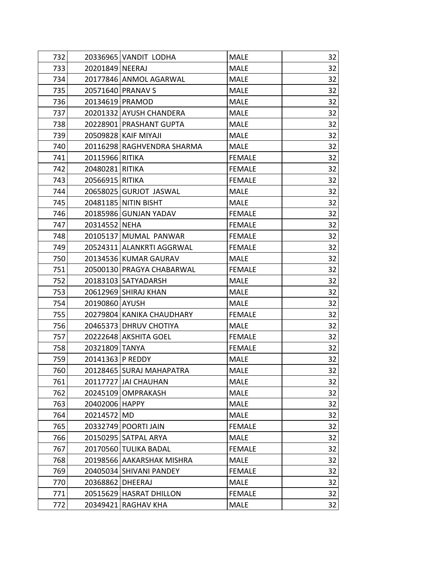| 732 | 20336965 VANDIT LODHA      | <b>MALE</b>   | 32 |
|-----|----------------------------|---------------|----|
| 733 | 20201849 NEERAJ            | <b>MALE</b>   | 32 |
| 734 | 20177846 ANMOL AGARWAL     | <b>MALE</b>   | 32 |
| 735 | 20571640 PRANAV S          | <b>MALE</b>   | 32 |
| 736 | 20134619 PRAMOD            | <b>MALE</b>   | 32 |
| 737 | 20201332 AYUSH CHANDERA    | <b>MALE</b>   | 32 |
| 738 | 20228901 PRASHANT GUPTA    | <b>MALE</b>   | 32 |
| 739 | 20509828 KAIF MIYAJI       | <b>MALE</b>   | 32 |
| 740 | 20116298 RAGHVENDRA SHARMA | <b>MALE</b>   | 32 |
| 741 | 20115966 RITIKA            | <b>FEMALE</b> | 32 |
| 742 | 20480281 RITIKA            | <b>FEMALE</b> | 32 |
| 743 | 20566915 RITIKA            | <b>FEMALE</b> | 32 |
| 744 | 20658025 GURJOT JASWAL     | <b>MALE</b>   | 32 |
| 745 | 20481185 NITIN BISHT       | <b>MALE</b>   | 32 |
| 746 | 20185986 GUNJAN YADAV      | <b>FEMALE</b> | 32 |
| 747 | 20314552 NEHA              | <b>FEMALE</b> | 32 |
| 748 | 20105137 MUMAL PANWAR      | <b>FEMALE</b> | 32 |
| 749 | 20524311 ALANKRTI AGGRWAL  | <b>FEMALE</b> | 32 |
| 750 | 20134536 KUMAR GAURAV      | <b>MALE</b>   | 32 |
| 751 | 20500130 PRAGYA CHABARWAL  | <b>FEMALE</b> | 32 |
| 752 | 20183103 SATYADARSH        | <b>MALE</b>   | 32 |
| 753 | 20612969 SHIRAJ KHAN       | <b>MALE</b>   | 32 |
| 754 | 20190860 AYUSH             | <b>MALE</b>   | 32 |
| 755 | 20279804 KANIKA CHAUDHARY  | <b>FEMALE</b> | 32 |
| 756 | 20465373 DHRUV CHOTIYA     | <b>MALE</b>   | 32 |
| 757 | 20222648 AKSHITA GOEL      | <b>FEMALE</b> | 32 |
| 758 | 20321809 TANYA             | <b>FEMALE</b> | 32 |
| 759 | 20141363 P REDDY           | <b>MALE</b>   | 32 |
| 760 | 20128465 SURAJ MAHAPATRA   | <b>MALE</b>   | 32 |
| 761 | 20117727 JAI CHAUHAN       | <b>MALE</b>   | 32 |
| 762 | 20245109 OMPRAKASH         | <b>MALE</b>   | 32 |
| 763 | 20402006 HAPPY             | <b>MALE</b>   | 32 |
| 764 | 20214572 MD                | <b>MALE</b>   | 32 |
| 765 | 20332749   POORTI JAIN     | <b>FEMALE</b> | 32 |
| 766 | 20150295 SATPAL ARYA       | <b>MALE</b>   | 32 |
| 767 | 20170560 TULIKA BADAL      | <b>FEMALE</b> | 32 |
| 768 | 20198566 AAKARSHAK MISHRA  | <b>MALE</b>   | 32 |
| 769 | 20405034 SHIVANI PANDEY    | <b>FEMALE</b> | 32 |
| 770 | 20368862 DHEERAJ           | <b>MALE</b>   | 32 |
| 771 | 20515629 HASRAT DHILLON    | <b>FEMALE</b> | 32 |
| 772 | 20349421 RAGHAV KHA        | <b>MALE</b>   | 32 |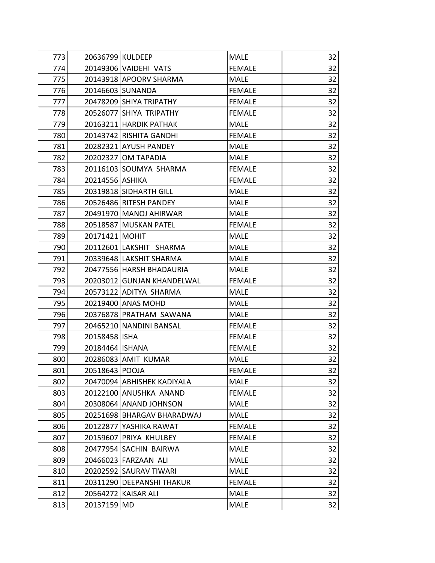| 773 | 20636799 KULDEEP  |                            | <b>MALE</b>   | 32 |
|-----|-------------------|----------------------------|---------------|----|
| 774 |                   | 20149306 VAIDEHI VATS      | <b>FEMALE</b> | 32 |
| 775 |                   | 20143918 APOORV SHARMA     | <b>MALE</b>   | 32 |
| 776 |                   | 20146603 SUNANDA           | <b>FEMALE</b> | 32 |
| 777 |                   | 20478209 SHIYA TRIPATHY    | <b>FEMALE</b> | 32 |
| 778 |                   | 20526077 SHIYA TRIPATHY    | <b>FEMALE</b> | 32 |
| 779 |                   | 20163211 HARDIK PATHAK     | <b>MALE</b>   | 32 |
| 780 |                   | 20143742 RISHITA GANDHI    | <b>FEMALE</b> | 32 |
| 781 |                   | 20282321 AYUSH PANDEY      | <b>MALE</b>   | 32 |
| 782 |                   | 20202327 OM TAPADIA        | <b>MALE</b>   | 32 |
| 783 |                   | 20116103 SOUMYA SHARMA     | <b>FEMALE</b> | 32 |
| 784 | 20214556 ASHIKA   |                            | <b>FEMALE</b> | 32 |
| 785 |                   | 20319818 SIDHARTH GILL     | <b>MALE</b>   | 32 |
| 786 |                   | 20526486 RITESH PANDEY     | <b>MALE</b>   | 32 |
| 787 |                   | 20491970 MANOJ AHIRWAR     | <b>MALE</b>   | 32 |
| 788 |                   | 20518587 MUSKAN PATEL      | <b>FEMALE</b> | 32 |
| 789 | 20171421 MOHIT    |                            | <b>MALE</b>   | 32 |
| 790 |                   | 20112601 LAKSHIT SHARMA    | <b>MALE</b>   | 32 |
| 791 |                   | 20339648 LAKSHIT SHARMA    | <b>MALE</b>   | 32 |
| 792 |                   | 20477556 HARSH BHADAURIA   | <b>MALE</b>   | 32 |
| 793 |                   | 20203012 GUNJAN KHANDELWAL | <b>FEMALE</b> | 32 |
| 794 |                   | 20573122 ADITYA SHARMA     | <b>MALE</b>   | 32 |
| 795 |                   | 20219400 ANAS MOHD         | <b>MALE</b>   | 32 |
| 796 |                   | 20376878 PRATHAM SAWANA    | <b>MALE</b>   | 32 |
| 797 |                   | 20465210 NANDINI BANSAL    | <b>FEMALE</b> | 32 |
| 798 | 20158458 ISHA     |                            | <b>FEMALE</b> | 32 |
| 799 | 20184464   ISHANA |                            | <b>FEMALE</b> | 32 |
| 800 |                   | 20286083 AMIT KUMAR        | <b>MALE</b>   | 32 |
| 801 | 20518643 POOJA    |                            | <b>FEMALE</b> | 32 |
| 802 |                   | 20470094 ABHISHEK KADIYALA | <b>MALE</b>   | 32 |
| 803 |                   | 20122100 ANUSHKA ANAND     | <b>FEMALE</b> | 32 |
| 804 |                   | 20308064 ANAND JOHNSON     | <b>MALE</b>   | 32 |
| 805 |                   | 20251698 BHARGAV BHARADWAJ | <b>MALE</b>   | 32 |
| 806 |                   | 20122877 YASHIKA RAWAT     | <b>FEMALE</b> | 32 |
| 807 |                   | 20159607 PRIYA KHULBEY     | <b>FEMALE</b> | 32 |
| 808 |                   | 20477954 SACHIN BAIRWA     | <b>MALE</b>   | 32 |
| 809 |                   | 20466023 FARZAAN ALI       | <b>MALE</b>   | 32 |
| 810 |                   | 20202592 SAURAV TIWARI     | <b>MALE</b>   | 32 |
| 811 |                   | 20311290 DEEPANSHI THAKUR  | <b>FEMALE</b> | 32 |
| 812 |                   | 20564272 KAISAR ALI        | <b>MALE</b>   | 32 |
| 813 | 20137159          | <b>MD</b>                  | <b>MALE</b>   | 32 |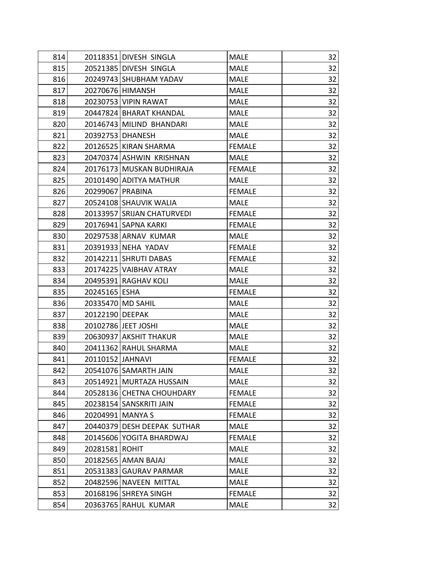| 814 |                  | 20118351 DIVESH SINGLA      | <b>MALE</b>   | 32 |
|-----|------------------|-----------------------------|---------------|----|
| 815 |                  | 20521385 DIVESH SINGLA      | <b>MALE</b>   | 32 |
| 816 |                  | 20249743 SHUBHAM YADAV      | <b>MALE</b>   | 32 |
| 817 |                  | 20270676 HIMANSH            | <b>MALE</b>   | 32 |
| 818 |                  | 20230753 VIPIN RAWAT        | <b>MALE</b>   | 32 |
| 819 |                  | 20447824 BHARAT KHANDAL     | <b>MALE</b>   | 32 |
| 820 |                  | 20146743 MILIND BHANDARI    | <b>MALE</b>   | 32 |
| 821 |                  | 20392753 DHANESH            | <b>MALE</b>   | 32 |
| 822 |                  | 20126525 KIRAN SHARMA       | <b>FEMALE</b> | 32 |
| 823 |                  | 20470374 ASHWIN KRISHNAN    | <b>MALE</b>   | 32 |
| 824 |                  | 20176173 MUSKAN BUDHIRAJA   | <b>FEMALE</b> | 32 |
| 825 |                  | 20101490 ADITYA MATHUR      | <b>MALE</b>   | 32 |
| 826 | 20299067 PRABINA |                             | <b>FEMALE</b> | 32 |
| 827 |                  | 20524108 SHAUVIK WALIA      | <b>MALE</b>   | 32 |
| 828 |                  | 20133957 SRIJAN CHATURVEDI  | <b>FEMALE</b> | 32 |
| 829 |                  | 20176941 SAPNA KARKI        | <b>FEMALE</b> | 32 |
| 830 |                  | 20297538 ARNAV KUMAR        | <b>MALE</b>   | 32 |
| 831 |                  | 20391933 NEHA YADAV         | <b>FEMALE</b> | 32 |
| 832 |                  | 20142211 SHRUTI DABAS       | <b>FEMALE</b> | 32 |
| 833 |                  | 20174225 VAIBHAV ATRAY      | <b>MALE</b>   | 32 |
| 834 |                  | 20495391 RAGHAV KOLI        | <b>MALE</b>   | 32 |
| 835 | 20245165 ESHA    |                             | <b>FEMALE</b> | 32 |
| 836 |                  | 20335470 MD SAHIL           | <b>MALE</b>   | 32 |
| 837 | 20122190 DEEPAK  |                             | <b>MALE</b>   | 32 |
| 838 |                  | 20102786 JEET JOSHI         | <b>MALE</b>   | 32 |
| 839 |                  | 20630937 AKSHIT THAKUR      | <b>MALE</b>   | 32 |
| 840 |                  | 20411362 RAHUL SHARMA       | <b>MALE</b>   | 32 |
| 841 | 20110152 JAHNAVI |                             | <b>FEMALE</b> | 32 |
| 842 |                  | 20541076 SAMARTH JAIN       | <b>MALE</b>   | 32 |
| 843 |                  | 20514921 MURTAZA HUSSAIN    | <b>MALE</b>   | 32 |
| 844 |                  | 20528136 CHETNA CHOUHDARY   | <b>FEMALE</b> | 32 |
| 845 |                  | 20238154 SANSKRITI JAIN     | <b>FEMALE</b> | 32 |
| 846 | 20204991 MANYA S |                             | <b>FEMALE</b> | 32 |
| 847 |                  | 20440379 DESH DEEPAK SUTHAR | <b>MALE</b>   | 32 |
| 848 |                  | 20145606 YOGITA BHARDWAJ    | <b>FEMALE</b> | 32 |
| 849 | 20281581 ROHIT   |                             | <b>MALE</b>   | 32 |
| 850 |                  | 20182565 AMAN BAJAJ         | <b>MALE</b>   | 32 |
| 851 |                  | 20531383 GAURAV PARMAR      | <b>MALE</b>   | 32 |
| 852 |                  | 20482596 NAVEEN MITTAL      | <b>MALE</b>   | 32 |
| 853 |                  | 20168196 SHREYA SINGH       | <b>FEMALE</b> | 32 |
| 854 |                  | 20363765 RAHUL KUMAR        | <b>MALE</b>   | 32 |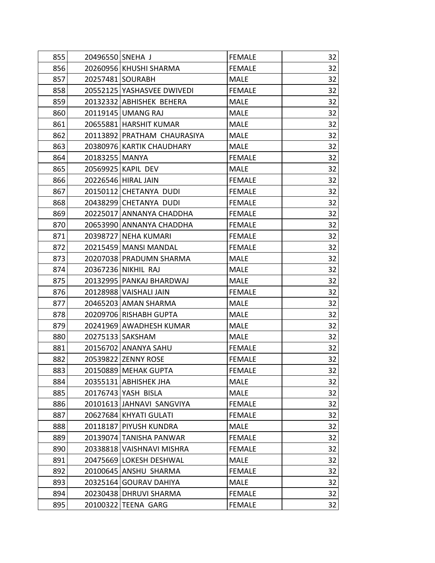| 855 | 20496550 SNEHA J |                             | <b>FEMALE</b> | 32 |
|-----|------------------|-----------------------------|---------------|----|
| 856 |                  | 20260956 KHUSHI SHARMA      | <b>FEMALE</b> | 32 |
| 857 |                  | 20257481 SOURABH            | <b>MALE</b>   | 32 |
| 858 |                  | 20552125 YASHASVEE DWIVEDI  | <b>FEMALE</b> | 32 |
| 859 |                  | 20132332 ABHISHEK BEHERA    | <b>MALE</b>   | 32 |
| 860 |                  | 20119145 UMANG RAJ          | <b>MALE</b>   | 32 |
| 861 |                  | 20655881 HARSHIT KUMAR      | <b>MALE</b>   | 32 |
| 862 |                  | 20113892 PRATHAM CHAURASIYA | <b>MALE</b>   | 32 |
| 863 |                  | 20380976 KARTIK CHAUDHARY   | <b>MALE</b>   | 32 |
| 864 | 20183255 MANYA   |                             | <b>FEMALE</b> | 32 |
| 865 |                  | 20569925 KAPIL DEV          | <b>MALE</b>   | 32 |
| 866 |                  | 20226546 HIRAL JAIN         | <b>FEMALE</b> | 32 |
| 867 |                  | 20150112 CHETANYA DUDI      | <b>FEMALE</b> | 32 |
| 868 |                  | 20438299 CHETANYA DUDI      | <b>FEMALE</b> | 32 |
| 869 |                  | 20225017 ANNANYA CHADDHA    | <b>FEMALE</b> | 32 |
| 870 |                  | 20653990 ANNANYA CHADDHA    | <b>FEMALE</b> | 32 |
| 871 |                  | 20398727 NEHA KUMARI        | <b>FEMALE</b> | 32 |
| 872 |                  | 20215459 MANSI MANDAL       | <b>FEMALE</b> | 32 |
| 873 |                  | 20207038 PRADUMN SHARMA     | <b>MALE</b>   | 32 |
| 874 |                  | 20367236 NIKHIL RAJ         | <b>MALE</b>   | 32 |
| 875 |                  | 20132995 PANKAJ BHARDWAJ    | <b>MALE</b>   | 32 |
| 876 |                  | 20128988 VAISHALI JAIN      | <b>FEMALE</b> | 32 |
| 877 |                  | 20465203 AMAN SHARMA        | <b>MALE</b>   | 32 |
| 878 |                  | 20209706 RISHABH GUPTA      | <b>MALE</b>   | 32 |
| 879 |                  | 20241969 AWADHESH KUMAR     | <b>MALE</b>   | 32 |
| 880 |                  | 20275133 SAKSHAM            | MALE          | 32 |
| 881 |                  | 20156702 ANANYA SAHU        | <b>FEMALE</b> | 32 |
| 882 |                  | 20539822 ZENNY ROSE         | <b>FEMALE</b> | 32 |
| 883 |                  | 20150889 MEHAK GUPTA        | <b>FEMALE</b> | 32 |
| 884 |                  | 20355131 ABHISHEK JHA       | <b>MALE</b>   | 32 |
| 885 |                  | 20176743 YASH BISLA         | <b>MALE</b>   | 32 |
| 886 |                  | 20101613 JAHNAVI SANGVIYA   | <b>FEMALE</b> | 32 |
| 887 |                  | 20627684 KHYATI GULATI      | <b>FEMALE</b> | 32 |
| 888 |                  | 20118187 PIYUSH KUNDRA      | <b>MALE</b>   | 32 |
| 889 |                  | 20139074 TANISHA PANWAR     | <b>FEMALE</b> | 32 |
| 890 |                  | 20338818 VAISHNAVI MISHRA   | <b>FEMALE</b> | 32 |
| 891 |                  | 20475669 LOKESH DESHWAL     | <b>MALE</b>   | 32 |
| 892 |                  | 20100645 ANSHU SHARMA       | <b>FEMALE</b> | 32 |
| 893 |                  | 20325164 GOURAV DAHIYA      | <b>MALE</b>   | 32 |
| 894 |                  | 20230438 DHRUVI SHARMA      | <b>FEMALE</b> | 32 |
| 895 | 20100322         | TEENA GARG                  | <b>FEMALE</b> | 32 |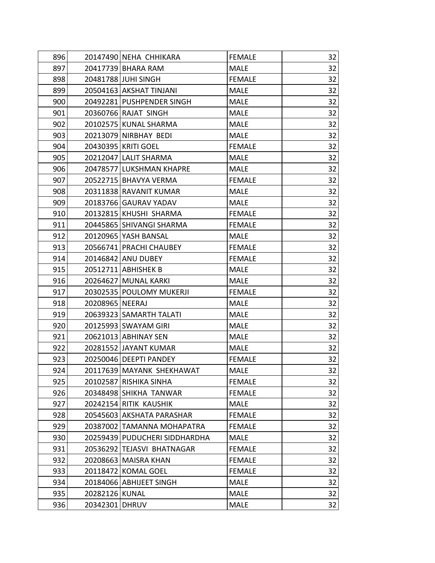| 896 |                 | 20147490 NEHA CHHIKARA        | <b>FEMALE</b> | 32 |
|-----|-----------------|-------------------------------|---------------|----|
| 897 |                 | 20417739 BHARA RAM            | <b>MALE</b>   | 32 |
| 898 |                 | 20481788 JUHI SINGH           | <b>FEMALE</b> | 32 |
| 899 |                 | 20504163 AKSHAT TINJANI       | <b>MALE</b>   | 32 |
| 900 |                 | 20492281 PUSHPENDER SINGH     | <b>MALE</b>   | 32 |
| 901 |                 | 20360766 RAJAT SINGH          | <b>MALE</b>   | 32 |
| 902 |                 | 20102575 KUNAL SHARMA         | <b>MALE</b>   | 32 |
| 903 |                 | 20213079 NIRBHAY BEDI         | <b>MALE</b>   | 32 |
| 904 |                 | 20430395 KRITI GOEL           | <b>FEMALE</b> | 32 |
| 905 |                 | 20212047 LALIT SHARMA         | <b>MALE</b>   | 32 |
| 906 |                 | 20478577 LUKSHMAN KHAPRE      | <b>MALE</b>   | 32 |
| 907 |                 | 20522715   BHAVYA VERMA       | <b>FEMALE</b> | 32 |
| 908 |                 | 20311838 RAVANIT KUMAR        | MALE          | 32 |
| 909 |                 | 20183766 GAURAV YADAV         | <b>MALE</b>   | 32 |
| 910 |                 | 20132815 KHUSHI SHARMA        | <b>FEMALE</b> | 32 |
| 911 |                 | 20445865 SHIVANGI SHARMA      | <b>FEMALE</b> | 32 |
| 912 |                 | 20120965 YASH BANSAL          | <b>MALE</b>   | 32 |
| 913 |                 | 20566741 PRACHI CHAUBEY       | <b>FEMALE</b> | 32 |
| 914 |                 | 20146842 ANU DUBEY            | <b>FEMALE</b> | 32 |
| 915 |                 | 20512711 ABHISHEK B           | <b>MALE</b>   | 32 |
| 916 |                 | 20264627 MUNAL KARKI          | <b>MALE</b>   | 32 |
| 917 |                 | 20302535 POULOMY MUKERJI      | <b>FEMALE</b> | 32 |
| 918 | 20208965 NEERAJ |                               | <b>MALE</b>   | 32 |
| 919 |                 | 20639323 SAMARTH TALATI       | <b>MALE</b>   | 32 |
| 920 |                 | 20125993 SWAYAM GIRI          | <b>MALE</b>   | 32 |
| 921 |                 | 20621013 ABHINAY SEN          | <b>MALE</b>   | 32 |
| 922 |                 | 20281552 JAYANT KUMAR         | <b>MALE</b>   | 32 |
| 923 |                 | 20250046 DEEPTI PANDEY        | <b>FEMALE</b> | 32 |
| 924 |                 | 20117639 MAYANK SHEKHAWAT     | MALE          | 32 |
| 925 |                 | 20102587 RISHIKA SINHA        | <b>FEMALE</b> | 32 |
| 926 |                 | 20348498 SHIKHA TANWAR        | <b>FEMALE</b> | 32 |
| 927 |                 | 20242154 RITIK KAUSHIK        | <b>MALE</b>   | 32 |
| 928 |                 | 20545603 AKSHATA PARASHAR     | <b>FEMALE</b> | 32 |
| 929 |                 | 20387002 TAMANNA MOHAPATRA    | <b>FEMALE</b> | 32 |
| 930 |                 | 20259439 PUDUCHERI SIDDHARDHA | <b>MALE</b>   | 32 |
| 931 |                 | 20536292 TEJASVI BHATNAGAR    | <b>FEMALE</b> | 32 |
| 932 |                 | 20208663 MAISRA KHAN          | <b>FEMALE</b> | 32 |
| 933 |                 | 20118472 KOMAL GOEL           | <b>FEMALE</b> | 32 |
| 934 |                 | 20184066 ABHIJEET SINGH       | <b>MALE</b>   | 32 |
| 935 | 20282126 KUNAL  |                               | <b>MALE</b>   | 32 |
| 936 | 20342301 DHRUV  |                               | <b>MALE</b>   | 32 |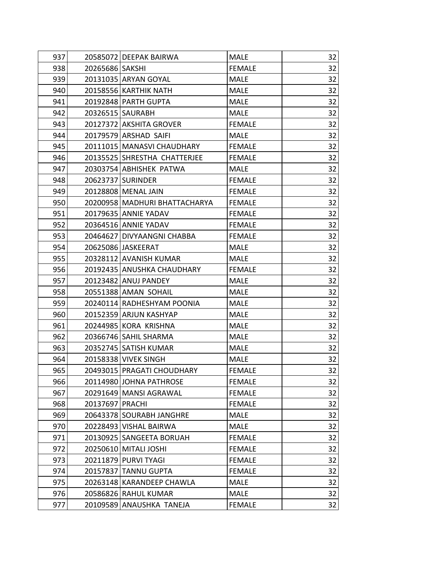| 937 |                   | 20585072 DEEPAK BAIRWA        | <b>MALE</b>   | 32 |
|-----|-------------------|-------------------------------|---------------|----|
| 938 | 20265686   SAKSHI |                               | <b>FEMALE</b> | 32 |
| 939 |                   | 20131035 ARYAN GOYAL          | <b>MALE</b>   | 32 |
| 940 |                   | 20158556 KARTHIK NATH         | <b>MALE</b>   | 32 |
| 941 |                   | 20192848 PARTH GUPTA          | <b>MALE</b>   | 32 |
| 942 |                   | 20326515 SAURABH              | <b>MALE</b>   | 32 |
| 943 |                   | 20127372 AKSHITA GROVER       | <b>FEMALE</b> | 32 |
| 944 |                   | 20179579 ARSHAD SAIFI         | <b>MALE</b>   | 32 |
| 945 |                   | 20111015 MANASVI CHAUDHARY    | <b>FEMALE</b> | 32 |
| 946 |                   | 20135525 SHRESTHA CHATTERJEE  | <b>FEMALE</b> | 32 |
| 947 |                   | 20303754 ABHISHEK PATWA       | <b>MALE</b>   | 32 |
| 948 |                   | 20623737 SURINDER             | <b>FEMALE</b> | 32 |
| 949 |                   | 20128808 MENAL JAIN           | <b>FEMALE</b> | 32 |
| 950 |                   | 20200958 MADHURI BHATTACHARYA | <b>FEMALE</b> | 32 |
| 951 |                   | 20179635 ANNIE YADAV          | <b>FEMALE</b> | 32 |
| 952 |                   | 20364516 ANNIE YADAV          | <b>FEMALE</b> | 32 |
| 953 |                   | 20464627 DIVYAANGNI CHABBA    | <b>FEMALE</b> | 32 |
| 954 |                   | 20625086 JASKEERAT            | <b>MALE</b>   | 32 |
| 955 |                   | 20328112 AVANISH KUMAR        | <b>MALE</b>   | 32 |
| 956 |                   | 20192435 ANUSHKA CHAUDHARY    | <b>FEMALE</b> | 32 |
| 957 |                   | 20123482 ANUJ PANDEY          | <b>MALE</b>   | 32 |
| 958 |                   | 20551388 AMAN SOHAIL          | <b>MALE</b>   | 32 |
| 959 |                   | 20240114 RADHESHYAM POONIA    | <b>MALE</b>   | 32 |
| 960 |                   | 20152359 ARJUN KASHYAP        | <b>MALE</b>   | 32 |
| 961 |                   | 20244985 KORA KRISHNA         | <b>MALE</b>   | 32 |
| 962 |                   | 20366746 SAHIL SHARMA         | <b>MALE</b>   | 32 |
| 963 |                   | 20352745 SATISH KUMAR         | <b>MALE</b>   | 32 |
| 964 |                   | 20158338 VIVEK SINGH          | <b>MALE</b>   | 32 |
| 965 |                   | 20493015 PRAGATI CHOUDHARY    | <b>FEMALE</b> | 32 |
| 966 |                   | 20114980 JOHNA PATHROSE       | <b>FEMALE</b> | 32 |
| 967 |                   | 20291649 MANSI AGRAWAL        | <b>FEMALE</b> | 32 |
| 968 | 20137697 PRACHI   |                               | <b>FEMALE</b> | 32 |
| 969 |                   | 20643378 SOURABH JANGHRE      | <b>MALE</b>   | 32 |
| 970 |                   | 20228493 VISHAL BAIRWA        | <b>MALE</b>   | 32 |
| 971 |                   | 20130925 SANGEETA BORUAH      | <b>FEMALE</b> | 32 |
| 972 |                   | 20250610 MITALI JOSHI         | <b>FEMALE</b> | 32 |
| 973 |                   | 20211879 PURVI TYAGI          | <b>FEMALE</b> | 32 |
| 974 |                   | 20157837 TANNU GUPTA          | <b>FEMALE</b> | 32 |
| 975 |                   | 20263148 KARANDEEP CHAWLA     | <b>MALE</b>   | 32 |
| 976 |                   | 20586826 RAHUL KUMAR          | <b>MALE</b>   | 32 |
| 977 | 20109589          | ANAUSHKA TANEJA               | <b>FEMALE</b> | 32 |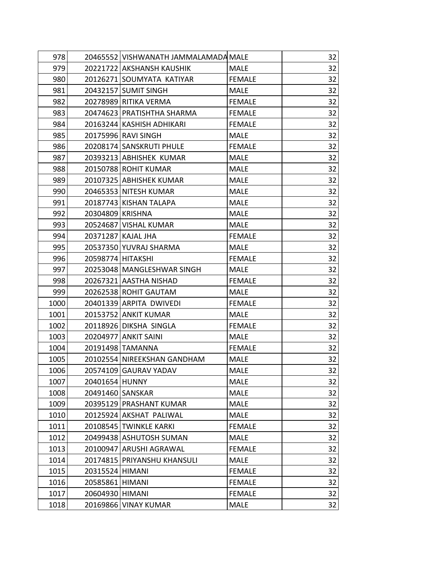| 978  |                   | 20465552 VISHWANATH JAMMALAMADA MALE |               | 32 |
|------|-------------------|--------------------------------------|---------------|----|
| 979  |                   | 20221722 AKSHANSH KAUSHIK            | <b>MALE</b>   | 32 |
| 980  |                   | 20126271 SOUMYATA KATIYAR            | <b>FEMALE</b> | 32 |
| 981  |                   | 20432157 SUMIT SINGH                 | <b>MALE</b>   | 32 |
| 982  |                   | 20278989 RITIKA VERMA                | <b>FEMALE</b> | 32 |
| 983  |                   | 20474623 PRATISHTHA SHARMA           | <b>FEMALE</b> | 32 |
| 984  |                   | 20163244 KASHISH ADHIKARI            | <b>FEMALE</b> | 32 |
| 985  |                   | 20175996 RAVI SINGH                  | <b>MALE</b>   | 32 |
| 986  |                   | 20208174 SANSKRUTI PHULE             | <b>FEMALE</b> | 32 |
| 987  |                   | 20393213 ABHISHEK KUMAR              | <b>MALE</b>   | 32 |
| 988  |                   | 20150788 ROHIT KUMAR                 | <b>MALE</b>   | 32 |
| 989  |                   | 20107325 ABHISHEK KUMAR              | <b>MALE</b>   | 32 |
| 990  |                   | 20465353 NITESH KUMAR                | <b>MALE</b>   | 32 |
| 991  |                   | 20187743 KISHAN TALAPA               | <b>MALE</b>   | 32 |
| 992  | 20304809 KRISHNA  |                                      | <b>MALE</b>   | 32 |
| 993  |                   | 20524687 VISHAL KUMAR                | <b>MALE</b>   | 32 |
| 994  |                   | 20371287 KAJAL JHA                   | <b>FEMALE</b> | 32 |
| 995  |                   | 20537350 YUVRAJ SHARMA               | <b>MALE</b>   | 32 |
| 996  | 20598774 HITAKSHI |                                      | <b>FEMALE</b> | 32 |
| 997  |                   | 20253048   MANGLESHWAR SINGH         | <b>MALE</b>   | 32 |
| 998  |                   | 20267321 AASTHA NISHAD               | <b>FEMALE</b> | 32 |
| 999  |                   | 20262538 ROHIT GAUTAM                | <b>MALE</b>   | 32 |
| 1000 |                   | 20401339 ARPITA DWIVEDI              | <b>FEMALE</b> | 32 |
| 1001 |                   | 20153752 ANKIT KUMAR                 | <b>MALE</b>   | 32 |
| 1002 |                   | 20118926 DIKSHA SINGLA               | <b>FEMALE</b> | 32 |
| 1003 |                   | 20204977 ANKIT SAINI                 | MALE          | 32 |
| 1004 |                   | 20191498 TAMANNA                     | <b>FEMALE</b> | 32 |
| 1005 |                   | 20102554 NIREEKSHAN GANDHAM          | <b>MALE</b>   | 32 |
| 1006 |                   | 20574109 GAURAV YADAV                | MALE          | 32 |
| 1007 | 20401654 HUNNY    |                                      | <b>MALE</b>   | 32 |
| 1008 | 20491460 SANSKAR  |                                      | <b>MALE</b>   | 32 |
| 1009 |                   | 20395129 PRASHANT KUMAR              | <b>MALE</b>   | 32 |
| 1010 |                   | 20125924 AKSHAT PALIWAL              | <b>MALE</b>   | 32 |
| 1011 |                   | 20108545 TWINKLE KARKI               | <b>FEMALE</b> | 32 |
| 1012 |                   | 20499438 ASHUTOSH SUMAN              | <b>MALE</b>   | 32 |
| 1013 |                   | 20100947 ARUSHI AGRAWAL              | <b>FEMALE</b> | 32 |
| 1014 |                   | 20174815 PRIYANSHU KHANSULI          | <b>MALE</b>   | 32 |
| 1015 | 20315524 HIMANI   |                                      | <b>FEMALE</b> | 32 |
| 1016 | 20585861 HIMANI   |                                      | <b>FEMALE</b> | 32 |
| 1017 | 20604930 HIMANI   |                                      | <b>FEMALE</b> | 32 |
| 1018 |                   | 20169866 VINAY KUMAR                 | <b>MALE</b>   | 32 |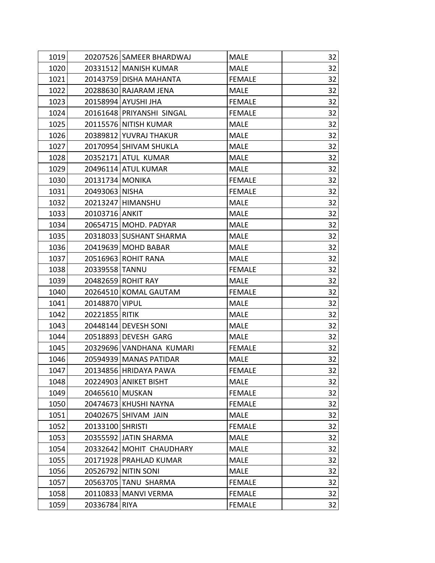| 1019 |                  | 20207526 SAMEER BHARDWAJ  | <b>MALE</b>   | 32 |
|------|------------------|---------------------------|---------------|----|
| 1020 |                  | 20331512 MANISH KUMAR     | <b>MALE</b>   | 32 |
| 1021 |                  | 20143759 DISHA MAHANTA    | <b>FEMALE</b> | 32 |
| 1022 |                  | 20288630 RAJARAM JENA     | <b>MALE</b>   | 32 |
| 1023 |                  | 20158994 AYUSHI JHA       | <b>FEMALE</b> | 32 |
| 1024 |                  | 20161648 PRIYANSHI SINGAL | <b>FEMALE</b> | 32 |
| 1025 |                  | 20115576 NITISH KUMAR     | <b>MALE</b>   | 32 |
| 1026 |                  | 20389812 YUVRAJ THAKUR    | <b>MALE</b>   | 32 |
| 1027 |                  | 20170954 SHIVAM SHUKLA    | <b>MALE</b>   | 32 |
| 1028 |                  | 20352171 ATUL KUMAR       | <b>MALE</b>   | 32 |
| 1029 |                  | 20496114 ATUL KUMAR       | <b>MALE</b>   | 32 |
| 1030 | 20131734 MONIKA  |                           | <b>FEMALE</b> | 32 |
| 1031 | 20493063 NISHA   |                           | <b>FEMALE</b> | 32 |
| 1032 |                  | 20213247 HIMANSHU         | <b>MALE</b>   | 32 |
| 1033 | 20103716 ANKIT   |                           | <b>MALE</b>   | 32 |
| 1034 |                  | 20654715 MOHD. PADYAR     | <b>MALE</b>   | 32 |
| 1035 |                  | 20318033 SUSHANT SHARMA   | <b>MALE</b>   | 32 |
| 1036 |                  | 20419639 MOHD BABAR       | <b>MALE</b>   | 32 |
| 1037 |                  | 20516963 ROHIT RANA       | <b>MALE</b>   | 32 |
| 1038 | 20339558 TANNU   |                           | <b>FEMALE</b> | 32 |
| 1039 |                  | 20482659 ROHIT RAY        | <b>MALE</b>   | 32 |
| 1040 |                  | 20264510 KOMAL GAUTAM     | <b>FEMALE</b> | 32 |
| 1041 | 20148870 VIPUL   |                           | <b>MALE</b>   | 32 |
| 1042 | 20221855 RITIK   |                           | <b>MALE</b>   | 32 |
| 1043 |                  | 20448144 DEVESH SONI      | <b>MALE</b>   | 32 |
| 1044 |                  | 20518893 DEVESH GARG      | <b>MALE</b>   | 32 |
| 1045 |                  | 20329696 VANDHANA KUMARI  | <b>FEMALE</b> | 32 |
| 1046 |                  | 20594939 MANAS PATIDAR    | <b>MALE</b>   | 32 |
| 1047 |                  | 20134856 HRIDAYA PAWA     | <b>FEMALE</b> | 32 |
| 1048 |                  | 20224903 ANIKET BISHT     | <b>MALE</b>   | 32 |
| 1049 | 20465610 MUSKAN  |                           | <b>FEMALE</b> | 32 |
| 1050 |                  | 20474673 KHUSHI NAYNA     | <b>FEMALE</b> | 32 |
| 1051 |                  | 20402675 SHIVAM JAIN      | <b>MALE</b>   | 32 |
| 1052 | 20133100 SHRISTI |                           | <b>FEMALE</b> | 32 |
| 1053 |                  | 20355592 JATIN SHARMA     | <b>MALE</b>   | 32 |
| 1054 |                  | 20332642 MOHIT CHAUDHARY  | <b>MALE</b>   | 32 |
| 1055 |                  | 20171928 PRAHLAD KUMAR    | <b>MALE</b>   | 32 |
| 1056 |                  | 20526792 NITIN SONI       | <b>MALE</b>   | 32 |
| 1057 |                  | 20563705 TANU SHARMA      | <b>FEMALE</b> | 32 |
| 1058 |                  | 20110833   MANVI VERMA    | <b>FEMALE</b> | 32 |
| 1059 | 20336784 RIYA    |                           | <b>FEMALE</b> | 32 |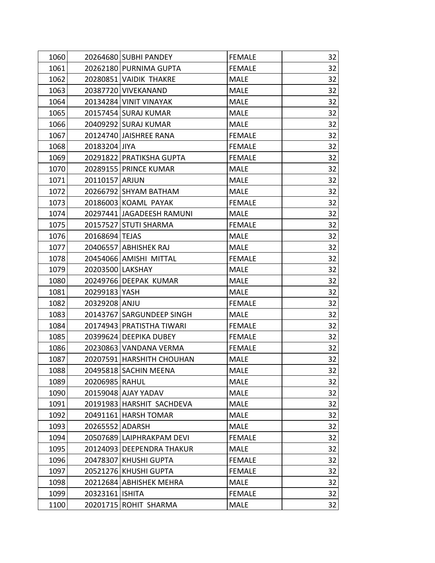| 1060 | 20264680 SUBHI PANDEY       | <b>FEMALE</b> | 32 |
|------|-----------------------------|---------------|----|
| 1061 | 20262180 PURNIMA GUPTA      | <b>FEMALE</b> | 32 |
| 1062 | 20280851 VAIDIK THAKRE      | <b>MALE</b>   | 32 |
| 1063 | 20387720 VIVEKANAND         | <b>MALE</b>   | 32 |
| 1064 | 20134284 VINIT VINAYAK      | <b>MALE</b>   | 32 |
| 1065 | 20157454 SURAJ KUMAR        | <b>MALE</b>   | 32 |
| 1066 | 20409292 SURAJ KUMAR        | <b>MALE</b>   | 32 |
| 1067 | 20124740 JAISHREE RANA      | <b>FEMALE</b> | 32 |
| 1068 | 20183204 JIYA               | <b>FEMALE</b> | 32 |
| 1069 | 20291822 PRATIKSHA GUPTA    | <b>FEMALE</b> | 32 |
| 1070 | 20289155 PRINCE KUMAR       | <b>MALE</b>   | 32 |
| 1071 | 20110157 ARJUN              | <b>MALE</b>   | 32 |
| 1072 | 20266792 SHYAM BATHAM       | <b>MALE</b>   | 32 |
| 1073 | 20186003 KOAML PAYAK        | <b>FEMALE</b> | 32 |
| 1074 | 20297441 JAGADEESH RAMUNI   | <b>MALE</b>   | 32 |
| 1075 | 20157527 STUTI SHARMA       | <b>FEMALE</b> | 32 |
| 1076 | 20168694 TEJAS              | <b>MALE</b>   | 32 |
| 1077 | 20406557 ABHISHEK RAJ       | <b>MALE</b>   | 32 |
| 1078 | 20454066 AMISHI MITTAL      | <b>FEMALE</b> | 32 |
| 1079 | 20203500 LAKSHAY            | <b>MALE</b>   | 32 |
| 1080 | 20249766 DEEPAK KUMAR       | <b>MALE</b>   | 32 |
| 1081 | 20299183 YASH               | <b>MALE</b>   | 32 |
| 1082 | 20329208 ANJU               | <b>FEMALE</b> | 32 |
| 1083 | 20143767 SARGUNDEEP SINGH   | <b>MALE</b>   | 32 |
| 1084 | 20174943 PRATISTHA TIWARI   | <b>FEMALE</b> | 32 |
| 1085 | 20399624 DEEPIKA DUBEY      | <b>FEMALE</b> | 32 |
| 1086 | 20230863 VANDANA VERMA      | <b>FEMALE</b> | 32 |
| 1087 | 20207591   HARSHITH CHOUHAN | <b>MALE</b>   | 32 |
| 1088 | 20495818 SACHIN MEENA       | MALE          | 32 |
| 1089 | 20206985 RAHUL              | <b>MALE</b>   | 32 |
| 1090 | 20159048 AJAY YADAV         | <b>MALE</b>   | 32 |
| 1091 | 20191983 HARSHIT SACHDEVA   | <b>MALE</b>   | 32 |
| 1092 | 20491161 HARSH TOMAR        | <b>MALE</b>   | 32 |
| 1093 | 20265552 ADARSH             | <b>MALE</b>   | 32 |
| 1094 | 20507689 LAIPHRAKPAM DEVI   | <b>FEMALE</b> | 32 |
| 1095 | 20124093 DEEPENDRA THAKUR   | <b>MALE</b>   | 32 |
| 1096 | 20478307 KHUSHI GUPTA       | <b>FEMALE</b> | 32 |
| 1097 | 20521276 KHUSHI GUPTA       | <b>FEMALE</b> | 32 |
| 1098 | 20212684 ABHISHEK MEHRA     | <b>MALE</b>   | 32 |
| 1099 | 20323161   ISHITA           | <b>FEMALE</b> | 32 |
| 1100 | 20201715 ROHIT SHARMA       | <b>MALE</b>   | 32 |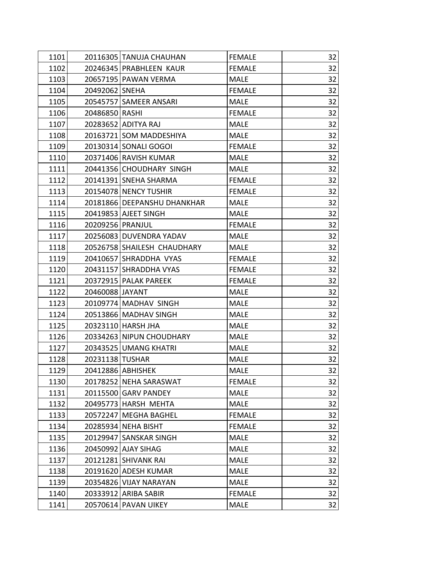| 1101 |                  | 20116305 TANUJA CHAUHAN     | <b>FEMALE</b> | 32 |
|------|------------------|-----------------------------|---------------|----|
| 1102 |                  | 20246345 PRABHLEEN KAUR     | <b>FEMALE</b> | 32 |
| 1103 |                  | 20657195 PAWAN VERMA        | <b>MALE</b>   | 32 |
| 1104 | 20492062 SNEHA   |                             | <b>FEMALE</b> | 32 |
| 1105 |                  | 20545757 SAMEER ANSARI      | <b>MALE</b>   | 32 |
| 1106 | 20486850 RASHI   |                             | <b>FEMALE</b> | 32 |
| 1107 |                  | 20283652 ADITYA RAJ         | <b>MALE</b>   | 32 |
| 1108 |                  | 20163721 SOM MADDESHIYA     | <b>MALE</b>   | 32 |
| 1109 |                  | 20130314 SONALI GOGOI       | <b>FEMALE</b> | 32 |
| 1110 |                  | 20371406 RAVISH KUMAR       | <b>MALE</b>   | 32 |
| 1111 |                  | 20441356 CHOUDHARY SINGH    | <b>MALE</b>   | 32 |
| 1112 |                  | 20141391 SNEHA SHARMA       | <b>FEMALE</b> | 32 |
| 1113 |                  | 20154078 NENCY TUSHIR       | <b>FEMALE</b> | 32 |
| 1114 |                  | 20181866 DEEPANSHU DHANKHAR | <b>MALE</b>   | 32 |
| 1115 |                  | 20419853 AJEET SINGH        | <b>MALE</b>   | 32 |
| 1116 | 20209256 PRANJUL |                             | <b>FEMALE</b> | 32 |
| 1117 |                  | 20256083 DUVENDRA YADAV     | <b>MALE</b>   | 32 |
| 1118 |                  | 20526758 SHAILESH CHAUDHARY | <b>MALE</b>   | 32 |
| 1119 |                  | 20410657 SHRADDHA VYAS      | <b>FEMALE</b> | 32 |
| 1120 |                  | 20431157 SHRADDHA VYAS      | <b>FEMALE</b> | 32 |
| 1121 |                  | 20372915   PALAK PAREEK     | <b>FEMALE</b> | 32 |
| 1122 | 20460088 JAYANT  |                             | <b>MALE</b>   | 32 |
| 1123 |                  | 20109774 MADHAV SINGH       | <b>MALE</b>   | 32 |
| 1124 |                  | 20513866 MADHAV SINGH       | <b>MALE</b>   | 32 |
| 1125 |                  | 20323110 HARSH JHA          | <b>MALE</b>   | 32 |
| 1126 |                  | 20334263 NIPUN CHOUDHARY    | <b>MALE</b>   | 32 |
| 1127 |                  | 20343525 UMANG KHATRI       | <b>MALE</b>   | 32 |
| 1128 | 20231138 TUSHAR  |                             | <b>MALE</b>   | 32 |
| 1129 |                  | 20412886 ABHISHEK           | MALE          | 32 |
| 1130 |                  | 20178252 NEHA SARASWAT      | <b>FEMALE</b> | 32 |
| 1131 |                  | 20115500 GARV PANDEY        | <b>MALE</b>   | 32 |
| 1132 |                  | 20495773 HARSH MEHTA        | <b>MALE</b>   | 32 |
| 1133 |                  | 20572247 MEGHA BAGHEL       | <b>FEMALE</b> | 32 |
| 1134 |                  | 20285934 NEHA BISHT         | <b>FEMALE</b> | 32 |
| 1135 |                  | 20129947 SANSKAR SINGH      | <b>MALE</b>   | 32 |
| 1136 |                  | 20450992 AJAY SIHAG         | <b>MALE</b>   | 32 |
| 1137 |                  | 20121281 SHIVANK RAI        | <b>MALE</b>   | 32 |
| 1138 |                  | 20191620 ADESH KUMAR        | <b>MALE</b>   | 32 |
| 1139 |                  | 20354826 VIJAY NARAYAN      | <b>MALE</b>   | 32 |
| 1140 |                  | 20333912 ARIBA SABIR        | <b>FEMALE</b> | 32 |
| 1141 |                  | 20570614 PAVAN UIKEY        | <b>MALE</b>   | 32 |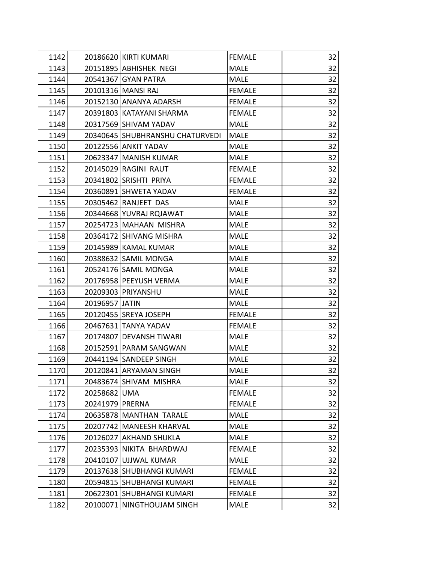| 1142 |                 | 20186620 KIRTI KUMARI           | <b>FEMALE</b> | 32 |
|------|-----------------|---------------------------------|---------------|----|
| 1143 |                 | 20151895 ABHISHEK NEGI          | <b>MALE</b>   | 32 |
| 1144 |                 | 20541367 GYAN PATRA             | <b>MALE</b>   | 32 |
| 1145 |                 | 20101316 MANSI RAJ              | <b>FEMALE</b> | 32 |
| 1146 |                 | 20152130 ANANYA ADARSH          | <b>FEMALE</b> | 32 |
| 1147 |                 | 20391803 KATAYANI SHARMA        | <b>FEMALE</b> | 32 |
| 1148 |                 | 20317569 SHIVAM YADAV           | <b>MALE</b>   | 32 |
| 1149 |                 | 20340645 SHUBHRANSHU CHATURVEDI | <b>MALE</b>   | 32 |
| 1150 |                 | 20122556 ANKIT YADAV            | <b>MALE</b>   | 32 |
| 1151 |                 | 20623347 MANISH KUMAR           | <b>MALE</b>   | 32 |
| 1152 |                 | 20145029 RAGINI RAUT            | <b>FEMALE</b> | 32 |
| 1153 |                 | 20341802 SRISHTI PRIYA          | <b>FEMALE</b> | 32 |
| 1154 |                 | 20360891 SHWETA YADAV           | <b>FEMALE</b> | 32 |
| 1155 |                 | 20305462 RANJEET DAS            | <b>MALE</b>   | 32 |
| 1156 |                 | 20344668 YUVRAJ RQJAWAT         | <b>MALE</b>   | 32 |
| 1157 |                 | 20254723 MAHAAN MISHRA          | <b>MALE</b>   | 32 |
| 1158 |                 | 20364172 SHIVANG MISHRA         | MALE          | 32 |
| 1159 |                 | 20145989 KAMAL KUMAR            | <b>MALE</b>   | 32 |
| 1160 |                 | 20388632 SAMIL MONGA            | <b>MALE</b>   | 32 |
| 1161 |                 | 20524176 SAMIL MONGA            | <b>MALE</b>   | 32 |
| 1162 |                 | 20176958 PEEYUSH VERMA          | <b>MALE</b>   | 32 |
| 1163 |                 | 20209303 PRIYANSHU              | <b>MALE</b>   | 32 |
| 1164 | 20196957 JATIN  |                                 | <b>MALE</b>   | 32 |
| 1165 |                 | 20120455 SREYA JOSEPH           | <b>FEMALE</b> | 32 |
| 1166 |                 | 20467631 TANYA YADAV            | <b>FEMALE</b> | 32 |
| 1167 |                 | 20174807 DEVANSH TIWARI         | <b>MALE</b>   | 32 |
| 1168 |                 | 20152591 PARAM SANGWAN          | <b>MALE</b>   | 32 |
| 1169 |                 | 20441194 SANDEEP SINGH          | <b>MALE</b>   | 32 |
| 1170 |                 | 20120841 ARYAMAN SINGH          | <b>MALE</b>   | 32 |
| 1171 |                 | 20483674 SHIVAM MISHRA          | <b>MALE</b>   | 32 |
| 1172 | 20258682 UMA    |                                 | <b>FEMALE</b> | 32 |
| 1173 | 20241979 PRERNA |                                 | <b>FEMALE</b> | 32 |
| 1174 |                 | 20635878 MANTHAN TARALE         | <b>MALE</b>   | 32 |
| 1175 |                 | 20207742 MANEESH KHARVAL        | <b>MALE</b>   | 32 |
| 1176 |                 | 20126027 AKHAND SHUKLA          | <b>MALE</b>   | 32 |
| 1177 |                 | 20235393 NIKITA BHARDWAJ        | <b>FEMALE</b> | 32 |
| 1178 |                 | 20410107 UJJWAL KUMAR           | <b>MALE</b>   | 32 |
| 1179 |                 | 20137638 SHUBHANGI KUMARI       | <b>FEMALE</b> | 32 |
| 1180 |                 | 20594815 SHUBHANGI KUMARI       | <b>FEMALE</b> | 32 |
| 1181 |                 | 20622301 SHUBHANGI KUMARI       | <b>FEMALE</b> | 32 |
| 1182 |                 | 20100071 NINGTHOUJAM SINGH      | <b>MALE</b>   | 32 |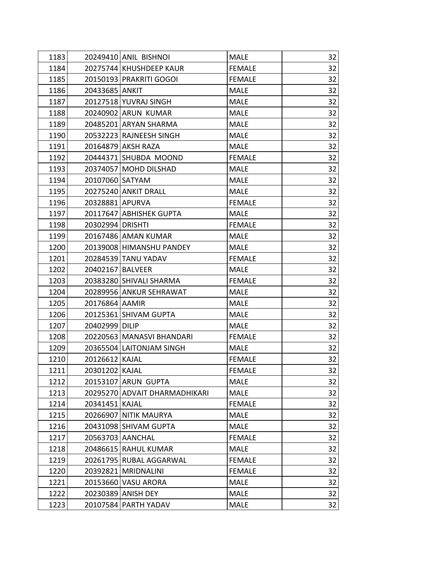| 1183 |                  | 20249410 ANIL BISHNOI         | <b>MALE</b>   | 32 |
|------|------------------|-------------------------------|---------------|----|
| 1184 |                  | 20275744 KHUSHDEEP KAUR       | <b>FEMALE</b> | 32 |
| 1185 |                  | 20150193 PRAKRITI GOGOI       | <b>FEMALE</b> | 32 |
| 1186 | 20433685 ANKIT   |                               | <b>MALE</b>   | 32 |
| 1187 |                  | 20127518 YUVRAJ SINGH         | <b>MALE</b>   | 32 |
| 1188 |                  | 20240902 ARUN KUMAR           | <b>MALE</b>   | 32 |
| 1189 |                  | 20485201 ARYAN SHARMA         | <b>MALE</b>   | 32 |
| 1190 |                  | 20532223 RAJNEESH SINGH       | <b>MALE</b>   | 32 |
| 1191 |                  | 20164879 AKSH RAZA            | <b>MALE</b>   | 32 |
| 1192 |                  | 20444371 SHUBDA MOOND         | <b>FEMALE</b> | 32 |
| 1193 |                  | 20374057 MOHD DILSHAD         | <b>MALE</b>   | 32 |
| 1194 | 20107060 SATYAM  |                               | <b>MALE</b>   | 32 |
| 1195 |                  | 20275240 ANKIT DRALL          | <b>MALE</b>   | 32 |
| 1196 | 20328881 APURVA  |                               | <b>FEMALE</b> | 32 |
| 1197 |                  | 20117647 ABHISHEK GUPTA       | <b>MALE</b>   | 32 |
| 1198 | 20302994 DRISHTI |                               | <b>FEMALE</b> | 32 |
| 1199 |                  | 20167486 AMAN KUMAR           | <b>MALE</b>   | 32 |
| 1200 |                  | 20139008 HIMANSHU PANDEY      | <b>MALE</b>   | 32 |
| 1201 |                  | 20284539 TANU YADAV           | <b>FEMALE</b> | 32 |
| 1202 | 20402167 BALVEER |                               | <b>MALE</b>   | 32 |
| 1203 |                  | 20383280 SHIVALI SHARMA       | <b>FEMALE</b> | 32 |
| 1204 |                  | 20289956 ANKUR SEHRAWAT       | <b>MALE</b>   | 32 |
| 1205 | 20176864 AAMIR   |                               | <b>MALE</b>   | 32 |
| 1206 |                  | 20125361 SHIVAM GUPTA         | <b>MALE</b>   | 32 |
| 1207 | 20402999 DILIP   |                               | <b>MALE</b>   | 32 |
| 1208 |                  | 20220563   MANASVI BHANDARI   | <b>FEMALE</b> | 32 |
| 1209 |                  | 20365504 LAITONJAM SINGH      | <b>MALE</b>   | 32 |
| 1210 | 20126612 KAJAL   |                               | <b>FEMALE</b> | 32 |
| 1211 | 20301202 KAJAL   |                               | <b>FEMALE</b> | 32 |
| 1212 |                  | 20153107 ARUN GUPTA           | <b>MALE</b>   | 32 |
| 1213 |                  | 20295270 ADVAIT DHARMADHIKARI | <b>MALE</b>   | 32 |
| 1214 | 20341451 KAJAL   |                               | <b>FEMALE</b> | 32 |
| 1215 |                  | 20266907 NITIK MAURYA         | <b>MALE</b>   | 32 |
| 1216 |                  | 20431098 SHIVAM GUPTA         | <b>MALE</b>   | 32 |
| 1217 |                  | 20563703 AANCHAL              | <b>FEMALE</b> | 32 |
| 1218 |                  | 20486615 RAHUL KUMAR          | <b>MALE</b>   | 32 |
| 1219 |                  | 20261795 RUBAL AGGARWAL       | <b>FEMALE</b> | 32 |
| 1220 |                  | 20392821 MRIDNALINI           | <b>FEMALE</b> | 32 |
| 1221 |                  | 20153660 VASU ARORA           | <b>MALE</b>   | 32 |
| 1222 |                  | 20230389 ANISH DEY            | <b>MALE</b>   | 32 |
| 1223 |                  | 20107584 PARTH YADAV          | <b>MALE</b>   | 32 |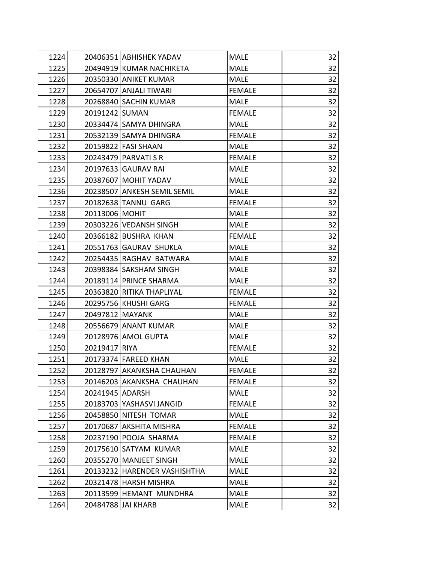| 1224 | 20406351 ABHISHEK YADAV      | <b>MALE</b>   | 32 |
|------|------------------------------|---------------|----|
| 1225 | 20494919 KUMAR NACHIKETA     | <b>MALE</b>   | 32 |
| 1226 | 20350330 ANIKET KUMAR        | <b>MALE</b>   | 32 |
| 1227 | 20654707 ANJALI TIWARI       | <b>FEMALE</b> | 32 |
| 1228 | 20268840 SACHIN KUMAR        | <b>MALE</b>   | 32 |
| 1229 | 20191242 SUMAN               | <b>FEMALE</b> | 32 |
| 1230 | 20334474 SAMYA DHINGRA       | <b>MALE</b>   | 32 |
| 1231 | 20532139 SAMYA DHINGRA       | <b>FEMALE</b> | 32 |
| 1232 | 20159822 FASI SHAAN          | <b>MALE</b>   | 32 |
| 1233 | 20243479 PARVATI S R         | <b>FEMALE</b> | 32 |
| 1234 | 20197633 GAURAV RAI          | <b>MALE</b>   | 32 |
| 1235 | 20387607 MOHIT YADAV         | <b>MALE</b>   | 32 |
| 1236 | 20238507 ANKESH SEMIL SEMIL  | <b>MALE</b>   | 32 |
| 1237 | 20182638 TANNU GARG          | <b>FEMALE</b> | 32 |
| 1238 | 20113006 MOHIT               | <b>MALE</b>   | 32 |
| 1239 | 20303226 VEDANSH SINGH       | MALE          | 32 |
| 1240 | 20366182 BUSHRA KHAN         | <b>FEMALE</b> | 32 |
| 1241 | 20551763 GAURAV SHUKLA       | <b>MALE</b>   | 32 |
| 1242 | 20254435 RAGHAV BATWARA      | <b>MALE</b>   | 32 |
| 1243 | 20398384 SAKSHAM SINGH       | <b>MALE</b>   | 32 |
| 1244 | 20189114 PRINCE SHARMA       | <b>MALE</b>   | 32 |
| 1245 | 20363820 RITIKA THAPLIYAL    | <b>FEMALE</b> | 32 |
| 1246 | 20295756 KHUSHI GARG         | <b>FEMALE</b> | 32 |
| 1247 | 20497812 MAYANK              | <b>MALE</b>   | 32 |
| 1248 | 20556679 ANANT KUMAR         | <b>MALE</b>   | 32 |
| 1249 | 20128976 AMOL GUPTA          | <b>MALE</b>   | 32 |
| 1250 | 20219417 RIYA                | <b>FEMALE</b> | 32 |
| 1251 | 20173374 FAREED KHAN         | <b>MALE</b>   | 32 |
| 1252 | 20128797 AKANKSHA CHAUHAN    | <b>FEMALE</b> | 32 |
| 1253 | 20146203 AKANKSHA CHAUHAN    | <b>FEMALE</b> | 32 |
| 1254 | 20241945 ADARSH              | <b>MALE</b>   | 32 |
| 1255 | 20183703 YASHASVI JANGID     | <b>FEMALE</b> | 32 |
| 1256 | 20458850 NITESH TOMAR        | <b>MALE</b>   | 32 |
| 1257 | 20170687 AKSHITA MISHRA      | <b>FEMALE</b> | 32 |
| 1258 | 20237190 POOJA SHARMA        | <b>FEMALE</b> | 32 |
| 1259 | 20175610 SATYAM KUMAR        | <b>MALE</b>   | 32 |
| 1260 | 20355270 MANJEET SINGH       | <b>MALE</b>   | 32 |
| 1261 | 20133232 HARENDER VASHISHTHA | <b>MALE</b>   | 32 |
| 1262 | 20321478 HARSH MISHRA        | <b>MALE</b>   | 32 |
| 1263 | 20113599 HEMANT MUNDHRA      | <b>MALE</b>   | 32 |
| 1264 | 20484788 JAI KHARB           | <b>MALE</b>   | 32 |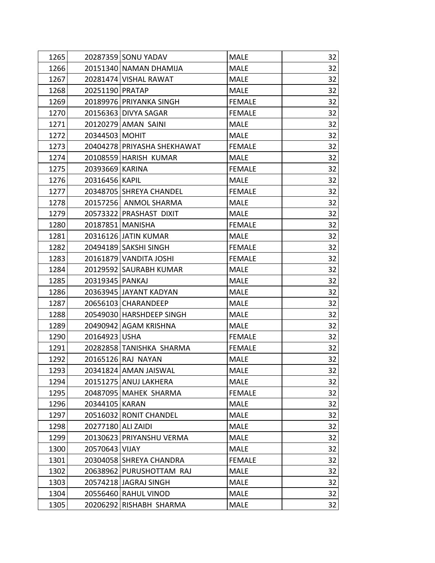| 1265 |                    | 20287359 SONU YADAV         | <b>MALE</b>   | 32 |
|------|--------------------|-----------------------------|---------------|----|
| 1266 |                    | 20151340 NAMAN DHAMIJA      | <b>MALE</b>   | 32 |
| 1267 |                    | 20281474 VISHAL RAWAT       | <b>MALE</b>   | 32 |
| 1268 | 20251190 PRATAP    |                             | <b>MALE</b>   | 32 |
| 1269 |                    | 20189976 PRIYANKA SINGH     | <b>FEMALE</b> | 32 |
| 1270 |                    | 20156363 DIVYA SAGAR        | <b>FEMALE</b> | 32 |
| 1271 |                    | 20120279 AMAN SAINI         | <b>MALE</b>   | 32 |
| 1272 | 20344503 MOHIT     |                             | <b>MALE</b>   | 32 |
| 1273 |                    | 20404278 PRIYASHA SHEKHAWAT | <b>FEMALE</b> | 32 |
| 1274 |                    | 20108559 HARISH KUMAR       | <b>MALE</b>   | 32 |
| 1275 | 20393669 KARINA    |                             | <b>FEMALE</b> | 32 |
| 1276 | 20316456 KAPIL     |                             | <b>MALE</b>   | 32 |
| 1277 |                    | 20348705 SHREYA CHANDEL     | <b>FEMALE</b> | 32 |
| 1278 |                    | 20157256 ANMOL SHARMA       | <b>MALE</b>   | 32 |
| 1279 |                    | 20573322 PRASHAST DIXIT     | <b>MALE</b>   | 32 |
| 1280 | 20187851 MANISHA   |                             | <b>FEMALE</b> | 32 |
| 1281 |                    | 20316126 JATIN KUMAR        | <b>MALE</b>   | 32 |
| 1282 |                    | 20494189 SAKSHI SINGH       | <b>FEMALE</b> | 32 |
| 1283 |                    | 20161879 VANDITA JOSHI      | <b>FEMALE</b> | 32 |
| 1284 |                    | 20129592 SAURABH KUMAR      | <b>MALE</b>   | 32 |
| 1285 | 20319345 PANKAJ    |                             | <b>MALE</b>   | 32 |
| 1286 |                    | 20363945 JAYANT KADYAN      | <b>MALE</b>   | 32 |
| 1287 |                    | 20656103 CHARANDEEP         | <b>MALE</b>   | 32 |
| 1288 |                    | 20549030 HARSHDEEP SINGH    | <b>MALE</b>   | 32 |
| 1289 |                    | 20490942 AGAM KRISHNA       | <b>MALE</b>   | 32 |
| 1290 | 20164923 USHA      |                             | <b>FEMALE</b> | 32 |
| 1291 |                    | 20282858 TANISHKA SHARMA    | <b>FEMALE</b> | 32 |
| 1292 |                    | 20165126 RAJ NAYAN          | <b>MALE</b>   | 32 |
| 1293 |                    | 20341824 AMAN JAISWAL       | <b>MALE</b>   | 32 |
| 1294 |                    | 20151275 ANUJ LAKHERA       | <b>MALE</b>   | 32 |
| 1295 |                    | 20487095   MAHEK SHARMA     | <b>FEMALE</b> | 32 |
| 1296 | 20344105 KARAN     |                             | <b>MALE</b>   | 32 |
| 1297 |                    | 20516032 RONIT CHANDEL      | <b>MALE</b>   | 32 |
| 1298 | 20277180 ALI ZAIDI |                             | <b>MALE</b>   | 32 |
| 1299 |                    | 20130623 PRIYANSHU VERMA    | <b>MALE</b>   | 32 |
| 1300 | 20570643 VIJAY     |                             | <b>MALE</b>   | 32 |
| 1301 |                    | 20304058 SHREYA CHANDRA     | <b>FEMALE</b> | 32 |
| 1302 |                    | 20638962 PURUSHOTTAM RAJ    | <b>MALE</b>   | 32 |
| 1303 |                    | 20574218 JAGRAJ SINGH       | <b>MALE</b>   | 32 |
| 1304 |                    | 20556460 RAHUL VINOD        | <b>MALE</b>   | 32 |
| 1305 |                    | 20206292 RISHABH SHARMA     | <b>MALE</b>   | 32 |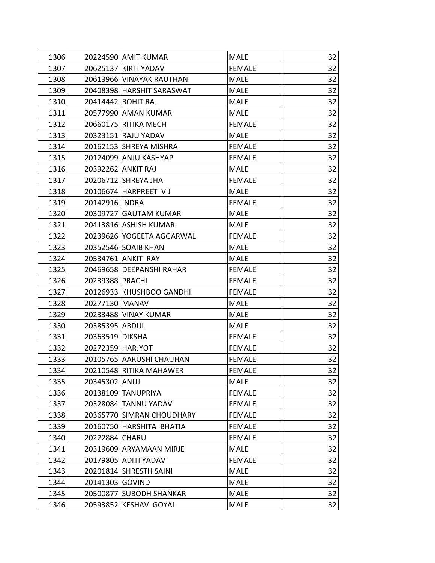| 1306 |                  | 20224590 AMIT KUMAR       | <b>MALE</b>   | 32 |
|------|------------------|---------------------------|---------------|----|
| 1307 |                  | 20625137 KIRTI YADAV      | <b>FEMALE</b> | 32 |
| 1308 |                  | 20613966 VINAYAK RAUTHAN  | <b>MALE</b>   | 32 |
| 1309 |                  | 20408398 HARSHIT SARASWAT | <b>MALE</b>   | 32 |
| 1310 |                  | 20414442 ROHIT RAJ        | <b>MALE</b>   | 32 |
| 1311 |                  | 20577990 AMAN KUMAR       | <b>MALE</b>   | 32 |
| 1312 |                  | 20660175 RITIKA MECH      | <b>FEMALE</b> | 32 |
| 1313 |                  | 20323151 RAJU YADAV       | <b>MALE</b>   | 32 |
| 1314 |                  | 20162153 SHREYA MISHRA    | <b>FEMALE</b> | 32 |
| 1315 |                  | 20124099 ANJU KASHYAP     | <b>FEMALE</b> | 32 |
| 1316 |                  | 20392262 ANKIT RAJ        | <b>MALE</b>   | 32 |
| 1317 |                  | 20206712 SHREYA JHA       | <b>FEMALE</b> | 32 |
| 1318 |                  | 20106674 HARPREET VIJ     | <b>MALE</b>   | 32 |
| 1319 | 20142916 INDRA   |                           | <b>FEMALE</b> | 32 |
| 1320 |                  | 20309727 GAUTAM KUMAR     | <b>MALE</b>   | 32 |
| 1321 |                  | 20413816 ASHISH KUMAR     | <b>MALE</b>   | 32 |
| 1322 |                  | 20239626 YOGEETA AGGARWAL | <b>FEMALE</b> | 32 |
| 1323 |                  | 20352546 SOAIB KHAN       | <b>MALE</b>   | 32 |
| 1324 |                  | 20534761 ANKIT RAY        | <b>MALE</b>   | 32 |
| 1325 |                  | 20469658 DEEPANSHI RAHAR  | <b>FEMALE</b> | 32 |
| 1326 | 20239388 PRACHI  |                           | <b>FEMALE</b> | 32 |
| 1327 |                  | 20126933 KHUSHBOO GANDHI  | <b>FEMALE</b> | 32 |
| 1328 | 20277130 MANAV   |                           | <b>MALE</b>   | 32 |
| 1329 |                  | 20233488 VINAY KUMAR      | <b>MALE</b>   | 32 |
| 1330 | 20385395 ABDUL   |                           | <b>MALE</b>   | 32 |
| 1331 | 20363519 DIKSHA  |                           | <b>FEMALE</b> | 32 |
| 1332 | 20272359 HARJYOT |                           | <b>FEMALE</b> | 32 |
| 1333 |                  | 20105765 AARUSHI CHAUHAN  | <b>FEMALE</b> | 32 |
| 1334 |                  | 20210548 RITIKA MAHAWER   | <b>FEMALE</b> | 32 |
| 1335 | 20345302 ANUJ    |                           | <b>MALE</b>   | 32 |
| 1336 |                  | 20138109 TANUPRIYA        | <b>FEMALE</b> | 32 |
| 1337 |                  | 20328084 TANNU YADAV      | <b>FEMALE</b> | 32 |
| 1338 |                  | 20365770 SIMRAN CHOUDHARY | <b>FEMALE</b> | 32 |
| 1339 |                  | 20160750 HARSHITA BHATIA  | <b>FEMALE</b> | 32 |
| 1340 | 20222884 CHARU   |                           | <b>FEMALE</b> | 32 |
| 1341 |                  | 20319609 ARYAMAAN MIRJE   | <b>MALE</b>   | 32 |
| 1342 |                  | 20179805 ADITI YADAV      | <b>FEMALE</b> | 32 |
| 1343 |                  | 20201814 SHRESTH SAINI    | <b>MALE</b>   | 32 |
| 1344 | 20141303 GOVIND  |                           | <b>MALE</b>   | 32 |
| 1345 |                  | 20500877 SUBODH SHANKAR   | <b>MALE</b>   | 32 |
| 1346 | 20593852         | <b>KESHAV GOYAL</b>       | <b>MALE</b>   | 32 |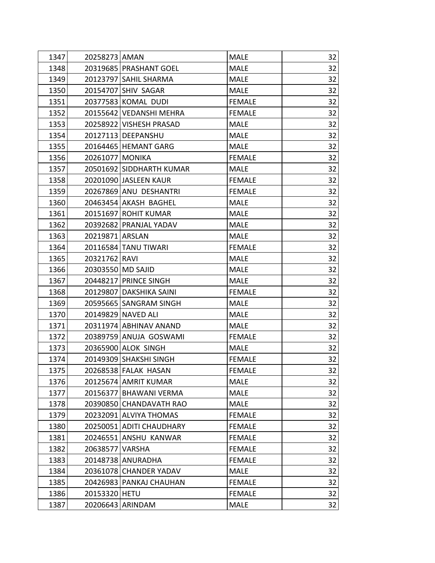| 1347 | 20258273 AMAN     |                          | <b>MALE</b>   | 32 |
|------|-------------------|--------------------------|---------------|----|
| 1348 |                   | 20319685 PRASHANT GOEL   | <b>MALE</b>   | 32 |
| 1349 |                   | 20123797 SAHIL SHARMA    | <b>MALE</b>   | 32 |
| 1350 |                   | 20154707 SHIV SAGAR      | <b>MALE</b>   | 32 |
| 1351 |                   | 20377583 KOMAL DUDI      | <b>FEMALE</b> | 32 |
| 1352 |                   | 20155642 VEDANSHI MEHRA  | <b>FEMALE</b> | 32 |
| 1353 |                   | 20258922 VISHESH PRASAD  | <b>MALE</b>   | 32 |
| 1354 |                   | 20127113   DEEPANSHU     | <b>MALE</b>   | 32 |
| 1355 |                   | 20164465 HEMANT GARG     | <b>MALE</b>   | 32 |
| 1356 | 20261077 MONIKA   |                          | <b>FEMALE</b> | 32 |
| 1357 |                   | 20501692 SIDDHARTH KUMAR | <b>MALE</b>   | 32 |
| 1358 |                   | 20201090 JASLEEN KAUR    | <b>FEMALE</b> | 32 |
| 1359 |                   | 20267869 ANU DESHANTRI   | <b>FEMALE</b> | 32 |
| 1360 |                   | 20463454 AKASH BAGHEL    | <b>MALE</b>   | 32 |
| 1361 |                   | 20151697 ROHIT KUMAR     | <b>MALE</b>   | 32 |
| 1362 |                   | 20392682 PRANJAL YADAV   | <b>MALE</b>   | 32 |
| 1363 | 20219871 ARSLAN   |                          | <b>MALE</b>   | 32 |
| 1364 |                   | 20116584 TANU TIWARI     | <b>FEMALE</b> | 32 |
| 1365 | 20321762 RAVI     |                          | <b>MALE</b>   | 32 |
| 1366 | 20303550 MD SAJID |                          | <b>MALE</b>   | 32 |
| 1367 |                   | 20448217 PRINCE SINGH    | <b>MALE</b>   | 32 |
| 1368 |                   | 20129807 DAKSHIKA SAINI  | <b>FEMALE</b> | 32 |
| 1369 |                   | 20595665 SANGRAM SINGH   | <b>MALE</b>   | 32 |
| 1370 |                   | 20149829 NAVED ALI       | <b>MALE</b>   | 32 |
| 1371 |                   | 20311974 ABHINAV ANAND   | <b>MALE</b>   | 32 |
| 1372 |                   | 20389759 ANUJA GOSWAMI   | <b>FEMALE</b> | 32 |
| 1373 |                   | 20365900 ALOK SINGH      | <b>MALE</b>   | 32 |
| 1374 |                   | 20149309 SHAKSHI SINGH   | <b>FEMALE</b> | 32 |
| 1375 |                   | 20268538 FALAK HASAN     | <b>FEMALE</b> | 32 |
| 1376 |                   | 20125674 AMRIT KUMAR     | <b>MALE</b>   | 32 |
| 1377 |                   | 20156377 BHAWANI VERMA   | <b>MALE</b>   | 32 |
| 1378 |                   | 20390850 CHANDAVATH RAO  | <b>MALE</b>   | 32 |
| 1379 |                   | 20232091 ALVIYA THOMAS   | <b>FEMALE</b> | 32 |
| 1380 |                   | 20250051 ADITI CHAUDHARY | <b>FEMALE</b> | 32 |
| 1381 |                   | 20246551 ANSHU KANWAR    | <b>FEMALE</b> | 32 |
| 1382 | 20638577 VARSHA   |                          | <b>FEMALE</b> | 32 |
| 1383 |                   | 20148738 ANURADHA        | <b>FEMALE</b> | 32 |
| 1384 |                   | 20361078 CHANDER YADAV   | <b>MALE</b>   | 32 |
| 1385 |                   | 20426983 PANKAJ CHAUHAN  | <b>FEMALE</b> | 32 |
| 1386 | 20153320 HETU     |                          | <b>FEMALE</b> | 32 |
| 1387 | 20206643          | ARINDAM                  | <b>MALE</b>   | 32 |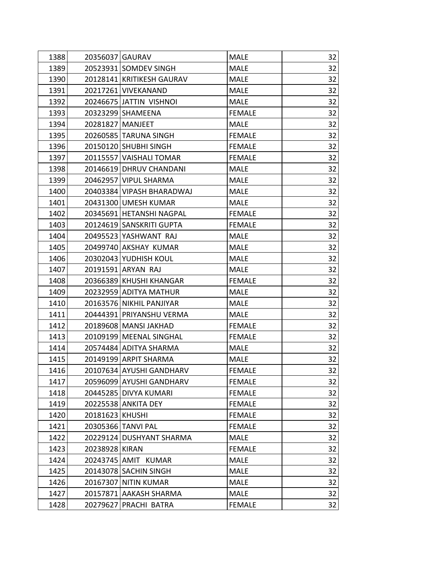| 1388 | 20356037 GAURAV    |                           | <b>MALE</b>   | 32 |
|------|--------------------|---------------------------|---------------|----|
| 1389 |                    | 20523931 SOMDEV SINGH     | <b>MALE</b>   | 32 |
| 1390 |                    | 20128141 KRITIKESH GAURAV | <b>MALE</b>   | 32 |
| 1391 |                    | 20217261 VIVEKANAND       | <b>MALE</b>   | 32 |
| 1392 |                    | 20246675 JATTIN VISHNOI   | <b>MALE</b>   | 32 |
| 1393 |                    | 20323299 SHAMEENA         | <b>FEMALE</b> | 32 |
| 1394 | 20281827   MANJEET |                           | <b>MALE</b>   | 32 |
| 1395 |                    | 20260585 TARUNA SINGH     | <b>FEMALE</b> | 32 |
| 1396 |                    | 20150120 SHUBHI SINGH     | <b>FEMALE</b> | 32 |
| 1397 |                    | 20115557 VAISHALI TOMAR   | <b>FEMALE</b> | 32 |
| 1398 |                    | 20146619 DHRUV CHANDANI   | <b>MALE</b>   | 32 |
| 1399 |                    | 20462957 VIPUL SHARMA     | <b>MALE</b>   | 32 |
| 1400 |                    | 20403384 VIPASH BHARADWAJ | <b>MALE</b>   | 32 |
| 1401 |                    | 20431300 UMESH KUMAR      | <b>MALE</b>   | 32 |
| 1402 |                    | 20345691 HETANSHI NAGPAL  | <b>FEMALE</b> | 32 |
| 1403 |                    | 20124619 SANSKRITI GUPTA  | <b>FEMALE</b> | 32 |
| 1404 |                    | 20495523 YASHWANT RAJ     | <b>MALE</b>   | 32 |
| 1405 |                    | 20499740 AKSHAY KUMAR     | <b>MALE</b>   | 32 |
| 1406 |                    | 20302043 YUDHISH KOUL     | <b>MALE</b>   | 32 |
| 1407 |                    | 20191591 ARYAN RAJ        | <b>MALE</b>   | 32 |
| 1408 |                    | 20366389 KHUSHI KHANGAR   | <b>FEMALE</b> | 32 |
| 1409 |                    | 20232959 ADITYA MATHUR    | <b>MALE</b>   | 32 |
| 1410 |                    | 20163576 NIKHIL PANJIYAR  | <b>MALE</b>   | 32 |
| 1411 |                    | 20444391 PRIYANSHU VERMA  | <b>MALE</b>   | 32 |
| 1412 |                    | 20189608 MANSI JAKHAD     | <b>FEMALE</b> | 32 |
| 1413 |                    | 20109199 MEENAL SINGHAL   | <b>FEMALE</b> | 32 |
| 1414 |                    | 20574484 ADITYA SHARMA    | <b>MALE</b>   | 32 |
| 1415 |                    | 20149199 ARPIT SHARMA     | <b>MALE</b>   | 32 |
| 1416 |                    | 20107634 AYUSHI GANDHARV  | <b>FEMALE</b> | 32 |
| 1417 |                    | 20596099 AYUSHI GANDHARV  | <b>FEMALE</b> | 32 |
| 1418 |                    | 20445285 DIVYA KUMARI     | <b>FEMALE</b> | 32 |
| 1419 |                    | 20225538 ANKITA DEY       | <b>FEMALE</b> | 32 |
| 1420 | 20181623 KHUSHI    |                           | <b>FEMALE</b> | 32 |
| 1421 |                    | 20305366 TANVI PAL        | <b>FEMALE</b> | 32 |
| 1422 |                    | 20229124 DUSHYANT SHARMA  | <b>MALE</b>   | 32 |
| 1423 | 20238928 KIRAN     |                           | <b>FEMALE</b> | 32 |
| 1424 |                    | 20243745 AMIT KUMAR       | <b>MALE</b>   | 32 |
| 1425 |                    | 20143078 SACHIN SINGH     | <b>MALE</b>   | 32 |
| 1426 |                    | 20167307 NITIN KUMAR      | <b>MALE</b>   | 32 |
| 1427 |                    | 20157871 AAKASH SHARMA    | <b>MALE</b>   | 32 |
| 1428 | 20279627           | PRACHI BATRA              | <b>FEMALE</b> | 32 |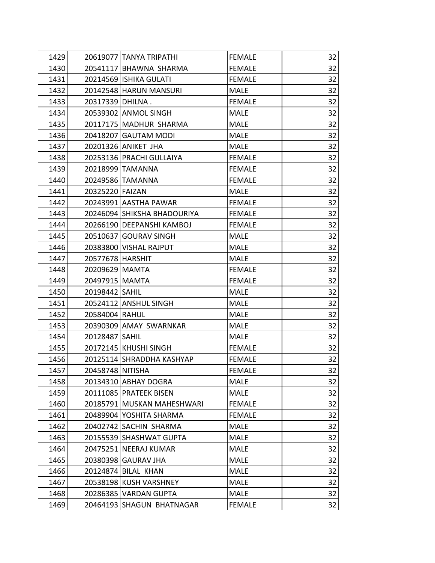| 1429 |                  | 20619077 TANYA TRIPATHI     | <b>FEMALE</b> | 32 |
|------|------------------|-----------------------------|---------------|----|
| 1430 |                  | 20541117 BHAWNA SHARMA      | <b>FEMALE</b> | 32 |
| 1431 |                  | 20214569 ISHIKA GULATI      | <b>FEMALE</b> | 32 |
| 1432 |                  | 20142548 HARUN MANSURI      | <b>MALE</b>   | 32 |
| 1433 | 20317339 DHILNA. |                             | <b>FEMALE</b> | 32 |
| 1434 |                  | 20539302 ANMOL SINGH        | <b>MALE</b>   | 32 |
| 1435 |                  | 20117175 MADHUR SHARMA      | <b>MALE</b>   | 32 |
| 1436 |                  | 20418207 GAUTAM MODI        | <b>MALE</b>   | 32 |
| 1437 |                  | 20201326 ANIKET JHA         | <b>MALE</b>   | 32 |
| 1438 |                  | 20253136 PRACHI GULLAIYA    | <b>FEMALE</b> | 32 |
| 1439 |                  | 20218999 TAMANNA            | <b>FEMALE</b> | 32 |
| 1440 |                  | 20249586 TAMANNA            | <b>FEMALE</b> | 32 |
| 1441 | 20325220 FAIZAN  |                             | MALE          | 32 |
| 1442 |                  | 20243991 AASTHA PAWAR       | <b>FEMALE</b> | 32 |
| 1443 |                  | 20246094 SHIKSHA BHADOURIYA | <b>FEMALE</b> | 32 |
| 1444 |                  | 20266190 DEEPANSHI KAMBOJ   | <b>FEMALE</b> | 32 |
| 1445 |                  | 20510637 GOURAV SINGH       | <b>MALE</b>   | 32 |
| 1446 |                  | 20383800 VISHAL RAJPUT      | <b>MALE</b>   | 32 |
| 1447 | 20577678 HARSHIT |                             | <b>MALE</b>   | 32 |
| 1448 | 20209629 MAMTA   |                             | <b>FEMALE</b> | 32 |
| 1449 | 20497915 MAMTA   |                             | <b>FEMALE</b> | 32 |
| 1450 | 20198442 SAHIL   |                             | <b>MALE</b>   | 32 |
| 1451 |                  | 20524112 ANSHUL SINGH       | <b>MALE</b>   | 32 |
| 1452 | 20584004 RAHUL   |                             | <b>MALE</b>   | 32 |
| 1453 |                  | 20390309 AMAY SWARNKAR      | <b>MALE</b>   | 32 |
| 1454 | 20128487 SAHIL   |                             | <b>MALE</b>   | 32 |
| 1455 |                  | 20172145 KHUSHI SINGH       | <b>FEMALE</b> | 32 |
| 1456 |                  | 20125114 SHRADDHA KASHYAP   | <b>FEMALE</b> | 32 |
| 1457 | 20458748 NITISHA |                             | <b>FEMALE</b> | 32 |
| 1458 |                  | 20134310 ABHAY DOGRA        | <b>MALE</b>   | 32 |
| 1459 |                  | 20111085 PRATEEK BISEN      | <b>MALE</b>   | 32 |
| 1460 |                  | 20185791 MUSKAN MAHESHWARI  | <b>FEMALE</b> | 32 |
| 1461 |                  | 20489904 YOSHITA SHARMA     | <b>FEMALE</b> | 32 |
| 1462 |                  | 20402742 SACHIN SHARMA      | <b>MALE</b>   | 32 |
| 1463 |                  | 20155539 SHASHWAT GUPTA     | <b>MALE</b>   | 32 |
| 1464 |                  | 20475251 NEERAJ KUMAR       | <b>MALE</b>   | 32 |
| 1465 |                  | 20380398 GAURAV JHA         | <b>MALE</b>   | 32 |
| 1466 |                  | 20124874 BILAL KHAN         | <b>MALE</b>   | 32 |
| 1467 |                  | 20538198 KUSH VARSHNEY      | <b>MALE</b>   | 32 |
| 1468 |                  | 20286385 VARDAN GUPTA       | <b>MALE</b>   | 32 |
| 1469 |                  | 20464193 SHAGUN BHATNAGAR   | <b>FEMALE</b> | 32 |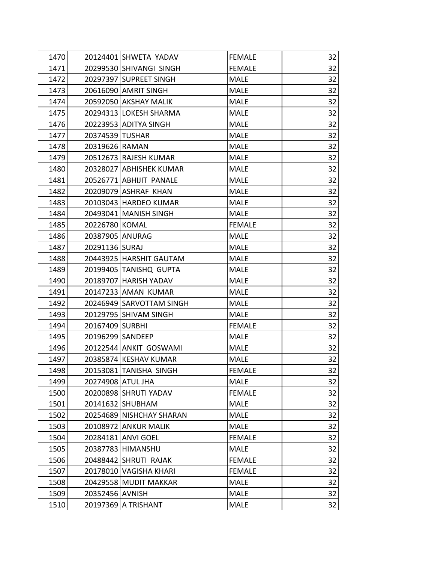| 1470 |                  | 20124401 SHWETA YADAV    | <b>FEMALE</b> | 32 |
|------|------------------|--------------------------|---------------|----|
| 1471 |                  | 20299530 SHIVANGI SINGH  | <b>FEMALE</b> | 32 |
| 1472 |                  | 20297397 SUPREET SINGH   | <b>MALE</b>   | 32 |
| 1473 |                  | 20616090 AMRIT SINGH     | <b>MALE</b>   | 32 |
| 1474 |                  | 20592050 AKSHAY MALIK    | <b>MALE</b>   | 32 |
| 1475 |                  | 20294313 LOKESH SHARMA   | <b>MALE</b>   | 32 |
| 1476 |                  | 20223953 ADITYA SINGH    | <b>MALE</b>   | 32 |
| 1477 | 20374539 TUSHAR  |                          | <b>MALE</b>   | 32 |
| 1478 | 20319626 RAMAN   |                          | <b>MALE</b>   | 32 |
| 1479 |                  | 20512673 RAJESH KUMAR    | <b>MALE</b>   | 32 |
| 1480 |                  | 20328027 ABHISHEK KUMAR  | <b>MALE</b>   | 32 |
| 1481 |                  | 20526771 ABHIJIT PANALE  | <b>MALE</b>   | 32 |
| 1482 |                  | 20209079 ASHRAF KHAN     | <b>MALE</b>   | 32 |
| 1483 |                  | 20103043 HARDEO KUMAR    | <b>MALE</b>   | 32 |
| 1484 |                  | 20493041   MANISH SINGH  | <b>MALE</b>   | 32 |
| 1485 | 20226780 KOMAL   |                          | <b>FEMALE</b> | 32 |
| 1486 | 20387905 ANURAG  |                          | <b>MALE</b>   | 32 |
| 1487 | 20291136 SURAJ   |                          | <b>MALE</b>   | 32 |
| 1488 |                  | 20443925 HARSHIT GAUTAM  | <b>MALE</b>   | 32 |
| 1489 |                  | 20199405 TANISHQ GUPTA   | <b>MALE</b>   | 32 |
| 1490 |                  | 20189707   HARISH YADAV  | <b>MALE</b>   | 32 |
| 1491 |                  | 20147233 AMAN KUMAR      | <b>MALE</b>   | 32 |
| 1492 |                  | 20246949 SARVOTTAM SINGH | <b>MALE</b>   | 32 |
| 1493 |                  | 20129795 SHIVAM SINGH    | <b>MALE</b>   | 32 |
| 1494 | 20167409 SURBHI  |                          | <b>FEMALE</b> | 32 |
| 1495 | 20196299 SANDEEP |                          | <b>MALE</b>   | 32 |
| 1496 |                  | 20122544 ANKIT GOSWAMI   | <b>MALE</b>   | 32 |
| 1497 |                  | 20385874 KESHAV KUMAR    | <b>MALE</b>   | 32 |
| 1498 |                  | 20153081 TANISHA SINGH   | <b>FEMALE</b> | 32 |
| 1499 |                  | 20274908 ATUL JHA        | <b>MALE</b>   | 32 |
| 1500 |                  | 20200898 SHRUTI YADAV    | <b>FEMALE</b> | 32 |
| 1501 |                  | 20141632 SHUBHAM         | <b>MALE</b>   | 32 |
| 1502 |                  | 20254689 NISHCHAY SHARAN | <b>MALE</b>   | 32 |
| 1503 |                  | 20108972 ANKUR MALIK     | <b>MALE</b>   | 32 |
| 1504 |                  | 20284181 ANVI GOEL       | <b>FEMALE</b> | 32 |
| 1505 |                  | 20387783 HIMANSHU        | <b>MALE</b>   | 32 |
| 1506 |                  | 20488442 SHRUTI RAJAK    | <b>FEMALE</b> | 32 |
| 1507 |                  | 20178010 VAGISHA KHARI   | <b>FEMALE</b> | 32 |
| 1508 |                  | 20429558 MUDIT MAKKAR    | <b>MALE</b>   | 32 |
| 1509 | 20352456 AVNISH  |                          | <b>MALE</b>   | 32 |
| 1510 |                  | 20197369 A TRISHANT      | <b>MALE</b>   | 32 |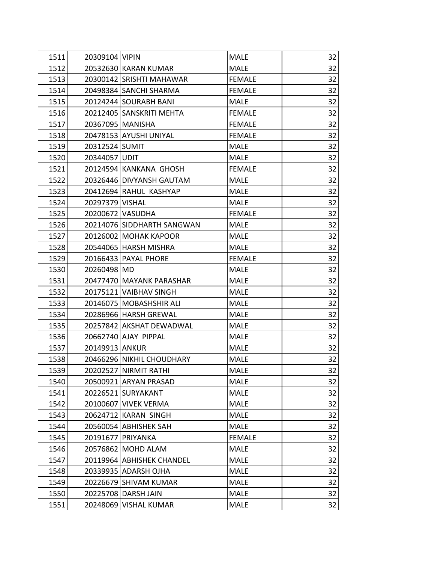| 1511 | 20309104 VIPIN     |                            | <b>MALE</b>   | 32 |
|------|--------------------|----------------------------|---------------|----|
| 1512 |                    | 20532630 KARAN KUMAR       | <b>MALE</b>   | 32 |
| 1513 |                    | 20300142 SRISHTI MAHAWAR   | <b>FEMALE</b> | 32 |
| 1514 |                    | 20498384 SANCHI SHARMA     | <b>FEMALE</b> | 32 |
| 1515 |                    | 20124244 SOURABH BANI      | <b>MALE</b>   | 32 |
| 1516 |                    | 20212405 SANSKRITI MEHTA   | <b>FEMALE</b> | 32 |
| 1517 | 20367095   MANISHA |                            | <b>FEMALE</b> | 32 |
| 1518 |                    | 20478153 AYUSHI UNIYAL     | <b>FEMALE</b> | 32 |
| 1519 | 20312524 SUMIT     |                            | <b>MALE</b>   | 32 |
| 1520 | 20344057 UDIT      |                            | <b>MALE</b>   | 32 |
| 1521 |                    | 20124594 KANKANA GHOSH     | <b>FEMALE</b> | 32 |
| 1522 |                    | 20326446 DIVYANSH GAUTAM   | <b>MALE</b>   | 32 |
| 1523 |                    | 20412694 RAHUL KASHYAP     | <b>MALE</b>   | 32 |
| 1524 | 20297379 VISHAL    |                            | <b>MALE</b>   | 32 |
| 1525 | 20200672 VASUDHA   |                            | <b>FEMALE</b> | 32 |
| 1526 |                    | 20214076 SIDDHARTH SANGWAN | <b>MALE</b>   | 32 |
| 1527 |                    | 20126002 MOHAK KAPOOR      | <b>MALE</b>   | 32 |
| 1528 |                    | 20544065 HARSH MISHRA      | <b>MALE</b>   | 32 |
| 1529 |                    | 20166433   PAYAL PHORE     | <b>FEMALE</b> | 32 |
| 1530 | 20260498 MD        |                            | <b>MALE</b>   | 32 |
| 1531 |                    | 20477470 MAYANK PARASHAR   | <b>MALE</b>   | 32 |
| 1532 |                    | 20175121 VAIBHAV SINGH     | <b>MALE</b>   | 32 |
| 1533 |                    | 20146075   MOBASHSHIR ALI  | <b>MALE</b>   | 32 |
| 1534 |                    | 20286966 HARSH GREWAL      | <b>MALE</b>   | 32 |
| 1535 |                    | 20257842 AKSHAT DEWADWAL   | <b>MALE</b>   | 32 |
| 1536 |                    | 20662740 AJAY PIPPAL       | <b>MALE</b>   | 32 |
| 1537 | 20149913 ANKUR     |                            | <b>MALE</b>   | 32 |
| 1538 |                    | 20466296 NIKHIL CHOUDHARY  | <b>MALE</b>   | 32 |
| 1539 |                    | 20202527 NIRMIT RATHI      | MALE          | 32 |
| 1540 |                    | 20500921 ARYAN PRASAD      | <b>MALE</b>   | 32 |
| 1541 |                    | 20226521 SURYAKANT         | <b>MALE</b>   | 32 |
| 1542 |                    | 20100607 VIVEK VERMA       | <b>MALE</b>   | 32 |
| 1543 |                    | 20624712 KARAN SINGH       | <b>MALE</b>   | 32 |
| 1544 |                    | 20560054 ABHISHEK SAH      | <b>MALE</b>   | 32 |
| 1545 | 20191677           | <b>PRIYANKA</b>            | <b>FEMALE</b> | 32 |
| 1546 |                    | 20576862 MOHD ALAM         | <b>MALE</b>   | 32 |
| 1547 |                    | 20119964 ABHISHEK CHANDEL  | <b>MALE</b>   | 32 |
| 1548 |                    | 20339935 ADARSH OJHA       | <b>MALE</b>   | 32 |
| 1549 |                    | 20226679 SHIVAM KUMAR      | <b>MALE</b>   | 32 |
| 1550 |                    | 20225708 DARSH JAIN        | <b>MALE</b>   | 32 |
| 1551 |                    | 20248069 VISHAL KUMAR      | <b>MALE</b>   | 32 |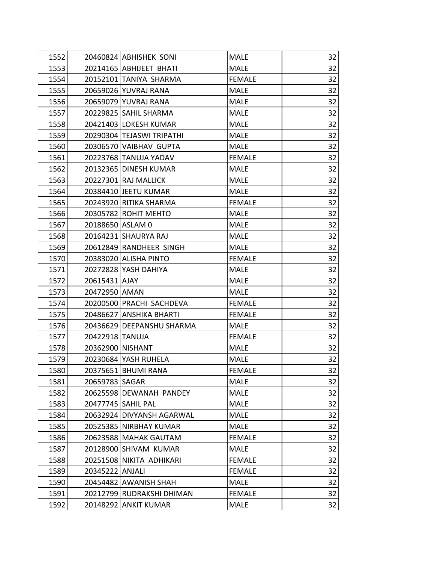| 1552 |                  | 20460824 ABHISHEK SONI    | <b>MALE</b>   | 32 |
|------|------------------|---------------------------|---------------|----|
| 1553 |                  | 20214165 ABHIJEET BHATI   | <b>MALE</b>   | 32 |
| 1554 |                  | 20152101 TANIYA SHARMA    | <b>FEMALE</b> | 32 |
| 1555 |                  | 20659026 YUVRAJ RANA      | <b>MALE</b>   | 32 |
| 1556 |                  | 20659079 YUVRAJ RANA      | <b>MALE</b>   | 32 |
| 1557 |                  | 20229825 SAHIL SHARMA     | <b>MALE</b>   | 32 |
| 1558 |                  | 20421403 LOKESH KUMAR     | <b>MALE</b>   | 32 |
| 1559 |                  | 20290304 TEJASWI TRIPATHI | <b>MALE</b>   | 32 |
| 1560 |                  | 20306570 VAIBHAV GUPTA    | <b>MALE</b>   | 32 |
| 1561 |                  | 20223768 TANUJA YADAV     | <b>FEMALE</b> | 32 |
| 1562 |                  | 20132365 DINESH KUMAR     | <b>MALE</b>   | 32 |
| 1563 |                  | 20227301 RAJ MALLICK      | <b>MALE</b>   | 32 |
| 1564 |                  | 20384410 JEETU KUMAR      | <b>MALE</b>   | 32 |
| 1565 |                  | 20243920 RITIKA SHARMA    | <b>FEMALE</b> | 32 |
| 1566 |                  | 20305782 ROHIT MEHTO      | <b>MALE</b>   | 32 |
| 1567 | 20188650 ASLAM 0 |                           | <b>MALE</b>   | 32 |
| 1568 |                  | 20164231 SHAURYA RAJ      | <b>MALE</b>   | 32 |
| 1569 |                  | 20612849 RANDHEER SINGH   | <b>MALE</b>   | 32 |
| 1570 |                  | 20383020 ALISHA PINTO     | <b>FEMALE</b> | 32 |
| 1571 |                  | 20272828 YASH DAHIYA      | <b>MALE</b>   | 32 |
| 1572 | 20615431 AJAY    |                           | <b>MALE</b>   | 32 |
| 1573 | 20472950 AMAN    |                           | <b>MALE</b>   | 32 |
| 1574 |                  | 20200500 PRACHI SACHDEVA  | <b>FEMALE</b> | 32 |
| 1575 |                  | 20486627 ANSHIKA BHARTI   | <b>FEMALE</b> | 32 |
| 1576 |                  | 20436629 DEEPANSHU SHARMA | <b>MALE</b>   | 32 |
| 1577 | 20422918 TANUJA  |                           | <b>FEMALE</b> | 32 |
| 1578 | 20362900 NISHANT |                           | <b>MALE</b>   | 32 |
| 1579 |                  | 20230684 YASH RUHELA      | <b>MALE</b>   | 32 |
| 1580 |                  | 20375651 BHUMI RANA       | <b>FEMALE</b> | 32 |
| 1581 | 20659783 SAGAR   |                           | <b>MALE</b>   | 32 |
| 1582 |                  | 20625598 DEWANAH PANDEY   | <b>MALE</b>   | 32 |
| 1583 |                  | 20477745   SAHIL PAL      | <b>MALE</b>   | 32 |
| 1584 |                  | 20632924 DIVYANSH AGARWAL | <b>MALE</b>   | 32 |
| 1585 |                  | 20525385 NIRBHAY KUMAR    | <b>MALE</b>   | 32 |
| 1586 |                  | 20623588 MAHAK GAUTAM     | <b>FEMALE</b> | 32 |
| 1587 |                  | 20128900 SHIVAM KUMAR     | <b>MALE</b>   | 32 |
| 1588 |                  | 20251508 NIKITA ADHIKARI  | <b>FEMALE</b> | 32 |
| 1589 | 20345222 ANJALI  |                           | <b>FEMALE</b> | 32 |
| 1590 |                  | 20454482 AWANISH SHAH     | <b>MALE</b>   | 32 |
| 1591 |                  | 20212799 RUDRAKSHI DHIMAN | <b>FEMALE</b> | 32 |
| 1592 |                  | 20148292 ANKIT KUMAR      | <b>MALE</b>   | 32 |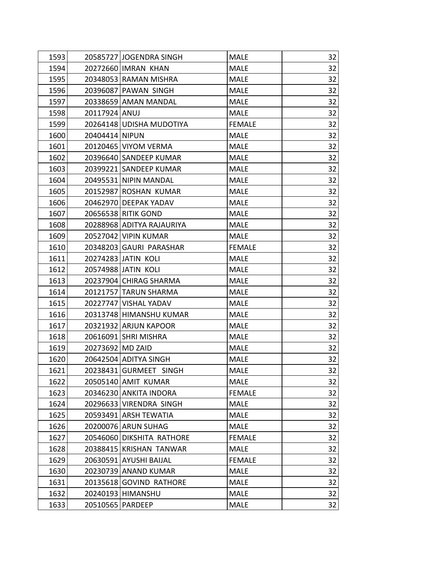| 1593 | 20585727 JOGENDRA SINGH   | <b>MALE</b>   | 32 |
|------|---------------------------|---------------|----|
| 1594 | 20272660 IMRAN KHAN       | <b>MALE</b>   | 32 |
| 1595 | 20348053 RAMAN MISHRA     | <b>MALE</b>   | 32 |
| 1596 | 20396087 PAWAN SINGH      | <b>MALE</b>   | 32 |
| 1597 | 20338659 AMAN MANDAL      | <b>MALE</b>   | 32 |
| 1598 | 20117924 ANUJ             | <b>MALE</b>   | 32 |
| 1599 | 20264148 UDISHA MUDOTIYA  | <b>FEMALE</b> | 32 |
| 1600 | 20404414 NIPUN            | <b>MALE</b>   | 32 |
| 1601 | 20120465 VIYOM VERMA      | <b>MALE</b>   | 32 |
| 1602 | 20396640 SANDEEP KUMAR    | <b>MALE</b>   | 32 |
| 1603 | 20399221 SANDEEP KUMAR    | <b>MALE</b>   | 32 |
| 1604 | 20495531 NIPIN MANDAL     | <b>MALE</b>   | 32 |
| 1605 | 20152987 ROSHAN KUMAR     | <b>MALE</b>   | 32 |
| 1606 | 20462970 DEEPAK YADAV     | <b>MALE</b>   | 32 |
| 1607 | 20656538 RITIK GOND       | <b>MALE</b>   | 32 |
| 1608 | 20288968 ADITYA RAJAURIYA | <b>MALE</b>   | 32 |
| 1609 | 20527042 VIPIN KUMAR      | <b>MALE</b>   | 32 |
| 1610 | 20348203 GAURI PARASHAR   | <b>FEMALE</b> | 32 |
| 1611 | 20274283 JATIN KOLI       | <b>MALE</b>   | 32 |
| 1612 | 20574988 JATIN KOLI       | <b>MALE</b>   | 32 |
| 1613 | 20237904 CHIRAG SHARMA    | <b>MALE</b>   | 32 |
| 1614 | 20121757 TARUN SHARMA     | <b>MALE</b>   | 32 |
| 1615 | 20227747 VISHAL YADAV     | <b>MALE</b>   | 32 |
| 1616 | 20313748 HIMANSHU KUMAR   | <b>MALE</b>   | 32 |
| 1617 | 20321932 ARJUN KAPOOR     | <b>MALE</b>   | 32 |
| 1618 | 20616091 SHRI MISHRA      | <b>MALE</b>   | 32 |
| 1619 | 20273692 MD ZAID          | <b>MALE</b>   | 32 |
| 1620 | 20642504 ADITYA SINGH     | <b>MALE</b>   | 32 |
| 1621 | 20238431 GURMEET SINGH    | <b>MALE</b>   | 32 |
| 1622 | 20505140 AMIT KUMAR       | <b>MALE</b>   | 32 |
| 1623 | 20346230 ANKITA INDORA    | <b>FEMALE</b> | 32 |
| 1624 | 20296633 VIRENDRA SINGH   | <b>MALE</b>   | 32 |
| 1625 | 20593491 ARSH TEWATIA     | <b>MALE</b>   | 32 |
| 1626 | 20200076 ARUN SUHAG       | <b>MALE</b>   | 32 |
| 1627 | 20546060 DIKSHITA RATHORE | <b>FEMALE</b> | 32 |
| 1628 | 20388415 KRISHAN TANWAR   | <b>MALE</b>   | 32 |
| 1629 | 20630591 AYUSHI BAIJAL    | <b>FEMALE</b> | 32 |
| 1630 | 20230739 ANAND KUMAR      | <b>MALE</b>   | 32 |
| 1631 | 20135618 GOVIND RATHORE   | <b>MALE</b>   | 32 |
| 1632 | 20240193 HIMANSHU         | <b>MALE</b>   | 32 |
| 1633 | 20510565   PARDEEP        | <b>MALE</b>   | 32 |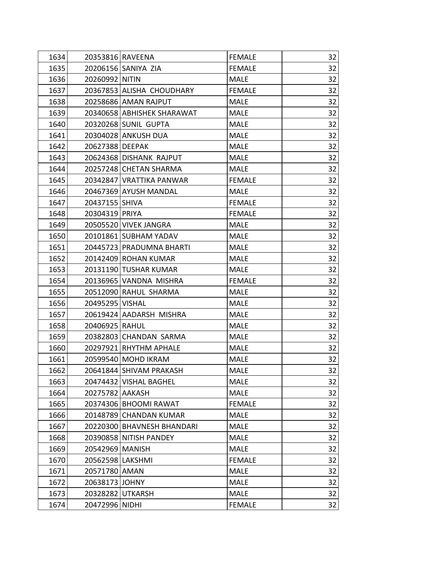| 1634 | 20353816 RAVEENA           | <b>FEMALE</b> | 32 |
|------|----------------------------|---------------|----|
| 1635 | 20206156 SANIYA ZIA        | <b>FEMALE</b> | 32 |
| 1636 | 20260992 NITIN             | <b>MALE</b>   | 32 |
| 1637 | 20367853 ALISHA CHOUDHARY  | <b>FEMALE</b> | 32 |
| 1638 | 20258686 AMAN RAJPUT       | <b>MALE</b>   | 32 |
| 1639 | 20340658 ABHISHEK SHARAWAT | <b>MALE</b>   | 32 |
| 1640 | 20320268 SUNIL GUPTA       | <b>MALE</b>   | 32 |
| 1641 | 20304028 ANKUSH DUA        | <b>MALE</b>   | 32 |
| 1642 | 20627388 DEEPAK            | <b>MALE</b>   | 32 |
| 1643 | 20624368 DISHANK RAJPUT    | <b>MALE</b>   | 32 |
| 1644 | 20257248 CHETAN SHARMA     | <b>MALE</b>   | 32 |
| 1645 | 20342847 VRATTIKA PANWAR   | <b>FEMALE</b> | 32 |
| 1646 | 20467369 AYUSH MANDAL      | <b>MALE</b>   | 32 |
| 1647 | 20437155 SHIVA             | <b>FEMALE</b> | 32 |
| 1648 | 20304319 PRIYA             | <b>FEMALE</b> | 32 |
| 1649 | 20505520 VIVEK JANGRA      | <b>MALE</b>   | 32 |
| 1650 | 20101861 SUBHAM YADAV      | <b>MALE</b>   | 32 |
| 1651 | 20445723 PRADUMNA BHARTI   | <b>MALE</b>   | 32 |
| 1652 | 20142409 ROHAN KUMAR       | <b>MALE</b>   | 32 |
| 1653 | 20131190 TUSHAR KUMAR      | <b>MALE</b>   | 32 |
| 1654 | 20136965 VANDNA MISHRA     | <b>FEMALE</b> | 32 |
| 1655 | 20512090 RAHUL SHARMA      | <b>MALE</b>   | 32 |
| 1656 | 20495295 VISHAL            | <b>MALE</b>   | 32 |
| 1657 | 20619424 AADARSH MISHRA    | <b>MALE</b>   | 32 |
| 1658 | 20406925 RAHUL             | <b>MALE</b>   | 32 |
| 1659 | 20382803 CHANDAN SARMA     | <b>MALE</b>   | 32 |
| 1660 | 20297921 RHYTHM APHALE     | <b>MALE</b>   | 32 |
| 1661 | 20599540 MOHD IKRAM        | <b>MALE</b>   | 32 |
| 1662 | 20641844 SHIVAM PRAKASH    | <b>MALE</b>   | 32 |
| 1663 | 20474432 VISHAL BAGHEL     | <b>MALE</b>   | 32 |
| 1664 | 20275782 AAKASH            | <b>MALE</b>   | 32 |
| 1665 | 20374306 BHOOMI RAWAT      | <b>FEMALE</b> | 32 |
| 1666 | 20148789 CHANDAN KUMAR     | <b>MALE</b>   | 32 |
| 1667 | 20220300 BHAVNESH BHANDARI | <b>MALE</b>   | 32 |
| 1668 | 20390858 NITISH PANDEY     | <b>MALE</b>   | 32 |
| 1669 | 20542969 MANISH            | <b>MALE</b>   | 32 |
| 1670 | 20562598   LAKSHMI         | <b>FEMALE</b> | 32 |
| 1671 | 20571780 AMAN              | <b>MALE</b>   | 32 |
| 1672 | 20638173<br><b>JOHNY</b>   | <b>MALE</b>   | 32 |
| 1673 | 20328282 UTKARSH           | <b>MALE</b>   | 32 |
| 1674 | 20472996 NIDHI             | <b>FEMALE</b> | 32 |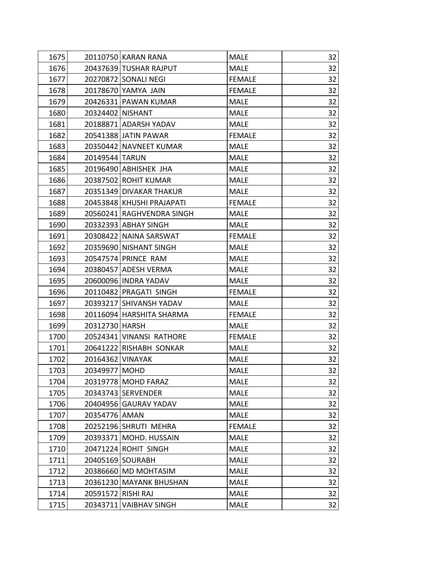| 1675 | 20110750 KARAN RANA              | <b>MALE</b>   | 32 |
|------|----------------------------------|---------------|----|
| 1676 | 20437639 TUSHAR RAJPUT           | <b>MALE</b>   | 32 |
| 1677 | 20270872 SONALI NEGI             | <b>FEMALE</b> | 32 |
| 1678 | 20178670 YAMYA JAIN              | <b>FEMALE</b> | 32 |
| 1679 | 20426331 PAWAN KUMAR             | <b>MALE</b>   | 32 |
| 1680 | 20324402 NISHANT                 | <b>MALE</b>   | 32 |
| 1681 | 20188871 ADARSH YADAV            | <b>MALE</b>   | 32 |
| 1682 | 20541388 JATIN PAWAR             | <b>FEMALE</b> | 32 |
| 1683 | 20350442 NAVNEET KUMAR           | <b>MALE</b>   | 32 |
| 1684 | 20149544 TARUN                   | <b>MALE</b>   | 32 |
| 1685 | 20196490 ABHISHEK JHA            | <b>MALE</b>   | 32 |
| 1686 | 20387502 ROHIT KUMAR             | <b>MALE</b>   | 32 |
| 1687 | 20351349 DIVAKAR THAKUR          | <b>MALE</b>   | 32 |
| 1688 | 20453848 KHUSHI PRAJAPATI        | <b>FEMALE</b> | 32 |
| 1689 | 20560241 RAGHVENDRA SINGH        | <b>MALE</b>   | 32 |
| 1690 | 20332393 ABHAY SINGH             | <b>MALE</b>   | 32 |
| 1691 | 20308422 NAINA SARSWAT           | <b>FEMALE</b> | 32 |
| 1692 | 20359690 NISHANT SINGH           | <b>MALE</b>   | 32 |
| 1693 | 20547574 PRINCE RAM              | <b>MALE</b>   | 32 |
| 1694 | 20380457 ADESH VERMA             | <b>MALE</b>   | 32 |
| 1695 | 20600096 INDRA YADAV             | <b>MALE</b>   | 32 |
| 1696 | 20110482 PRAGATI SINGH           | <b>FEMALE</b> | 32 |
| 1697 | 20393217 SHIVANSH YADAV          | <b>MALE</b>   | 32 |
| 1698 | 20116094 HARSHITA SHARMA         | <b>FEMALE</b> | 32 |
| 1699 | 20312730 HARSH                   | <b>MALE</b>   | 32 |
| 1700 | 20524341 VINANSI RATHORE         | <b>FEMALE</b> | 32 |
| 1701 | 20641222 RISHABH SONKAR          | <b>MALE</b>   | 32 |
| 1702 | 20164362 VINAYAK                 | <b>MALE</b>   | 32 |
| 1703 | 20349977 MOHD                    | <b>MALE</b>   | 32 |
| 1704 | 20319778 MOHD FARAZ              | <b>MALE</b>   | 32 |
| 1705 | 20343743 SERVENDER               | <b>MALE</b>   | 32 |
| 1706 | 20404956 GAURAV YADAV            | <b>MALE</b>   | 32 |
| 1707 | 20354776 AMAN                    | <b>MALE</b>   | 32 |
| 1708 | 20252196 SHRUTI MEHRA            | <b>FEMALE</b> | 32 |
| 1709 | 20393371 MOHD. HUSSAIN           | <b>MALE</b>   | 32 |
| 1710 | 20471224 ROHIT SINGH             | <b>MALE</b>   | 32 |
| 1711 | 20405169 SOURABH                 | <b>MALE</b>   | 32 |
| 1712 | 20386660 MD MOHTASIM             | <b>MALE</b>   | 32 |
| 1713 | 20361230 MAYANK BHUSHAN          | <b>MALE</b>   | 32 |
| 1714 | 20591572 RISHI RAJ               | <b>MALE</b>   | 32 |
| 1715 | 20343711<br><b>VAIBHAV SINGH</b> | <b>MALE</b>   | 32 |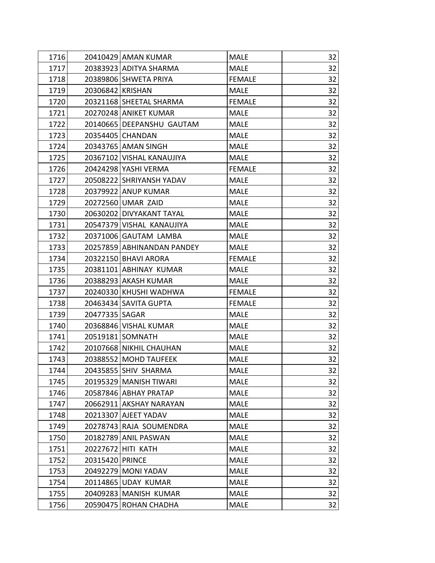| 1716 |                  | 20410429 AMAN KUMAR         | <b>MALE</b>   | 32 |
|------|------------------|-----------------------------|---------------|----|
| 1717 |                  | 20383923 ADITYA SHARMA      | <b>MALE</b>   | 32 |
| 1718 |                  | 20389806 SHWETA PRIYA       | <b>FEMALE</b> | 32 |
| 1719 | 20306842 KRISHAN |                             | <b>MALE</b>   | 32 |
| 1720 |                  | 20321168 SHEETAL SHARMA     | <b>FEMALE</b> | 32 |
| 1721 |                  | 20270248 ANIKET KUMAR       | <b>MALE</b>   | 32 |
| 1722 |                  | 20140665   DEEPANSHU GAUTAM | <b>MALE</b>   | 32 |
| 1723 |                  | 20354405 CHANDAN            | <b>MALE</b>   | 32 |
| 1724 |                  | 20343765 AMAN SINGH         | <b>MALE</b>   | 32 |
| 1725 |                  | 20367102 VISHAL KANAUJIYA   | <b>MALE</b>   | 32 |
| 1726 |                  | 20424298 YASHI VERMA        | <b>FEMALE</b> | 32 |
| 1727 |                  | 20508222 SHRIYANSH YADAV    | <b>MALE</b>   | 32 |
| 1728 |                  | 20379922 ANUP KUMAR         | <b>MALE</b>   | 32 |
| 1729 |                  | 20272560 UMAR ZAID          | <b>MALE</b>   | 32 |
| 1730 |                  | 20630202 DIVYAKANT TAYAL    | <b>MALE</b>   | 32 |
| 1731 |                  | 20547379 VISHAL KANAUJIYA   | <b>MALE</b>   | 32 |
| 1732 |                  | 20371006 GAUTAM LAMBA       | <b>MALE</b>   | 32 |
| 1733 |                  | 20257859 ABHINANDAN PANDEY  | MALE          | 32 |
| 1734 |                  | 20322150 BHAVI ARORA        | <b>FEMALE</b> | 32 |
| 1735 |                  | 20381101 ABHINAY KUMAR      | <b>MALE</b>   | 32 |
| 1736 |                  | 20388293 AKASH KUMAR        | <b>MALE</b>   | 32 |
| 1737 |                  | 20240330 KHUSHI WADHWA      | <b>FEMALE</b> | 32 |
| 1738 |                  | 20463434 SAVITA GUPTA       | <b>FEMALE</b> | 32 |
| 1739 | 20477335   SAGAR |                             | <b>MALE</b>   | 32 |
| 1740 |                  | 20368846 VISHAL KUMAR       | <b>MALE</b>   | 32 |
| 1741 |                  | 20519181 SOMNATH            | <b>MALE</b>   | 32 |
| 1742 |                  | 20107668 NIKHIL CHAUHAN     | <b>MALE</b>   | 32 |
| 1743 |                  | 20388552 MOHD TAUFEEK       | <b>MALE</b>   | 32 |
| 1744 |                  | 20435855 SHIV SHARMA        | <b>MALE</b>   | 32 |
| 1745 |                  | 20195329 MANISH TIWARI      | <b>MALE</b>   | 32 |
| 1746 |                  | 20587846 ABHAY PRATAP       | <b>MALE</b>   | 32 |
| 1747 |                  | 20662911 AKSHAY NARAYAN     | <b>MALE</b>   | 32 |
| 1748 |                  | 20213307 AJEET YADAV        | <b>MALE</b>   | 32 |
| 1749 |                  | 20278743 RAJA SOUMENDRA     | <b>MALE</b>   | 32 |
| 1750 |                  | 20182789 ANIL PASWAN        | <b>MALE</b>   | 32 |
| 1751 |                  | 20227672 HITI KATH          | <b>MALE</b>   | 32 |
| 1752 | 20315420 PRINCE  |                             | <b>MALE</b>   | 32 |
| 1753 |                  | 20492279 MONI YADAV         | <b>MALE</b>   | 32 |
| 1754 |                  | 20114865 UDAY KUMAR         | <b>MALE</b>   | 32 |
| 1755 |                  | 20409283 MANISH KUMAR       | <b>MALE</b>   | 32 |
| 1756 |                  | 20590475 ROHAN CHADHA       | <b>MALE</b>   | 32 |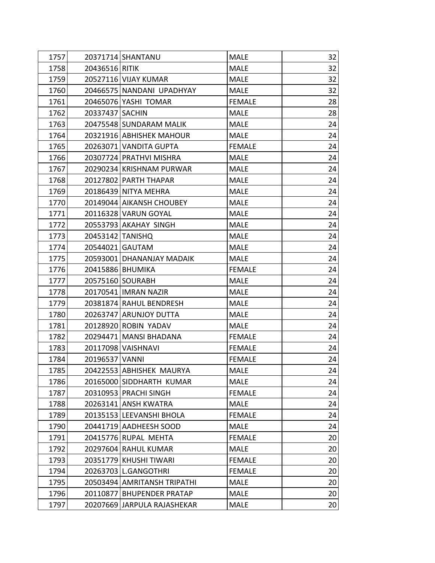| 1757 |                  | 20371714 SHANTANU           | <b>MALE</b>   | 32 |
|------|------------------|-----------------------------|---------------|----|
| 1758 | 20436516 RITIK   |                             | <b>MALE</b>   | 32 |
| 1759 |                  | 20527116 VIJAY KUMAR        | <b>MALE</b>   | 32 |
| 1760 |                  | 20466575 NANDANI UPADHYAY   | <b>MALE</b>   | 32 |
| 1761 |                  | 20465076 YASHI TOMAR        | <b>FEMALE</b> | 28 |
| 1762 | 20337437 SACHIN  |                             | <b>MALE</b>   | 28 |
| 1763 |                  | 20475548 SUNDARAM MALIK     | <b>MALE</b>   | 24 |
| 1764 |                  | 20321916 ABHISHEK MAHOUR    | <b>MALE</b>   | 24 |
| 1765 |                  | 20263071 VANDITA GUPTA      | <b>FEMALE</b> | 24 |
| 1766 |                  | 20307724 PRATHVI MISHRA     | <b>MALE</b>   | 24 |
| 1767 |                  | 20290234 KRISHNAM PURWAR    | <b>MALE</b>   | 24 |
| 1768 |                  | 20127802 PARTH THAPAR       | <b>MALE</b>   | 24 |
| 1769 |                  | 20186439 NITYA MEHRA        | <b>MALE</b>   | 24 |
| 1770 |                  | 20149044 AIKANSH CHOUBEY    | <b>MALE</b>   | 24 |
| 1771 |                  | 20116328 VARUN GOYAL        | <b>MALE</b>   | 24 |
| 1772 |                  | 20553793 AKAHAY SINGH       | <b>MALE</b>   | 24 |
| 1773 | 20453142 TANISHQ |                             | <b>MALE</b>   | 24 |
| 1774 | 20544021 GAUTAM  |                             | <b>MALE</b>   | 24 |
| 1775 |                  | 20593001 DHANANJAY MADAIK   | <b>MALE</b>   | 24 |
| 1776 |                  | 20415886 BHUMIKA            | <b>FEMALE</b> | 24 |
| 1777 |                  | 20575160 SOURABH            | <b>MALE</b>   | 24 |
| 1778 |                  | 20170541   IMRAN NAZIR      | <b>MALE</b>   | 24 |
| 1779 |                  | 20381874 RAHUL BENDRESH     | <b>MALE</b>   | 24 |
| 1780 |                  | 20263747 ARUNJOY DUTTA      | <b>MALE</b>   | 24 |
| 1781 |                  | 20128920 ROBIN YADAV        | <b>MALE</b>   | 24 |
| 1782 |                  | 20294471 MANSI BHADANA      | <b>FEMALE</b> | 24 |
| 1783 |                  | 20117098 VAISHNAVI          | <b>FEMALE</b> | 24 |
| 1784 | 20196537 VANNI   |                             | <b>FEMALE</b> | 24 |
| 1785 |                  | 20422553 ABHISHEK MAURYA    | <b>MALE</b>   | 24 |
| 1786 |                  | 20165000 SIDDHARTH KUMAR    | <b>MALE</b>   | 24 |
| 1787 |                  | 20310953   PRACHI SINGH     | <b>FEMALE</b> | 24 |
| 1788 |                  | 20263141 ANSH KWATRA        | <b>MALE</b>   | 24 |
| 1789 |                  | 20135153 LEEVANSHI BHOLA    | <b>FEMALE</b> | 24 |
| 1790 |                  | 20441719 AADHEESH SOOD      | <b>MALE</b>   | 24 |
| 1791 |                  | 20415776 RUPAL MEHTA        | <b>FEMALE</b> | 20 |
| 1792 |                  | 20297604 RAHUL KUMAR        | <b>MALE</b>   | 20 |
| 1793 |                  | 20351779 KHUSHI TIWARI      | <b>FEMALE</b> | 20 |
| 1794 |                  | 20263703 L.GANGOTHRI        | <b>FEMALE</b> | 20 |
| 1795 |                  | 20503494 AMRITANSH TRIPATHI | <b>MALE</b>   | 20 |
| 1796 |                  | 20110877 BHUPENDER PRATAP   | <b>MALE</b>   | 20 |
| 1797 |                  | 20207669 JARPULA RAJASHEKAR | <b>MALE</b>   | 20 |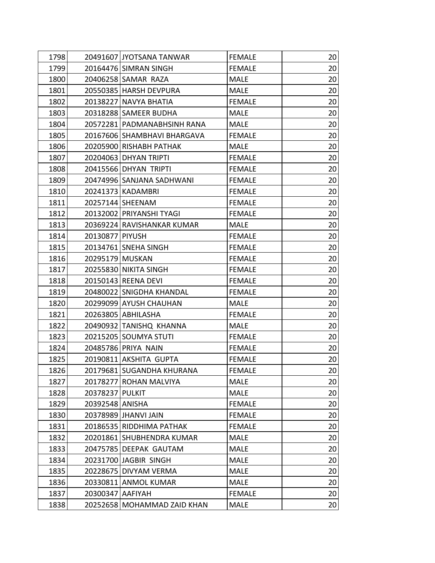| 1798 |                  | 20491607 JYOTSANA TANWAR    | <b>FEMALE</b> | 20 <sub>l</sub> |
|------|------------------|-----------------------------|---------------|-----------------|
| 1799 |                  | 20164476 SIMRAN SINGH       | <b>FEMALE</b> | 20              |
| 1800 |                  | 20406258 SAMAR RAZA         | <b>MALE</b>   | 20              |
| 1801 |                  | 20550385 HARSH DEVPURA      | <b>MALE</b>   | 20              |
| 1802 |                  | 20138227 NAVYA BHATIA       | <b>FEMALE</b> | 20              |
| 1803 |                  | 20318288 SAMEER BUDHA       | <b>MALE</b>   | 20              |
| 1804 |                  | 20572281 PADMANABHSINH RANA | MALE          | 20              |
| 1805 |                  | 20167606 SHAMBHAVI BHARGAVA | <b>FEMALE</b> | 20              |
| 1806 |                  | 20205900 RISHABH PATHAK     | <b>MALE</b>   | 20              |
| 1807 |                  | 20204063 DHYAN TRIPTI       | <b>FEMALE</b> | 20              |
| 1808 |                  | 20415566 DHYAN TRIPTI       | <b>FEMALE</b> | 20              |
| 1809 |                  | 20474996 SANJANA SADHWANI   | <b>FEMALE</b> | 20              |
| 1810 |                  | 20241373 KADAMBRI           | <b>FEMALE</b> | 20              |
| 1811 |                  | 20257144 SHEENAM            | <b>FEMALE</b> | 20              |
| 1812 |                  | 20132002 PRIYANSHI TYAGI    | <b>FEMALE</b> | 20              |
| 1813 |                  | 20369224 RAVISHANKAR KUMAR  | <b>MALE</b>   | 20              |
| 1814 | 20130877 PIYUSH  |                             | <b>FEMALE</b> | 20              |
| 1815 |                  | 20134761 SNEHA SINGH        | <b>FEMALE</b> | 20              |
| 1816 | 20295179 MUSKAN  |                             | <b>FEMALE</b> | 20              |
| 1817 |                  | 20255830 NIKITA SINGH       | <b>FEMALE</b> | 20              |
| 1818 |                  | 20150143 REENA DEVI         | <b>FEMALE</b> | 20              |
| 1819 |                  | 20480022 SNIGDHA KHANDAL    | <b>FEMALE</b> | 20              |
| 1820 |                  | 20299099 AYUSH CHAUHAN      | MALE          | 20              |
| 1821 |                  | 20263805 ABHILASHA          | <b>FEMALE</b> | 20              |
| 1822 |                  | 20490932 TANISHQ KHANNA     | <b>MALE</b>   | 20              |
| 1823 |                  | 20215205 SOUMYA STUTI       | <b>FEMALE</b> | 20              |
| 1824 |                  | 20485786 PRIYA NAIN         | <b>FEMALE</b> | 20              |
| 1825 |                  | 20190811 AKSHITA GUPTA      | <b>FEMALE</b> | 20              |
| 1826 |                  | 20179681 SUGANDHA KHURANA   | <b>FEMALE</b> | 20 <sup>°</sup> |
| 1827 |                  | 20178277 ROHAN MALVIYA      | <b>MALE</b>   | 20              |
| 1828 | 20378237 PULKIT  |                             | <b>MALE</b>   | 20              |
| 1829 | 20392548 ANISHA  |                             | <b>FEMALE</b> | 20              |
| 1830 |                  | 20378989 JHANVI JAIN        | <b>FEMALE</b> | 20              |
| 1831 |                  | 20186535 RIDDHIMA PATHAK    | <b>FEMALE</b> | 20              |
| 1832 |                  | 20201861 SHUBHENDRA KUMAR   | <b>MALE</b>   | 20              |
| 1833 |                  | 20475785 DEEPAK GAUTAM      | <b>MALE</b>   | 20              |
| 1834 |                  | 20231700 JAGBIR SINGH       | <b>MALE</b>   | 20              |
| 1835 |                  | 20228675 DIVYAM VERMA       | <b>MALE</b>   | 20              |
| 1836 | 20330811         | <b>ANMOL KUMAR</b>          | <b>MALE</b>   | 20              |
| 1837 | 20300347 AAFIYAH |                             | <b>FEMALE</b> | 20              |
| 1838 |                  | 20252658 MOHAMMAD ZAID KHAN | <b>MALE</b>   | 20              |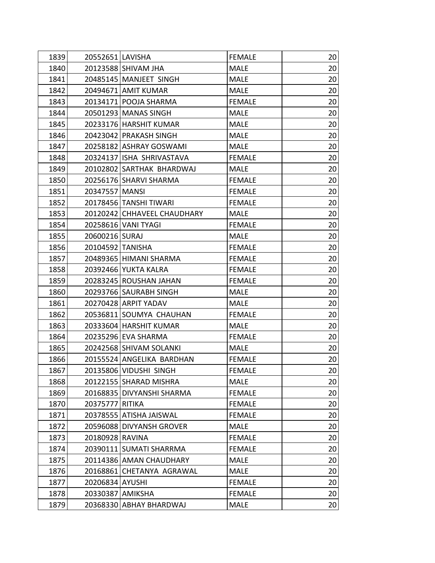| 1839 | 20552651 LAVISHA                  | <b>FEMALE</b> | 20 |
|------|-----------------------------------|---------------|----|
| 1840 | 20123588 SHIVAM JHA               | <b>MALE</b>   | 20 |
| 1841 | 20485145 MANJEET SINGH            | <b>MALE</b>   | 20 |
| 1842 | 20494671 AMIT KUMAR               | <b>MALE</b>   | 20 |
| 1843 | 20134171 POOJA SHARMA             | <b>FEMALE</b> | 20 |
| 1844 | 20501293 MANAS SINGH              | <b>MALE</b>   | 20 |
| 1845 | 20233176 HARSHIT KUMAR            | <b>MALE</b>   | 20 |
| 1846 | 20423042 PRAKASH SINGH            | <b>MALE</b>   | 20 |
| 1847 | 20258182 ASHRAY GOSWAMI           | <b>MALE</b>   | 20 |
| 1848 | 20324137 ISHA SHRIVASTAVA         | <b>FEMALE</b> | 20 |
| 1849 | 20102802 SARTHAK BHARDWAJ         | <b>MALE</b>   | 20 |
| 1850 | 20256176 SHARVI SHARMA            | <b>FEMALE</b> | 20 |
| 1851 | 20347557 MANSI                    | <b>FEMALE</b> | 20 |
| 1852 | 20178456 TANSHI TIWARI            | <b>FEMALE</b> | 20 |
| 1853 | 20120242 CHHAVEEL CHAUDHARY       | <b>MALE</b>   | 20 |
| 1854 | 20258616 VANI TYAGI               | <b>FEMALE</b> | 20 |
| 1855 | 20600216 SURAJ                    | <b>MALE</b>   | 20 |
| 1856 | 20104592 TANISHA                  | <b>FEMALE</b> | 20 |
| 1857 | 20489365 HIMANI SHARMA            | <b>FEMALE</b> | 20 |
| 1858 | 20392466 YUKTA KALRA              | <b>FEMALE</b> | 20 |
| 1859 | 20283245 ROUSHAN JAHAN            | <b>FEMALE</b> | 20 |
| 1860 | 20293766 SAURABH SINGH            | <b>MALE</b>   | 20 |
| 1861 | 20270428 ARPIT YADAV              | <b>MALE</b>   | 20 |
| 1862 | 20536811 SOUMYA CHAUHAN           | <b>FEMALE</b> | 20 |
| 1863 | 20333604 HARSHIT KUMAR            | <b>MALE</b>   | 20 |
| 1864 | 20235296 EVA SHARMA               | <b>FEMALE</b> | 20 |
| 1865 | 20242568 SHIVAM SOLANKI           | <b>MALE</b>   | 20 |
| 1866 | 20155524 ANGELIKA BARDHAN         | <b>FEMALE</b> | 20 |
| 1867 | 20135806 VIDUSHI SINGH            | <b>FEMALE</b> | 20 |
| 1868 | 20122155 SHARAD MISHRA            | <b>MALE</b>   | 20 |
| 1869 | 20168835 DIVYANSHI SHARMA         | <b>FEMALE</b> | 20 |
| 1870 | 20375777 RITIKA                   | <b>FEMALE</b> | 20 |
| 1871 | 20378555 ATISHA JAISWAL           | <b>FEMALE</b> | 20 |
| 1872 | 20596088 DIVYANSH GROVER          | <b>MALE</b>   | 20 |
| 1873 | 20180928 RAVINA                   | <b>FEMALE</b> | 20 |
| 1874 | 20390111 SUMATI SHARRMA           | <b>FEMALE</b> | 20 |
| 1875 | 20114386 AMAN CHAUDHARY           | <b>MALE</b>   | 20 |
| 1876 | 20168861 CHETANYA AGRAWAL         | <b>MALE</b>   | 20 |
| 1877 | 20206834 AYUSHI                   | <b>FEMALE</b> | 20 |
| 1878 | 20330387 AMIKSHA                  | <b>FEMALE</b> | 20 |
| 1879 | 20368330<br><b>ABHAY BHARDWAJ</b> | <b>MALE</b>   | 20 |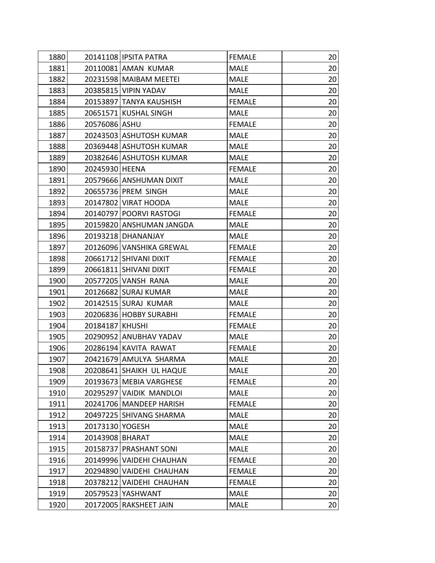| 1880 |                 | 20141108 IPSITA PATRA    | <b>FEMALE</b> | 20              |
|------|-----------------|--------------------------|---------------|-----------------|
| 1881 |                 | 20110081 AMAN KUMAR      | <b>MALE</b>   | 20              |
| 1882 |                 | 20231598 MAIBAM MEETEI   | <b>MALE</b>   | 20              |
| 1883 |                 | 20385815 VIPIN YADAV     | <b>MALE</b>   | 20              |
| 1884 |                 | 20153897 TANYA KAUSHISH  | <b>FEMALE</b> | 20              |
| 1885 |                 | 20651571 KUSHAL SINGH    | <b>MALE</b>   | 20              |
| 1886 | 20576086 ASHU   |                          | <b>FEMALE</b> | 20              |
| 1887 |                 | 20243503 ASHUTOSH KUMAR  | <b>MALE</b>   | 20              |
| 1888 |                 | 20369448 ASHUTOSH KUMAR  | <b>MALE</b>   | 20              |
| 1889 |                 | 20382646 ASHUTOSH KUMAR  | <b>MALE</b>   | 20              |
| 1890 | 20245930 HEENA  |                          | <b>FEMALE</b> | 20              |
| 1891 |                 | 20579666 ANSHUMAN DIXIT  | <b>MALE</b>   | 20              |
| 1892 |                 | 20655736 PREM SINGH      | <b>MALE</b>   | 20              |
| 1893 |                 | 20147802 VIRAT HOODA     | <b>MALE</b>   | 20              |
| 1894 |                 | 20140797 POORVI RASTOGI  | <b>FEMALE</b> | 20              |
| 1895 |                 | 20159820 ANSHUMAN JANGDA | <b>MALE</b>   | 20              |
| 1896 |                 | 20193218 DHANANJAY       | <b>MALE</b>   | 20              |
| 1897 |                 | 20126096 VANSHIKA GREWAL | <b>FEMALE</b> | 20              |
| 1898 |                 | 20661712 SHIVANI DIXIT   | <b>FEMALE</b> | 20              |
| 1899 |                 | 20661811 SHIVANI DIXIT   | <b>FEMALE</b> | 20              |
| 1900 |                 | 20577205 VANSH RANA      | <b>MALE</b>   | 20              |
| 1901 |                 | 20126682 SURAJ KUMAR     | <b>MALE</b>   | 20              |
| 1902 |                 | 20142515 SURAJ KUMAR     | <b>MALE</b>   | 20              |
| 1903 |                 | 20206836 HOBBY SURABHI   | <b>FEMALE</b> | 20              |
| 1904 | 20184187 KHUSHI |                          | <b>FEMALE</b> | 20              |
| 1905 |                 | 20290952 ANUBHAV YADAV   | <b>MALE</b>   | 20              |
| 1906 |                 | 20286194 KAVITA RAWAT    | <b>FEMALE</b> | 20              |
| 1907 |                 | 20421679 AMULYA SHARMA   | <b>MALE</b>   | 20              |
| 1908 |                 | 20208641 SHAIKH UL HAQUE | <b>MALE</b>   | 20 <sup>°</sup> |
| 1909 |                 | 20193673 MEBIA VARGHESE  | <b>FEMALE</b> | 20              |
| 1910 |                 | 20295297 VAIDIK MANDLOI  | <b>MALE</b>   | 20              |
| 1911 |                 | 20241706 MANDEEP HARISH  | <b>FEMALE</b> | 20              |
| 1912 |                 | 20497225 SHIVANG SHARMA  | <b>MALE</b>   | 20              |
| 1913 | 20173130 YOGESH |                          | <b>MALE</b>   | 20              |
| 1914 | 20143908 BHARAT |                          | <b>MALE</b>   | 20              |
| 1915 |                 | 20158737 PRASHANT SONI   | <b>MALE</b>   | 20              |
| 1916 |                 | 20149996 VAIDEHI CHAUHAN | <b>FEMALE</b> | 20              |
| 1917 |                 | 20294890 VAIDEHI CHAUHAN | <b>FEMALE</b> | 20              |
| 1918 |                 | 20378212 VAIDEHI CHAUHAN | <b>FEMALE</b> | 20              |
| 1919 |                 | 20579523 YASHWANT        | <b>MALE</b>   | 20              |
| 1920 |                 | 20172005 RAKSHEET JAIN   | <b>MALE</b>   | 20              |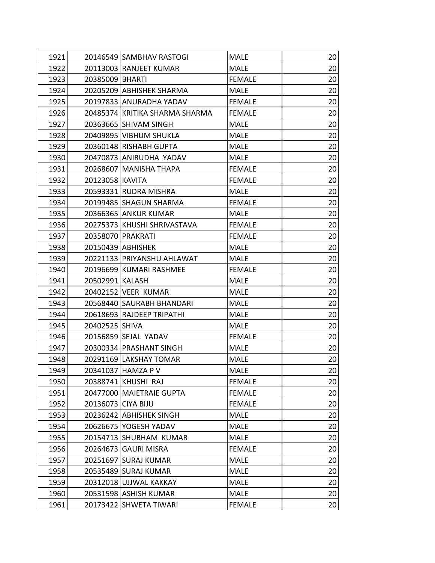| 1921 |                       | 20146549 SAMBHAV RASTOGI       | <b>MALE</b>   | 20              |
|------|-----------------------|--------------------------------|---------------|-----------------|
| 1922 |                       | 20113003 RANJEET KUMAR         | <b>MALE</b>   | 20              |
| 1923 | 20385009 BHARTI       |                                | <b>FEMALE</b> | 20              |
| 1924 |                       | 20205209 ABHISHEK SHARMA       | <b>MALE</b>   | 20              |
| 1925 |                       | 20197833 ANURADHA YADAV        | <b>FEMALE</b> | 20              |
| 1926 |                       | 20485374 KRITIKA SHARMA SHARMA | <b>FEMALE</b> | 20              |
| 1927 | 20363665 SHIVAM SINGH |                                | <b>MALE</b>   | 20              |
| 1928 |                       | 20409895 VIBHUM SHUKLA         | <b>MALE</b>   | 20              |
| 1929 |                       | 20360148 RISHABH GUPTA         | <b>MALE</b>   | 20              |
| 1930 |                       | 20470873 ANIRUDHA YADAV        | <b>MALE</b>   | 20              |
| 1931 |                       | 20268607 MANISHA THAPA         | <b>FEMALE</b> | 20              |
| 1932 | 20123058 KAVITA       |                                | <b>FEMALE</b> | 20              |
| 1933 | 20593331 RUDRA MISHRA |                                | <b>MALE</b>   | 20              |
| 1934 |                       | 20199485 SHAGUN SHARMA         | <b>FEMALE</b> | 20              |
| 1935 | 20366365 ANKUR KUMAR  |                                | <b>MALE</b>   | 20              |
| 1936 |                       | 20275373 KHUSHI SHRIVASTAVA    | <b>FEMALE</b> | 20              |
| 1937 | 20358070 PRAKRATI     |                                | <b>FEMALE</b> | 20              |
| 1938 | 20150439 ABHISHEK     |                                | <b>MALE</b>   | 20              |
| 1939 |                       | 20221133 PRIYANSHU AHLAWAT     | <b>MALE</b>   | 20              |
| 1940 |                       | 20196699 KUMARI RASHMEE        | <b>FEMALE</b> | 20              |
| 1941 | 20502991 KALASH       |                                | <b>MALE</b>   | 20              |
| 1942 | 20402152 VEER KUMAR   |                                | <b>MALE</b>   | 20              |
| 1943 |                       | 20568440 SAURABH BHANDARI      | <b>MALE</b>   | 20              |
| 1944 |                       | 20618693 RAJDEEP TRIPATHI      | <b>MALE</b>   | 20              |
| 1945 | 20402525 SHIVA        |                                | <b>MALE</b>   | 20              |
| 1946 | 20156859 SEJAL YADAV  |                                | <b>FEMALE</b> | 20              |
| 1947 |                       | 20300334 PRASHANT SINGH        | <b>MALE</b>   | 20              |
| 1948 |                       | 20291169 LAKSHAY TOMAR         | <b>MALE</b>   | 20              |
| 1949 | 20341037 HAMZA P V    |                                | <b>MALE</b>   | 20 <sup>1</sup> |
| 1950 | 20388741 KHUSHI RAJ   |                                | <b>FEMALE</b> | 20              |
| 1951 |                       | 20477000 MAIETRAIE GUPTA       | <b>FEMALE</b> | 20              |
| 1952 | 20136073 CIYA BIJU    |                                | <b>FEMALE</b> | 20              |
| 1953 |                       | 20236242 ABHISHEK SINGH        | <b>MALE</b>   | 20              |
| 1954 | 20626675 YOGESH YADAV |                                | <b>MALE</b>   | 20              |
| 1955 |                       | 20154713 SHUBHAM KUMAR         | <b>MALE</b>   | 20              |
| 1956 | 20264673 GAURI MISRA  |                                | <b>FEMALE</b> | 20              |
| 1957 | 20251697 SURAJ KUMAR  |                                | <b>MALE</b>   | 20              |
| 1958 | 20535489 SURAJ KUMAR  |                                | <b>MALE</b>   | 20              |
| 1959 |                       | 20312018 UJJWAL KAKKAY         | <b>MALE</b>   | 20              |
| 1960 | 20531598 ASHISH KUMAR |                                | <b>MALE</b>   | 20              |
| 1961 |                       | 20173422 SHWETA TIWARI         | <b>FEMALE</b> | 20              |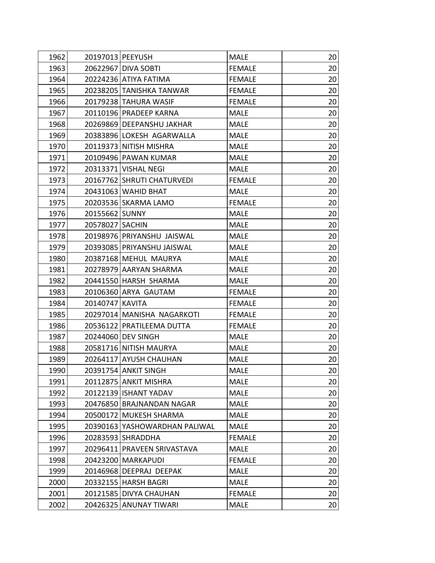| 1962 | 20197013 PEEYUSH           |                               | <b>MALE</b>   | 20 |
|------|----------------------------|-------------------------------|---------------|----|
| 1963 | 20622967 DIVA SOBTI        |                               | <b>FEMALE</b> | 20 |
| 1964 | 20224236 ATIYA FATIMA      |                               | <b>FEMALE</b> | 20 |
| 1965 | 20238205 TANISHKA TANWAR   |                               | <b>FEMALE</b> | 20 |
| 1966 | 20179238 TAHURA WASIF      |                               | <b>FEMALE</b> | 20 |
| 1967 | 20110196 PRADEEP KARNA     |                               | <b>MALE</b>   | 20 |
| 1968 | 20269869 DEEPANSHU JAKHAR  |                               | <b>MALE</b>   | 20 |
| 1969 |                            | 20383896 LOKESH AGARWALLA     | <b>MALE</b>   | 20 |
| 1970 | 20119373 NITISH MISHRA     |                               | <b>MALE</b>   | 20 |
| 1971 | 20109496 PAWAN KUMAR       |                               | <b>MALE</b>   | 20 |
| 1972 | 20313371 VISHAL NEGI       |                               | <b>MALE</b>   | 20 |
| 1973 | 20167762 SHRUTI CHATURVEDI |                               | <b>FEMALE</b> | 20 |
| 1974 | 20431063 WAHID BHAT        |                               | <b>MALE</b>   | 20 |
| 1975 | 20203536 SKARMA LAMO       |                               | <b>FEMALE</b> | 20 |
| 1976 | 20155662 SUNNY             |                               | <b>MALE</b>   | 20 |
| 1977 | 20578027   SACHIN          |                               | <b>MALE</b>   | 20 |
| 1978 | 20198976 PRIYANSHU JAISWAL |                               | <b>MALE</b>   | 20 |
| 1979 | 20393085 PRIYANSHU JAISWAL |                               | <b>MALE</b>   | 20 |
| 1980 | 20387168 MEHUL MAURYA      |                               | <b>MALE</b>   | 20 |
| 1981 | 20278979 AARYAN SHARMA     |                               | <b>MALE</b>   | 20 |
| 1982 | 20441550 HARSH SHARMA      |                               | <b>MALE</b>   | 20 |
| 1983 | 20106360 ARYA GAUTAM       |                               | <b>FEMALE</b> | 20 |
| 1984 | 20140747 KAVITA            |                               | <b>FEMALE</b> | 20 |
| 1985 |                            | 20297014 MANISHA NAGARKOTI    | <b>FEMALE</b> | 20 |
| 1986 | 20536122 PRATILEEMA DUTTA  |                               | <b>FEMALE</b> | 20 |
| 1987 | 20244060 DEV SINGH         |                               | <b>MALE</b>   | 20 |
| 1988 | 20581716 NITISH MAURYA     |                               | <b>MALE</b>   | 20 |
| 1989 | 20264117 AYUSH CHAUHAN     |                               | <b>MALE</b>   | 20 |
| 1990 | 20391754 ANKIT SINGH       |                               | <b>MALE</b>   | 20 |
| 1991 | 20112875 ANKIT MISHRA      |                               | <b>MALE</b>   | 20 |
| 1992 | 20122139 ISHANT YADAV      |                               | <b>MALE</b>   | 20 |
| 1993 |                            | 20476850 BRAJNANDAN NAGAR     | <b>MALE</b>   | 20 |
| 1994 | 20500172 MUKESH SHARMA     |                               | <b>MALE</b>   | 20 |
| 1995 |                            | 20390163 YASHOWARDHAN PALIWAL | <b>MALE</b>   | 20 |
| 1996 | 20283593 SHRADDHA          |                               | <b>FEMALE</b> | 20 |
| 1997 |                            | 20296411 PRAVEEN SRIVASTAVA   | <b>MALE</b>   | 20 |
| 1998 | 20423200                   | <b>MARKAPUDI</b>              | <b>FEMALE</b> | 20 |
| 1999 | 20146968 DEEPRAJ DEEPAK    |                               | <b>MALE</b>   | 20 |
| 2000 | 20332155 HARSH BAGRI       |                               | <b>MALE</b>   | 20 |
| 2001 | 20121585 DIVYA CHAUHAN     |                               | <b>FEMALE</b> | 20 |
| 2002 | 20426325                   | <b>ANUNAY TIWARI</b>          | <b>MALE</b>   | 20 |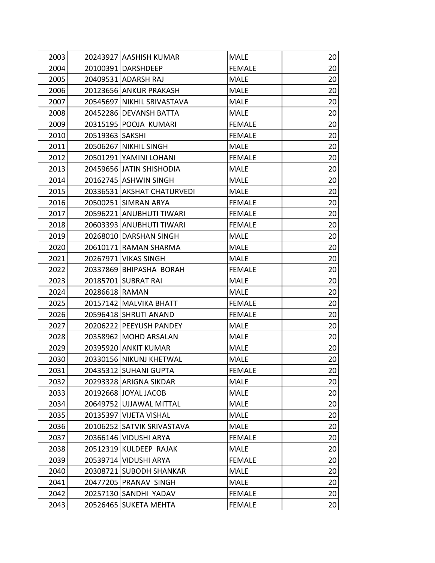| 2003 | 20243927 AASHISH KUMAR     | <b>MALE</b>   | 20              |
|------|----------------------------|---------------|-----------------|
| 2004 | 20100391 DARSHDEEP         | <b>FEMALE</b> | 20              |
| 2005 | 20409531 ADARSH RAJ        | <b>MALE</b>   | 20              |
| 2006 | 20123656 ANKUR PRAKASH     | <b>MALE</b>   | 20              |
| 2007 | 20545697 NIKHIL SRIVASTAVA | <b>MALE</b>   | 20              |
| 2008 | 20452286 DEVANSH BATTA     | <b>MALE</b>   | 20              |
| 2009 | 20315195 POOJA KUMARI      | <b>FEMALE</b> | 20              |
| 2010 | 20519363 SAKSHI            | <b>FEMALE</b> | 20              |
| 2011 | 20506267 NIKHIL SINGH      | <b>MALE</b>   | 20              |
| 2012 | 20501291 YAMINI LOHANI     | <b>FEMALE</b> | 20              |
| 2013 | 20459656 JATIN SHISHODIA   | <b>MALE</b>   | 20              |
| 2014 | 20162745 ASHWIN SINGH      | <b>MALE</b>   | 20              |
| 2015 | 20336531 AKSHAT CHATURVEDI | <b>MALE</b>   | 20              |
| 2016 | 20500251 SIMRAN ARYA       | <b>FEMALE</b> | 20              |
| 2017 | 20596221 ANUBHUTI TIWARI   | <b>FEMALE</b> | 20              |
| 2018 | 20603393 ANUBHUTI TIWARI   | <b>FEMALE</b> | 20              |
| 2019 | 20268010 DARSHAN SINGH     | <b>MALE</b>   | 20              |
| 2020 | 20610171 RAMAN SHARMA      | <b>MALE</b>   | 20              |
| 2021 | 20267971 VIKAS SINGH       | <b>MALE</b>   | 20              |
| 2022 | 20337869 BHIPASHA BORAH    | <b>FEMALE</b> | 20              |
| 2023 | 20185701 SUBRAT RAI        | <b>MALE</b>   | 20              |
| 2024 | 20286618 RAMAN             | <b>MALE</b>   | 20              |
| 2025 | 20157142 MALVIKA BHATT     | <b>FEMALE</b> | 20              |
| 2026 | 20596418 SHRUTI ANAND      | <b>FEMALE</b> | 20              |
| 2027 | 20206222 PEEYUSH PANDEY    | <b>MALE</b>   | 20              |
| 2028 | 20358962 MOHD ARSALAN      | <b>MALE</b>   | 20              |
| 2029 | 20395920 ANKIT KUMAR       | <b>MALE</b>   | 20              |
| 2030 | 20330156 NIKUNJ KHETWAL    | <b>MALE</b>   | 20              |
| 2031 | 20435312 SUHANI GUPTA      | <b>FEMALE</b> | 20 <sub>l</sub> |
| 2032 | 20293328 ARIGNA SIKDAR     | <b>MALE</b>   | 20              |
| 2033 | 20192668 JOYAL JACOB       | <b>MALE</b>   | 20              |
| 2034 | 20649752 UJJAWAL MITTAL    | <b>MALE</b>   | 20              |
| 2035 | 20135397 VIJETA VISHAL     | <b>MALE</b>   | 20              |
| 2036 | 20106252 SATVIK SRIVASTAVA | <b>MALE</b>   | 20              |
| 2037 | 20366146 VIDUSHI ARYA      | <b>FEMALE</b> | 20              |
| 2038 | 20512319 KULDEEP RAJAK     | <b>MALE</b>   | 20              |
| 2039 | 20539714 VIDUSHI ARYA      | <b>FEMALE</b> | 20              |
| 2040 | 20308721 SUBODH SHANKAR    | <b>MALE</b>   | 20              |
| 2041 | 20477205 PRANAV SINGH      | <b>MALE</b>   | 20              |
| 2042 | 20257130 SANDHI YADAV      | <b>FEMALE</b> | 20              |
| 2043 | 20526465 SUKETA MEHTA      | <b>FEMALE</b> | 20              |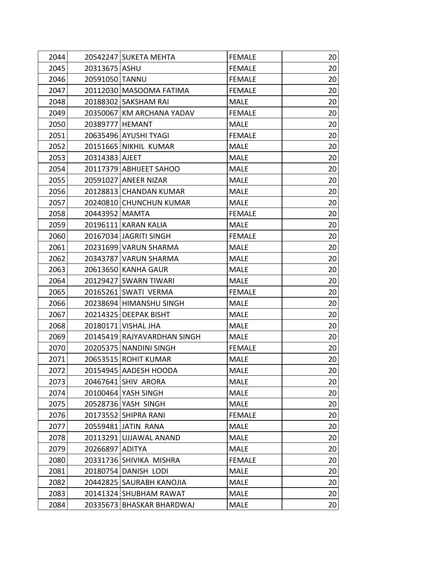| 2044 |                 | 20542247 SUKETA MEHTA       | <b>FEMALE</b> | 20              |
|------|-----------------|-----------------------------|---------------|-----------------|
| 2045 | 20313675 ASHU   |                             | <b>FEMALE</b> | 20              |
| 2046 | 20591050 TANNU  |                             | <b>FEMALE</b> | 20              |
| 2047 |                 | 20112030 MASOOMA FATIMA     | <b>FEMALE</b> | 20              |
| 2048 |                 | 20188302 SAKSHAM RAI        | <b>MALE</b>   | 20              |
| 2049 |                 | 20350067 KM ARCHANA YADAV   | <b>FEMALE</b> | 20              |
| 2050 | 20389777 HEMANT |                             | <b>MALE</b>   | 20              |
| 2051 |                 | 20635496 AYUSHI TYAGI       | <b>FEMALE</b> | 20              |
| 2052 |                 | 20151665 NIKHIL KUMAR       | <b>MALE</b>   | 20              |
| 2053 | 20314383 AJEET  |                             | <b>MALE</b>   | 20              |
| 2054 |                 | 20117379 ABHIJEET SAHOO     | <b>MALE</b>   | 20              |
| 2055 |                 | 20591027 ANEER NIZAR        | <b>MALE</b>   | 20              |
| 2056 |                 | 20128813 CHANDAN KUMAR      | <b>MALE</b>   | 20              |
| 2057 |                 | 20240810 CHUNCHUN KUMAR     | <b>MALE</b>   | 20              |
| 2058 | 20443952 MAMTA  |                             | <b>FEMALE</b> | 20              |
| 2059 |                 | 20196111 KARAN KALIA        | <b>MALE</b>   | 20              |
| 2060 |                 | 20167034 JAGRITI SINGH      | <b>FEMALE</b> | 20              |
| 2061 |                 | 20231699 VARUN SHARMA       | <b>MALE</b>   | 20              |
| 2062 |                 | 20343787 VARUN SHARMA       | <b>MALE</b>   | 20              |
| 2063 |                 | 20613650 KANHA GAUR         | <b>MALE</b>   | 20              |
| 2064 |                 | 20129427 SWARN TIWARI       | <b>MALE</b>   | 20              |
| 2065 |                 | 20165261 SWATI VERMA        | <b>FEMALE</b> | 20              |
| 2066 |                 | 20238694 HIMANSHU SINGH     | <b>MALE</b>   | 20              |
| 2067 |                 | 20214325 DEEPAK BISHT       | <b>MALE</b>   | 20              |
| 2068 |                 | 20180171 VISHAL JHA         | <b>MALE</b>   | 20              |
| 2069 |                 | 20145419 RAJYAVARDHAN SINGH | <b>MALE</b>   | 20              |
| 2070 |                 | 20205375 NANDINI SINGH      | <b>FEMALE</b> | 20              |
| 2071 |                 | 20653515 ROHIT KUMAR        | <b>MALE</b>   | 20              |
| 2072 |                 | 20154945 AADESH HOODA       | <b>MALE</b>   | 20 <sub>l</sub> |
| 2073 |                 | 20467641 SHIV ARORA         | <b>MALE</b>   | 20              |
| 2074 |                 | 20100464 YASH SINGH         | <b>MALE</b>   | 20              |
| 2075 |                 | 20528736 YASH SINGH         | <b>MALE</b>   | 20              |
| 2076 |                 | 20173552 SHIPRA RANI        | <b>FEMALE</b> | 20              |
| 2077 |                 | 20559481 JATIN RANA         | <b>MALE</b>   | 20              |
| 2078 |                 | 20113291 UJJAWAL ANAND      | <b>MALE</b>   | 20              |
| 2079 | 20266897 ADITYA |                             | <b>MALE</b>   | 20              |
| 2080 |                 | 20331736 SHIVIKA MISHRA     | <b>FEMALE</b> | 20              |
| 2081 |                 | 20180754 DANISH LODI        | <b>MALE</b>   | 20              |
| 2082 |                 | 20442825 SAURABH KANOJIA    | <b>MALE</b>   | 20              |
| 2083 |                 | 20141324 SHUBHAM RAWAT      | <b>MALE</b>   | 20              |
| 2084 |                 | 20335673   BHASKAR BHARDWAJ | <b>MALE</b>   | 20              |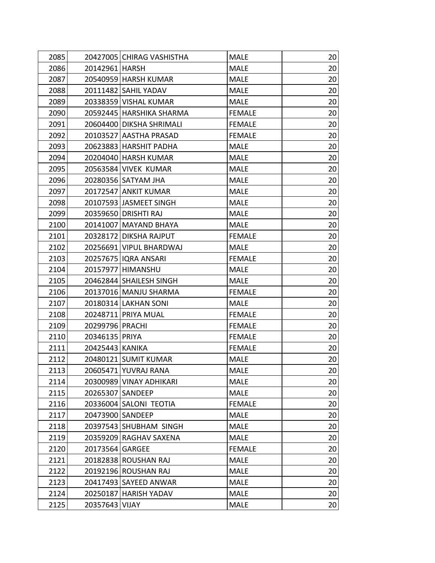| 2085 |                    | 20427005 CHIRAG VASHISTHA | <b>MALE</b>   | 20              |
|------|--------------------|---------------------------|---------------|-----------------|
| 2086 | 20142961 HARSH     |                           | <b>MALE</b>   | 20              |
| 2087 |                    | 20540959 HARSH KUMAR      | <b>MALE</b>   | 20              |
| 2088 |                    | 20111482 SAHIL YADAV      | <b>MALE</b>   | 20              |
| 2089 |                    | 20338359 VISHAL KUMAR     | <b>MALE</b>   | 20              |
| 2090 |                    | 20592445 HARSHIKA SHARMA  | <b>FEMALE</b> | 20              |
| 2091 |                    | 20604400 DIKSHA SHRIMALI  | <b>FEMALE</b> | 20              |
| 2092 |                    | 20103527 AASTHA PRASAD    | <b>FEMALE</b> | 20              |
| 2093 |                    | 20623883 HARSHIT PADHA    | <b>MALE</b>   | 20              |
| 2094 |                    | 20204040 HARSH KUMAR      | <b>MALE</b>   | 20              |
| 2095 |                    | 20563584 VIVEK KUMAR      | <b>MALE</b>   | 20              |
| 2096 |                    | 20280356 SATYAM JHA       | <b>MALE</b>   | 20              |
| 2097 |                    | 20172547 ANKIT KUMAR      | <b>MALE</b>   | 20              |
| 2098 |                    | 20107593 JASMEET SINGH    | <b>MALE</b>   | 20              |
| 2099 |                    | 20359650 DRISHTI RAJ      | <b>MALE</b>   | 20              |
| 2100 |                    | 20141007 MAYAND BHAYA     | <b>MALE</b>   | 20              |
| 2101 |                    | 20328172 DIKSHA RAJPUT    | <b>FEMALE</b> | 20              |
| 2102 |                    | 20256691 VIPUL BHARDWAJ   | <b>MALE</b>   | 20              |
| 2103 |                    | 20257675   IQRA ANSARI    | <b>FEMALE</b> | 20              |
| 2104 |                    | 20157977 HIMANSHU         | <b>MALE</b>   | 20              |
| 2105 |                    | 20462844 SHAILESH SINGH   | <b>MALE</b>   | 20              |
| 2106 |                    | 20137016 MANJU SHARMA     | <b>FEMALE</b> | 20              |
| 2107 |                    | 20180314 LAKHAN SONI      | <b>MALE</b>   | 20              |
| 2108 |                    | 20248711 PRIYA MUAL       | <b>FEMALE</b> | 20              |
| 2109 | 20299796 PRACHI    |                           | <b>FEMALE</b> | 20              |
| 2110 | 20346135 PRIYA     |                           | <b>FEMALE</b> | 20              |
| 2111 | 20425443 KANIKA    |                           | <b>FEMALE</b> | 20              |
| 2112 |                    | 20480121 SUMIT KUMAR      | <b>MALE</b>   | 20              |
| 2113 |                    | 20605471 YUVRAJ RANA      | <b>MALE</b>   | 20 <sub>l</sub> |
| 2114 |                    | 20300989 VINAY ADHIKARI   | <b>MALE</b>   | 20              |
| 2115 | 20265307   SANDEEP |                           | <b>MALE</b>   | 20              |
| 2116 |                    | 20336004 SALONI TEOTIA    | <b>FEMALE</b> | 20              |
| 2117 | 20473900 SANDEEP   |                           | <b>MALE</b>   | 20              |
| 2118 |                    | 20397543 SHUBHAM SINGH    | <b>MALE</b>   | 20              |
| 2119 |                    | 20359209 RAGHAV SAXENA    | <b>MALE</b>   | 20              |
| 2120 | 20173564 GARGEE    |                           | <b>FEMALE</b> | 20              |
| 2121 |                    | 20182838 ROUSHAN RAJ      | <b>MALE</b>   | 20              |
| 2122 |                    | 20192196 ROUSHAN RAJ      | <b>MALE</b>   | 20              |
| 2123 |                    | 20417493 SAYEED ANWAR     | <b>MALE</b>   | 20              |
| 2124 |                    | 20250187 HARISH YADAV     | <b>MALE</b>   | 20              |
| 2125 | 20357643 VIJAY     |                           | <b>MALE</b>   | 20              |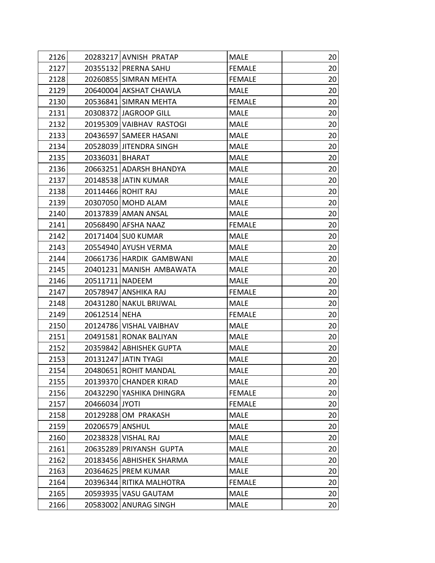| 2126 | 20283217 AVNISH PRATAP   | <b>MALE</b>   | 20 |
|------|--------------------------|---------------|----|
| 2127 | 20355132 PRERNA SAHU     | <b>FEMALE</b> | 20 |
| 2128 | 20260855 SIMRAN MEHTA    | <b>FEMALE</b> | 20 |
| 2129 | 20640004 AKSHAT CHAWLA   | <b>MALE</b>   | 20 |
| 2130 | 20536841 SIMRAN MEHTA    | <b>FEMALE</b> | 20 |
| 2131 | 20308372 JAGROOP GILL    | <b>MALE</b>   | 20 |
| 2132 | 20195309 VAIBHAV RASTOGI | <b>MALE</b>   | 20 |
| 2133 | 20436597 SAMEER HASANI   | <b>MALE</b>   | 20 |
| 2134 | 20528039 JITENDRA SINGH  | <b>MALE</b>   | 20 |
| 2135 | 20336031 BHARAT          | <b>MALE</b>   | 20 |
| 2136 | 20663251 ADARSH BHANDYA  | <b>MALE</b>   | 20 |
| 2137 | 20148538 JATIN KUMAR     | <b>MALE</b>   | 20 |
| 2138 | 20114466 ROHIT RAJ       | <b>MALE</b>   | 20 |
| 2139 | 20307050 MOHD ALAM       | <b>MALE</b>   | 20 |
| 2140 | 20137839 AMAN ANSAL      | <b>MALE</b>   | 20 |
| 2141 | 20568490 AFSHA NAAZ      | <b>FEMALE</b> | 20 |
| 2142 | 20171404 SU0 KUMAR       | <b>MALE</b>   | 20 |
| 2143 | 20554940 AYUSH VERMA     | <b>MALE</b>   | 20 |
| 2144 | 20661736 HARDIK GAMBWANI | <b>MALE</b>   | 20 |
| 2145 | 20401231 MANISH AMBAWATA | <b>MALE</b>   | 20 |
| 2146 | 20511711 NADEEM          | <b>MALE</b>   | 20 |
| 2147 | 20578947 ANSHIKA RAJ     | <b>FEMALE</b> | 20 |
| 2148 | 20431280 NAKUL BRIJWAL   | <b>MALE</b>   | 20 |
| 2149 | 20612514 NEHA            | <b>FEMALE</b> | 20 |
| 2150 | 20124786 VISHAL VAIBHAV  | <b>MALE</b>   | 20 |
| 2151 | 20491581 RONAK BALIYAN   | <b>MALE</b>   | 20 |
| 2152 | 20359842 ABHISHEK GUPTA  | <b>MALE</b>   | 20 |
| 2153 | 20131247 JATIN TYAGI     | <b>MALE</b>   | 20 |
| 2154 | 20480651 ROHIT MANDAL    | <b>MALE</b>   | 20 |
| 2155 | 20139370 CHANDER KIRAD   | <b>MALE</b>   | 20 |
| 2156 | 20432290 YASHIKA DHINGRA | <b>FEMALE</b> | 20 |
| 2157 | 20466034 JYOTI           | <b>FEMALE</b> | 20 |
| 2158 | 20129288 OM PRAKASH      | <b>MALE</b>   | 20 |
| 2159 | 20206579 ANSHUL          | <b>MALE</b>   | 20 |
| 2160 | 20238328 VISHAL RAJ      | MALE          | 20 |
| 2161 | 20635289 PRIYANSH GUPTA  | <b>MALE</b>   | 20 |
| 2162 | 20183456 ABHISHEK SHARMA | <b>MALE</b>   | 20 |
| 2163 | 20364625 PREM KUMAR      | <b>MALE</b>   | 20 |
| 2164 | 20396344 RITIKA MALHOTRA | <b>FEMALE</b> | 20 |
| 2165 | 20593935 VASU GAUTAM     | <b>MALE</b>   | 20 |
| 2166 | 20583002 ANURAG SINGH    | <b>MALE</b>   | 20 |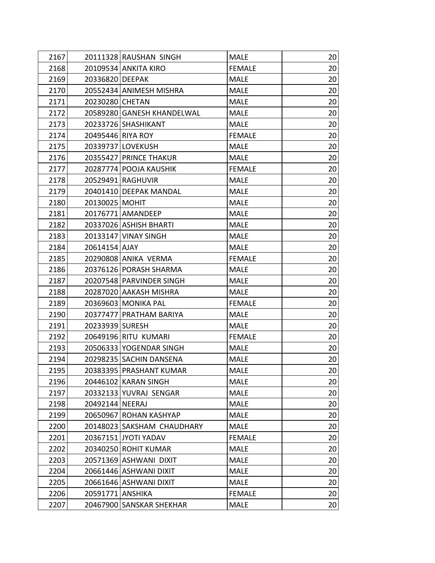| 2167 |                   | 20111328 RAUSHAN SINGH     | <b>MALE</b>   | 20 |
|------|-------------------|----------------------------|---------------|----|
| 2168 |                   | 20109534 ANKITA KIRO       | <b>FEMALE</b> | 20 |
| 2169 | 20336820 DEEPAK   |                            | <b>MALE</b>   | 20 |
| 2170 |                   | 20552434 ANIMESH MISHRA    | <b>MALE</b>   | 20 |
| 2171 | 20230280 CHETAN   |                            | <b>MALE</b>   | 20 |
| 2172 |                   | 20589280 GANESH KHANDELWAL | <b>MALE</b>   | 20 |
| 2173 |                   | 20233726 SHASHIKANT        | <b>MALE</b>   | 20 |
| 2174 | 20495446 RIYA ROY |                            | <b>FEMALE</b> | 20 |
| 2175 |                   | 20339737 LOVEKUSH          | <b>MALE</b>   | 20 |
| 2176 |                   | 20355427 PRINCE THAKUR     | <b>MALE</b>   | 20 |
| 2177 |                   | 20287774 POOJA KAUSHIK     | <b>FEMALE</b> | 20 |
| 2178 |                   | 20529491 RAGHUVIR          | <b>MALE</b>   | 20 |
| 2179 |                   | 20401410 DEEPAK MANDAL     | <b>MALE</b>   | 20 |
| 2180 | 20130025 MOHIT    |                            | <b>MALE</b>   | 20 |
| 2181 |                   | 20176771 AMANDEEP          | <b>MALE</b>   | 20 |
| 2182 |                   | 20337026 ASHISH BHARTI     | <b>MALE</b>   | 20 |
| 2183 |                   | 20133147 VINAY SINGH       | <b>MALE</b>   | 20 |
| 2184 | 20614154 AJAY     |                            | <b>MALE</b>   | 20 |
| 2185 |                   | 20290808 ANIKA VERMA       | <b>FEMALE</b> | 20 |
| 2186 |                   | 20376126 PORASH SHARMA     | MALE          | 20 |
| 2187 |                   | 20207548 PARVINDER SINGH   | <b>MALE</b>   | 20 |
| 2188 |                   | 20287020 AAKASH MISHRA     | <b>MALE</b>   | 20 |
| 2189 |                   | 20369603 MONIKA PAL        | <b>FEMALE</b> | 20 |
| 2190 |                   | 20377477 PRATHAM BARIYA    | <b>MALE</b>   | 20 |
| 2191 | 20233939 SURESH   |                            | <b>MALE</b>   | 20 |
| 2192 |                   | 20649196 RITU KUMARI       | <b>FEMALE</b> | 20 |
| 2193 |                   | 20506333 YOGENDAR SINGH    | <b>MALE</b>   | 20 |
| 2194 |                   | 20298235 SACHIN DANSENA    | <b>MALE</b>   | 20 |
| 2195 |                   | 20383395 PRASHANT KUMAR    | <b>MALE</b>   | 20 |
| 2196 |                   | 20446102 KARAN SINGH       | <b>MALE</b>   | 20 |
| 2197 |                   | 20332133 YUVRAJ SENGAR     | <b>MALE</b>   | 20 |
| 2198 | 20492144 NEERAJ   |                            | <b>MALE</b>   | 20 |
| 2199 |                   | 20650967 ROHAN KASHYAP     | <b>MALE</b>   | 20 |
| 2200 |                   | 20148023 SAKSHAM CHAUDHARY | <b>MALE</b>   | 20 |
| 2201 |                   | 20367151 JYOTI YADAV       | <b>FEMALE</b> | 20 |
| 2202 |                   | 20340250 ROHIT KUMAR       | <b>MALE</b>   | 20 |
| 2203 |                   | 20571369 ASHWANI DIXIT     | <b>MALE</b>   | 20 |
| 2204 |                   | 20661446 ASHWANI DIXIT     | <b>MALE</b>   | 20 |
| 2205 |                   | 20661646 ASHWANI DIXIT     | <b>MALE</b>   | 20 |
| 2206 | 20591771 ANSHIKA  |                            | <b>FEMALE</b> | 20 |
| 2207 |                   | 20467900 SANSKAR SHEKHAR   | <b>MALE</b>   | 20 |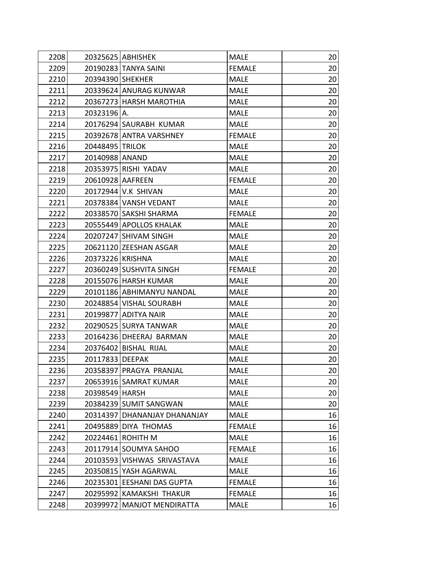| 2208 |                  | 20325625 ABHISHEK            | <b>MALE</b>   | 20 |
|------|------------------|------------------------------|---------------|----|
| 2209 |                  | 20190283 TANYA SAINI         | <b>FEMALE</b> | 20 |
| 2210 | 20394390 SHEKHER |                              | MALE          | 20 |
| 2211 |                  | 20339624 ANURAG KUNWAR       | <b>MALE</b>   | 20 |
| 2212 |                  | 20367273 HARSH MAROTHIA      | MALE          | 20 |
| 2213 | 20323196 A.      |                              | <b>MALE</b>   | 20 |
| 2214 |                  | 20176294 SAURABH KUMAR       | MALE          | 20 |
| 2215 |                  | 20392678 ANTRA VARSHNEY      | <b>FEMALE</b> | 20 |
| 2216 | 20448495 TRILOK  |                              | <b>MALE</b>   | 20 |
| 2217 | 20140988 ANAND   |                              | <b>MALE</b>   | 20 |
| 2218 |                  | 20353975 RISHI YADAV         | <b>MALE</b>   | 20 |
| 2219 | 20610928 AAFREEN |                              | <b>FEMALE</b> | 20 |
| 2220 |                  | 20172944 V.K SHIVAN          | MALE          | 20 |
| 2221 |                  | 20378384 VANSH VEDANT        | <b>MALE</b>   | 20 |
| 2222 |                  | 20338570 SAKSHI SHARMA       | <b>FEMALE</b> | 20 |
| 2223 |                  | 20555449 APOLLOS KHALAK      | <b>MALE</b>   | 20 |
| 2224 |                  | 20207247 SHIVAM SINGH        | <b>MALE</b>   | 20 |
| 2225 |                  | 20621120 ZEESHAN ASGAR       | <b>MALE</b>   | 20 |
| 2226 | 20373226 KRISHNA |                              | <b>MALE</b>   | 20 |
| 2227 |                  | 20360249 SUSHVITA SINGH      | <b>FEMALE</b> | 20 |
| 2228 |                  | 20155076 HARSH KUMAR         | <b>MALE</b>   | 20 |
| 2229 |                  | 20101186 ABHIMANYU NANDAL    | <b>MALE</b>   | 20 |
| 2230 |                  | 20248854 VISHAL SOURABH      | <b>MALE</b>   | 20 |
| 2231 |                  | 20199877 ADITYA NAIR         | <b>MALE</b>   | 20 |
| 2232 |                  | 20290525 SURYA TANWAR        | <b>MALE</b>   | 20 |
| 2233 |                  | 20164236 DHEERAJ BARMAN      | <b>MALE</b>   | 20 |
| 2234 |                  | 20376402 BISHAL RIJAL        | <b>MALE</b>   | 20 |
| 2235 | 20117833 DEEPAK  |                              | <b>MALE</b>   | 20 |
| 2236 |                  | 20358397 PRAGYA PRANJAL      | <b>MALE</b>   | 20 |
| 2237 |                  | 20653916 SAMRAT KUMAR        | <b>MALE</b>   | 20 |
| 2238 | 20398549 HARSH   |                              | <b>MALE</b>   | 20 |
| 2239 |                  | 20384239 SUMIT SANGWAN       | <b>MALE</b>   | 20 |
| 2240 |                  | 20314397 DHANANJAY DHANANJAY | <b>MALE</b>   | 16 |
| 2241 |                  | 20495889 DIYA THOMAS         | <b>FEMALE</b> | 16 |
| 2242 |                  | 20224461 ROHITH M            | <b>MALE</b>   | 16 |
| 2243 |                  | 20117914 SOUMYA SAHOO        | <b>FEMALE</b> | 16 |
| 2244 |                  | 20103593 VISHWAS SRIVASTAVA  | <b>MALE</b>   | 16 |
| 2245 |                  | 20350815 YASH AGARWAL        | <b>MALE</b>   | 16 |
| 2246 |                  | 20235301 EESHANI DAS GUPTA   | <b>FEMALE</b> | 16 |
| 2247 |                  | 20295992 KAMAKSHI THAKUR     | <b>FEMALE</b> | 16 |
| 2248 |                  | 20399972 MANJOT MENDIRATTA   | <b>MALE</b>   | 16 |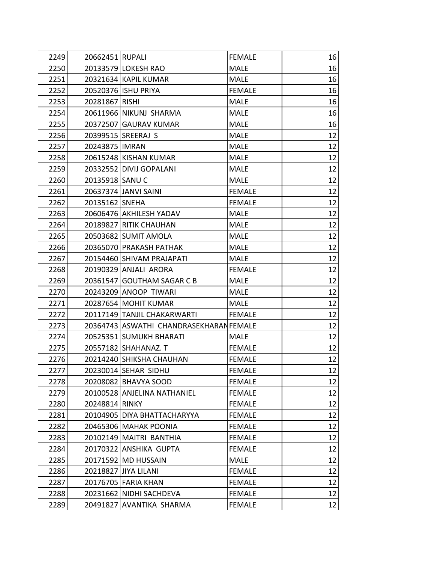| 2249 | 20662451 RUPALI  |                                         | <b>FEMALE</b> | 16 |
|------|------------------|-----------------------------------------|---------------|----|
| 2250 |                  | 20133579 LOKESH RAO                     | <b>MALE</b>   | 16 |
| 2251 |                  | 20321634 KAPIL KUMAR                    | <b>MALE</b>   | 16 |
| 2252 |                  | 20520376 ISHU PRIYA                     | <b>FEMALE</b> | 16 |
| 2253 | 20281867 RISHI   |                                         | <b>MALE</b>   | 16 |
| 2254 |                  | 20611966 NIKUNJ SHARMA                  | <b>MALE</b>   | 16 |
| 2255 |                  | 20372507 GAURAV KUMAR                   | <b>MALE</b>   | 16 |
| 2256 |                  | 20399515 SREERAJ S                      | <b>MALE</b>   | 12 |
| 2257 | 20243875   IMRAN |                                         | <b>MALE</b>   | 12 |
| 2258 |                  | 20615248 KISHAN KUMAR                   | <b>MALE</b>   | 12 |
| 2259 |                  | 20332552 DIVIJ GOPALANI                 | <b>MALE</b>   | 12 |
| 2260 | 20135918 SANU C  |                                         | <b>MALE</b>   | 12 |
| 2261 |                  | 20637374 JANVI SAINI                    | <b>FEMALE</b> | 12 |
| 2262 | 20135162 SNEHA   |                                         | <b>FEMALE</b> | 12 |
| 2263 |                  | 20606476 AKHILESH YADAV                 | MALE          | 12 |
| 2264 |                  | 20189827 RITIK CHAUHAN                  | <b>MALE</b>   | 12 |
| 2265 |                  | 20503682 SUMIT AMOLA                    | <b>MALE</b>   | 12 |
| 2266 |                  | 20365070 PRAKASH PATHAK                 | <b>MALE</b>   | 12 |
| 2267 |                  | 20154460 SHIVAM PRAJAPATI               | <b>MALE</b>   | 12 |
| 2268 |                  | 20190329 ANJALI ARORA                   | <b>FEMALE</b> | 12 |
| 2269 |                  | 20361547 GOUTHAM SAGAR C B              | <b>MALE</b>   | 12 |
| 2270 |                  | 20243209 ANOOP TIWARI                   | <b>MALE</b>   | 12 |
| 2271 |                  | 20287654 MOHIT KUMAR                    | <b>MALE</b>   | 12 |
| 2272 |                  | 20117149 TANJIL CHAKARWARTI             | <b>FEMALE</b> | 12 |
| 2273 |                  | 20364743 ASWATHI CHANDRASEKHARAN FEMALE |               | 12 |
| 2274 |                  | 20525351 SUMUKH BHARATI                 | <b>MALE</b>   | 12 |
| 2275 |                  | 20557182 SHAHANAZ. T                    | <b>FEMALE</b> | 12 |
| 2276 |                  | 20214240 SHIKSHA CHAUHAN                | <b>FEMALE</b> | 12 |
| 2277 |                  | 20230014 SEHAR SIDHU                    | <b>FEMALE</b> | 12 |
| 2278 |                  | 20208082 BHAVYA SOOD                    | <b>FEMALE</b> | 12 |
| 2279 |                  | 20100528 ANJELINA NATHANIEL             | <b>FEMALE</b> | 12 |
| 2280 | 20248814 RINKY   |                                         | <b>FEMALE</b> | 12 |
| 2281 |                  | 20104905 DIYA BHATTACHARYYA             | <b>FEMALE</b> | 12 |
| 2282 |                  | 20465306 MAHAK POONIA                   | <b>FEMALE</b> | 12 |
| 2283 |                  | 20102149 MAITRI BANTHIA                 | <b>FEMALE</b> | 12 |
| 2284 |                  | 20170322 ANSHIKA GUPTA                  | <b>FEMALE</b> | 12 |
| 2285 |                  | 20171592 MD HUSSAIN                     | <b>MALE</b>   | 12 |
| 2286 |                  | 20218827 JIYA LILANI                    | <b>FEMALE</b> | 12 |
| 2287 |                  | 20176705 FARIA KHAN                     | <b>FEMALE</b> | 12 |
| 2288 |                  | 20231662 NIDHI SACHDEVA                 | <b>FEMALE</b> | 12 |
| 2289 |                  | 20491827 AVANTIKA SHARMA                | <b>FEMALE</b> | 12 |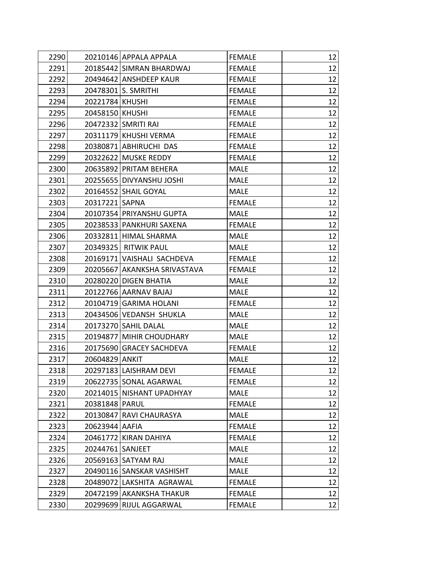| 2290 |                  | 20210146 APPALA APPALA       | <b>FEMALE</b> | 12 |
|------|------------------|------------------------------|---------------|----|
| 2291 |                  | 20185442 SIMRAN BHARDWAJ     | <b>FEMALE</b> | 12 |
| 2292 |                  | 20494642 ANSHDEEP KAUR       | <b>FEMALE</b> | 12 |
| 2293 |                  | 20478301 S. SMRITHI          | <b>FEMALE</b> | 12 |
| 2294 | 20221784 KHUSHI  |                              | <b>FEMALE</b> | 12 |
| 2295 | 20458150 KHUSHI  |                              | <b>FEMALE</b> | 12 |
| 2296 |                  | 20472332 SMRITI RAI          | <b>FEMALE</b> | 12 |
| 2297 |                  | 20311179 KHUSHI VERMA        | <b>FEMALE</b> | 12 |
| 2298 |                  | 20380871 ABHIRUCHI DAS       | <b>FEMALE</b> | 12 |
| 2299 |                  | 20322622 MUSKE REDDY         | <b>FEMALE</b> | 12 |
| 2300 |                  | 20635892 PRITAM BEHERA       | <b>MALE</b>   | 12 |
| 2301 |                  | 20255655 DIVYANSHU JOSHI     | <b>MALE</b>   | 12 |
| 2302 |                  | 20164552 SHAIL GOYAL         | MALE          | 12 |
| 2303 | 20317221 SAPNA   |                              | <b>FEMALE</b> | 12 |
| 2304 |                  | 20107354 PRIYANSHU GUPTA     | <b>MALE</b>   | 12 |
| 2305 |                  | 20238533 PANKHURI SAXENA     | <b>FEMALE</b> | 12 |
| 2306 |                  | 20332811 HIMAL SHARMA        | <b>MALE</b>   | 12 |
| 2307 |                  | 20349325 RITWIK PAUL         | <b>MALE</b>   | 12 |
| 2308 |                  | 20169171 VAISHALI SACHDEVA   | <b>FEMALE</b> | 12 |
| 2309 |                  | 20205667 AKANKSHA SRIVASTAVA | <b>FEMALE</b> | 12 |
| 2310 |                  | 20280220 DIGEN BHATIA        | <b>MALE</b>   | 12 |
| 2311 |                  | 20122766 AARNAV BAJAJ        | <b>MALE</b>   | 12 |
| 2312 |                  | 20104719 GARIMA HOLANI       | <b>FEMALE</b> | 12 |
| 2313 |                  | 20434506 VEDANSH SHUKLA      | MALE          | 12 |
| 2314 |                  | 20173270 SAHIL DALAL         | <b>MALE</b>   | 12 |
| 2315 |                  | 20194877 MIHIR CHOUDHARY     | <b>MALE</b>   | 12 |
| 2316 |                  | 20175690 GRACEY SACHDEVA     | <b>FEMALE</b> | 12 |
| 2317 | 20604829 ANKIT   |                              | <b>MALE</b>   | 12 |
| 2318 |                  | 20297183 LAISHRAM DEVI       | <b>FEMALE</b> | 12 |
| 2319 |                  | 20622735 SONAL AGARWAL       | <b>FEMALE</b> | 12 |
| 2320 |                  | 20214015 NISHANT UPADHYAY    | <b>MALE</b>   | 12 |
| 2321 | 20381848   PARUL |                              | <b>FEMALE</b> | 12 |
| 2322 |                  | 20130847 RAVI CHAURASYA      | <b>MALE</b>   | 12 |
| 2323 | 20623944 AAFIA   |                              | <b>FEMALE</b> | 12 |
| 2324 |                  | 20461772 KIRAN DAHIYA        | <b>FEMALE</b> | 12 |
| 2325 | 20244761 SANJEET |                              | <b>MALE</b>   | 12 |
| 2326 |                  | 20569163 SATYAM RAJ          | <b>MALE</b>   | 12 |
| 2327 |                  | 20490116 SANSKAR VASHISHT    | <b>MALE</b>   | 12 |
| 2328 |                  | 20489072 LAKSHITA AGRAWAL    | <b>FEMALE</b> | 12 |
| 2329 |                  | 20472199 AKANKSHA THAKUR     | <b>FEMALE</b> | 12 |
| 2330 |                  | 20299699 RIJUL AGGARWAL      | <b>FEMALE</b> | 12 |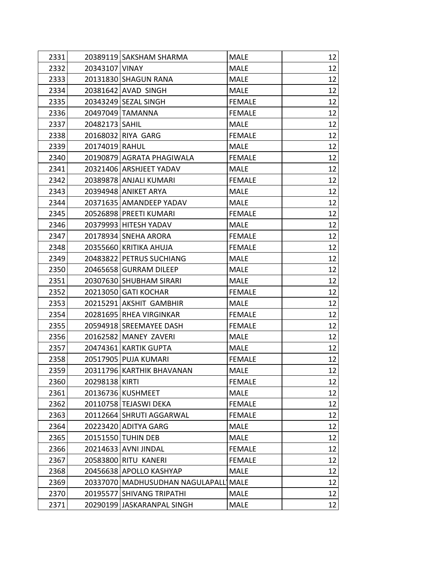| 2331 |                  | 20389119 SAKSHAM SHARMA            | <b>MALE</b>   | 12 |
|------|------------------|------------------------------------|---------------|----|
| 2332 | 20343107 VINAY   |                                    | <b>MALE</b>   | 12 |
| 2333 |                  | 20131830 SHAGUN RANA               | <b>MALE</b>   | 12 |
| 2334 |                  | 20381642 AVAD SINGH                | <b>MALE</b>   | 12 |
| 2335 |                  | 20343249 SEZAL SINGH               | <b>FEMALE</b> | 12 |
| 2336 |                  | 20497049 TAMANNA                   | <b>FEMALE</b> | 12 |
| 2337 | 20482173   SAHIL |                                    | <b>MALE</b>   | 12 |
| 2338 |                  | 20168032 RIYA GARG                 | <b>FEMALE</b> | 12 |
| 2339 | 20174019 RAHUL   |                                    | <b>MALE</b>   | 12 |
| 2340 |                  | 20190879 AGRATA PHAGIWALA          | <b>FEMALE</b> | 12 |
| 2341 |                  | 20321406 ARSHJEET YADAV            | <b>MALE</b>   | 12 |
| 2342 |                  | 20389878 ANJALI KUMARI             | <b>FEMALE</b> | 12 |
| 2343 |                  | 20394948 ANIKET ARYA               | MALE          | 12 |
| 2344 |                  | 20371635 AMANDEEP YADAV            | <b>MALE</b>   | 12 |
| 2345 |                  | 20526898 PREETI KUMARI             | <b>FEMALE</b> | 12 |
| 2346 |                  | 20379993 HITESH YADAV              | <b>MALE</b>   | 12 |
| 2347 |                  | 20178934 SNEHA ARORA               | <b>FEMALE</b> | 12 |
| 2348 |                  | 20355660 KRITIKA AHUJA             | <b>FEMALE</b> | 12 |
| 2349 |                  | 20483822 PETRUS SUCHIANG           | <b>MALE</b>   | 12 |
| 2350 |                  | 20465658 GURRAM DILEEP             | <b>MALE</b>   | 12 |
| 2351 |                  | 20307630 SHUBHAM SIRARI            | <b>MALE</b>   | 12 |
| 2352 |                  | 20213050 GATI KOCHAR               | <b>FEMALE</b> | 12 |
| 2353 |                  | 20215291 AKSHIT GAMBHIR            | MALE          | 12 |
| 2354 |                  | 20281695 RHEA VIRGINKAR            | <b>FEMALE</b> | 12 |
| 2355 |                  | 20594918 SREEMAYEE DASH            | <b>FEMALE</b> | 12 |
| 2356 |                  | 20162582 MANEY ZAVERI              | <b>MALE</b>   | 12 |
| 2357 |                  | 20474361 KARTIK GUPTA              | <b>MALE</b>   | 12 |
| 2358 |                  | 20517905 PUJA KUMARI               | <b>FEMALE</b> | 12 |
| 2359 |                  | 20311796 KARTHIK BHAVANAN          | MALE          | 12 |
| 2360 | 20298138 KIRTI   |                                    | <b>FEMALE</b> | 12 |
| 2361 |                  | 20136736 KUSHMEET                  | <b>MALE</b>   | 12 |
| 2362 |                  | 20110758 TEJASWI DEKA              | <b>FEMALE</b> | 12 |
| 2363 |                  | 20112664 SHRUTI AGGARWAL           | <b>FEMALE</b> | 12 |
| 2364 |                  | 20223420 ADITYA GARG               | <b>MALE</b>   | 12 |
| 2365 |                  | 20151550 TUHIN DEB                 | <b>MALE</b>   | 12 |
| 2366 |                  | 20214633 AVNI JINDAL               | <b>FEMALE</b> | 12 |
| 2367 |                  | 20583800 RITU KANERI               | <b>FEMALE</b> | 12 |
| 2368 |                  | 20456638 APOLLO KASHYAP            | <b>MALE</b>   | 12 |
| 2369 |                  | 20337070   MADHUSUDHAN NAGULAPALL) | <b>MALE</b>   | 12 |
| 2370 |                  | 20195577 SHIVANG TRIPATHI          | <b>MALE</b>   | 12 |
| 2371 |                  | 20290199 JASKARANPAL SINGH         | <b>MALE</b>   | 12 |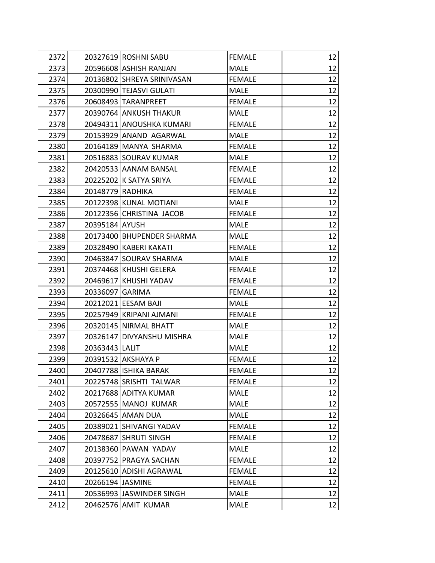| 2372 |                  | 20327619 ROSHNI SABU       | <b>FEMALE</b> | 12 |
|------|------------------|----------------------------|---------------|----|
| 2373 |                  | 20596608 ASHISH RANJAN     | <b>MALE</b>   | 12 |
| 2374 |                  | 20136802 SHREYA SRINIVASAN | <b>FEMALE</b> | 12 |
| 2375 |                  | 20300990 TEJASVI GULATI    | <b>MALE</b>   | 12 |
| 2376 |                  | 20608493 TARANPREET        | <b>FEMALE</b> | 12 |
| 2377 |                  | 20390764 ANKUSH THAKUR     | <b>MALE</b>   | 12 |
| 2378 |                  | 20494311 ANOUSHKA KUMARI   | <b>FEMALE</b> | 12 |
| 2379 |                  | 20153929 ANAND AGARWAL     | <b>MALE</b>   | 12 |
| 2380 |                  | 20164189 MANYA SHARMA      | <b>FEMALE</b> | 12 |
| 2381 |                  | 20516883 SOURAV KUMAR      | <b>MALE</b>   | 12 |
| 2382 |                  | 20420533 AANAM BANSAL      | <b>FEMALE</b> | 12 |
| 2383 |                  | 20225202 K SATYA SRIYA     | <b>FEMALE</b> | 12 |
| 2384 | 20148779 RADHIKA |                            | <b>FEMALE</b> | 12 |
| 2385 |                  | 20122398 KUNAL MOTIANI     | <b>MALE</b>   | 12 |
| 2386 |                  | 20122356 CHRISTINA JACOB   | <b>FEMALE</b> | 12 |
| 2387 | 20395184 AYUSH   |                            | <b>MALE</b>   | 12 |
| 2388 |                  | 20173400 BHUPENDER SHARMA  | MALE          | 12 |
| 2389 |                  | 20328490 KABERI KAKATI     | <b>FEMALE</b> | 12 |
| 2390 |                  | 20463847 SOURAV SHARMA     | <b>MALE</b>   | 12 |
| 2391 |                  | 20374468 KHUSHI GELERA     | <b>FEMALE</b> | 12 |
| 2392 |                  | 20469617 KHUSHI YADAV      | <b>FEMALE</b> | 12 |
| 2393 | 20336097 GARIMA  |                            | <b>FEMALE</b> | 12 |
| 2394 |                  | 20212021 EESAM BAJI        | <b>MALE</b>   | 12 |
| 2395 |                  | 20257949 KRIPANI AJMANI    | <b>FEMALE</b> | 12 |
| 2396 |                  | 20320145 NIRMAL BHATT      | <b>MALE</b>   | 12 |
| 2397 |                  | 20326147 DIVYANSHU MISHRA  | <b>MALE</b>   | 12 |
| 2398 | 20363443 LALIT   |                            | <b>MALE</b>   | 12 |
| 2399 |                  | 20391532 AKSHAYA P         | <b>FEMALE</b> | 12 |
| 2400 |                  | 20407788 ISHIKA BARAK      | <b>FEMALE</b> | 12 |
| 2401 |                  | 20225748 SRISHTI TALWAR    | <b>FEMALE</b> | 12 |
| 2402 |                  | 20217688 ADITYA KUMAR      | <b>MALE</b>   | 12 |
| 2403 |                  | 20572555   MANOJ KUMAR     | <b>MALE</b>   | 12 |
| 2404 |                  | 20326645 AMAN DUA          | <b>MALE</b>   | 12 |
| 2405 |                  | 20389021 SHIVANGI YADAV    | <b>FEMALE</b> | 12 |
| 2406 |                  | 20478687 SHRUTI SINGH      | <b>FEMALE</b> | 12 |
| 2407 |                  | 20138360 PAWAN YADAV       | <b>MALE</b>   | 12 |
| 2408 |                  | 20397752 PRAGYA SACHAN     | <b>FEMALE</b> | 12 |
| 2409 |                  | 20125610 ADISHI AGRAWAL    | <b>FEMALE</b> | 12 |
| 2410 | 20266194 JASMINE |                            | <b>FEMALE</b> | 12 |
| 2411 |                  | 20536993 JASWINDER SINGH   | <b>MALE</b>   | 12 |
| 2412 |                  | 20462576 AMIT KUMAR        | <b>MALE</b>   | 12 |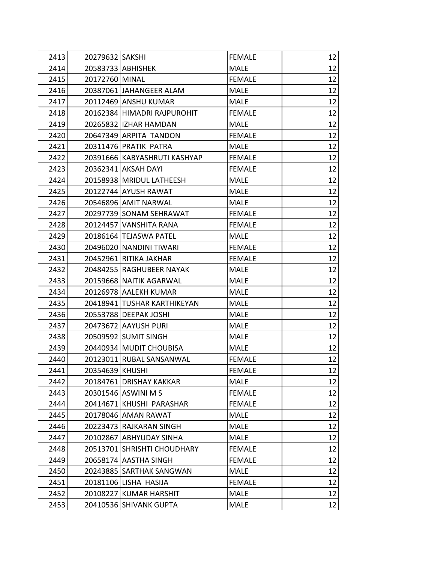| 2413 | 20279632 SAKSHI |                              | <b>FEMALE</b> | 12 |
|------|-----------------|------------------------------|---------------|----|
| 2414 |                 | 20583733 ABHISHEK            | <b>MALE</b>   | 12 |
| 2415 | 20172760 MINAL  |                              | <b>FEMALE</b> | 12 |
| 2416 |                 | 20387061 JAHANGEER ALAM      | <b>MALE</b>   | 12 |
| 2417 |                 | 20112469 ANSHU KUMAR         | <b>MALE</b>   | 12 |
| 2418 |                 | 20162384 HIMADRI RAJPUROHIT  | <b>FEMALE</b> | 12 |
| 2419 |                 | 20265832   IZHAR HAMDAN      | MALE          | 12 |
| 2420 |                 | 20647349 ARPITA TANDON       | <b>FEMALE</b> | 12 |
| 2421 |                 | 20311476 PRATIK PATRA        | <b>MALE</b>   | 12 |
| 2422 |                 | 20391666 KABYASHRUTI KASHYAP | <b>FEMALE</b> | 12 |
| 2423 |                 | 20362341 AKSAH DAYI          | <b>FEMALE</b> | 12 |
| 2424 |                 | 20158938   MRIDUL LATHEESH   | <b>MALE</b>   | 12 |
| 2425 |                 | 20122744 AYUSH RAWAT         | MALE          | 12 |
| 2426 |                 | 20546896 AMIT NARWAL         | <b>MALE</b>   | 12 |
| 2427 |                 | 20297739 SONAM SEHRAWAT      | <b>FEMALE</b> | 12 |
| 2428 |                 | 20124457 VANSHITA RANA       | <b>FEMALE</b> | 12 |
| 2429 |                 | 20186164 TEJASWA PATEL       | <b>MALE</b>   | 12 |
| 2430 |                 | 20496020 NANDINI TIWARI      | <b>FEMALE</b> | 12 |
| 2431 |                 | 20452961 RITIKA JAKHAR       | <b>FEMALE</b> | 12 |
| 2432 |                 | 20484255 RAGHUBEER NAYAK     | <b>MALE</b>   | 12 |
| 2433 |                 | 20159668 NAITIK AGARWAL      | <b>MALE</b>   | 12 |
| 2434 |                 | 20126978 AALEKH KUMAR        | <b>MALE</b>   | 12 |
| 2435 |                 | 20418941 TUSHAR KARTHIKEYAN  | <b>MALE</b>   | 12 |
| 2436 |                 | 20553788 DEEPAK JOSHI        | <b>MALE</b>   | 12 |
| 2437 |                 | 20473672 AAYUSH PURI         | <b>MALE</b>   | 12 |
| 2438 |                 | 20509592 SUMIT SINGH         | <b>MALE</b>   | 12 |
| 2439 |                 | 20440934 MUDIT CHOUBISA      | <b>MALE</b>   | 12 |
| 2440 |                 | 20123011 RUBAL SANSANWAL     | <b>FEMALE</b> | 12 |
| 2441 | 20354639 KHUSHI |                              | <b>FEMALE</b> | 12 |
| 2442 |                 | 20184761 DRISHAY KAKKAR      | <b>MALE</b>   | 12 |
| 2443 |                 | 20301546 ASWINI M S          | <b>FEMALE</b> | 12 |
| 2444 |                 | 20414671 KHUSHI PARASHAR     | <b>FEMALE</b> | 12 |
| 2445 |                 | 20178046 AMAN RAWAT          | <b>MALE</b>   | 12 |
| 2446 |                 | 20223473 RAJKARAN SINGH      | <b>MALE</b>   | 12 |
| 2447 |                 | 20102867 ABHYUDAY SINHA      | <b>MALE</b>   | 12 |
| 2448 |                 | 20513701 SHRISHTI CHOUDHARY  | <b>FEMALE</b> | 12 |
| 2449 |                 | 20658174 AASTHA SINGH        | <b>FEMALE</b> | 12 |
| 2450 |                 | 20243885 SARTHAK SANGWAN     | <b>MALE</b>   | 12 |
| 2451 |                 | 20181106 LISHA HASIJA        | <b>FEMALE</b> | 12 |
| 2452 |                 | 20108227 KUMAR HARSHIT       | <b>MALE</b>   | 12 |
| 2453 |                 | 20410536 SHIVANK GUPTA       | <b>MALE</b>   | 12 |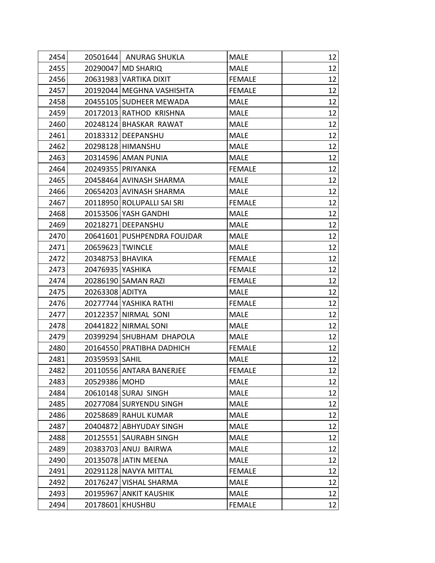| 2454 |                  | 20501644 ANURAG SHUKLA      | <b>MALE</b>   | 12 |
|------|------------------|-----------------------------|---------------|----|
| 2455 |                  | 20290047 MD SHARIQ          | <b>MALE</b>   | 12 |
| 2456 |                  | 20631983 VARTIKA DIXIT      | <b>FEMALE</b> | 12 |
| 2457 |                  | 20192044   MEGHNA VASHISHTA | <b>FEMALE</b> | 12 |
| 2458 |                  | 20455105 SUDHEER MEWADA     | <b>MALE</b>   | 12 |
| 2459 |                  | 20172013 RATHOD KRISHNA     | <b>MALE</b>   | 12 |
| 2460 |                  | 20248124 BHASKAR RAWAT      | <b>MALE</b>   | 12 |
| 2461 |                  | 20183312 DEEPANSHU          | <b>MALE</b>   | 12 |
| 2462 |                  | 20298128 HIMANSHU           | <b>MALE</b>   | 12 |
| 2463 |                  | 20314596 AMAN PUNIA         | <b>MALE</b>   | 12 |
| 2464 |                  | 20249355 PRIYANKA           | <b>FEMALE</b> | 12 |
| 2465 |                  | 20458464 AVINASH SHARMA     | <b>MALE</b>   | 12 |
| 2466 |                  | 20654203 AVINASH SHARMA     | <b>MALE</b>   | 12 |
| 2467 |                  | 20118950 ROLUPALLI SAI SRI  | <b>FEMALE</b> | 12 |
| 2468 |                  | 20153506 YASH GANDHI        | <b>MALE</b>   | 12 |
| 2469 |                  | 20218271 DEEPANSHU          | <b>MALE</b>   | 12 |
| 2470 |                  | 20641601 PUSHPENDRA FOUJDAR | <b>MALE</b>   | 12 |
| 2471 | 20659623 TWINCLE |                             | <b>MALE</b>   | 12 |
| 2472 | 20348753 BHAVIKA |                             | <b>FEMALE</b> | 12 |
| 2473 | 20476935 YASHIKA |                             | <b>FEMALE</b> | 12 |
| 2474 |                  | 20286190 SAMAN RAZI         | <b>FEMALE</b> | 12 |
| 2475 | 20263308 ADITYA  |                             | <b>MALE</b>   | 12 |
| 2476 |                  | 20277744 YASHIKA RATHI      | <b>FEMALE</b> | 12 |
| 2477 |                  | 20122357 NIRMAL SONI        | <b>MALE</b>   | 12 |
| 2478 |                  | 20441822 NIRMAL SONI        | <b>MALE</b>   | 12 |
| 2479 |                  | 20399294 SHUBHAM DHAPOLA    | <b>MALE</b>   | 12 |
| 2480 |                  | 20164550 PRATIBHA DADHICH   | <b>FEMALE</b> | 12 |
| 2481 | 20359593 SAHIL   |                             | <b>MALE</b>   | 12 |
| 2482 |                  | 20110556 ANTARA BANERJEE    | <b>FEMALE</b> | 12 |
| 2483 | 20529386 MOHD    |                             | <b>MALE</b>   | 12 |
| 2484 |                  | 20610148 SURAJ SINGH        | <b>MALE</b>   | 12 |
| 2485 |                  | 20277084 SURYENDU SINGH     | <b>MALE</b>   | 12 |
| 2486 |                  | 20258689 RAHUL KUMAR        | <b>MALE</b>   | 12 |
| 2487 |                  | 20404872 ABHYUDAY SINGH     | <b>MALE</b>   | 12 |
| 2488 |                  | 20125551 SAURABH SINGH      | <b>MALE</b>   | 12 |
| 2489 |                  | 20383703 ANUJ BAIRWA        | <b>MALE</b>   | 12 |
| 2490 |                  | 20135078 JATIN MEENA        | <b>MALE</b>   | 12 |
| 2491 |                  | 20291128 NAVYA MITTAL       | <b>FEMALE</b> | 12 |
| 2492 |                  | 20176247 VISHAL SHARMA      | <b>MALE</b>   | 12 |
| 2493 |                  | 20195967 ANKIT KAUSHIK      | <b>MALE</b>   | 12 |
| 2494 | 20178601         | <b>KHUSHBU</b>              | <b>FEMALE</b> | 12 |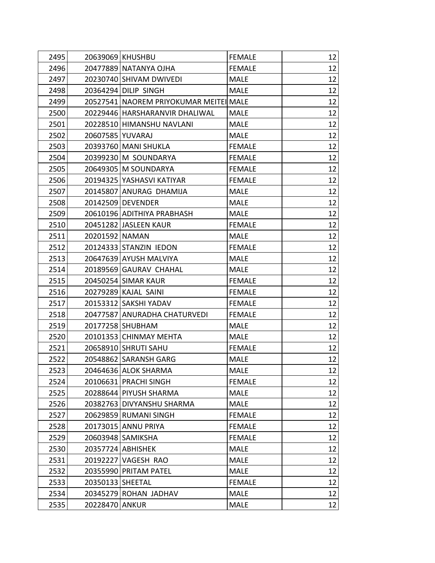| 2495 |                  | 20639069 KHUSHBU                       | <b>FEMALE</b> | 12 |
|------|------------------|----------------------------------------|---------------|----|
| 2496 |                  | 20477889 NATANYA OJHA                  | <b>FEMALE</b> | 12 |
| 2497 |                  | 20230740 SHIVAM DWIVEDI                | <b>MALE</b>   | 12 |
| 2498 |                  | 20364294 DILIP SINGH                   | <b>MALE</b>   | 12 |
| 2499 |                  | 20527541 NAOREM PRIYOKUMAR MEITEI MALE |               | 12 |
| 2500 |                  | 20229446 HARSHARANVIR DHALIWAL         | <b>MALE</b>   | 12 |
| 2501 |                  | 20228510 HIMANSHU NAVLANI              | <b>MALE</b>   | 12 |
| 2502 | 20607585 YUVARAJ |                                        | <b>MALE</b>   | 12 |
| 2503 |                  | 20393760 MANI SHUKLA                   | <b>FEMALE</b> | 12 |
| 2504 |                  | 20399230 M SOUNDARYA                   | <b>FEMALE</b> | 12 |
| 2505 |                  | 20649305   M SOUNDARYA                 | <b>FEMALE</b> | 12 |
| 2506 |                  | 20194325 YASHASVI KATIYAR              | <b>FEMALE</b> | 12 |
| 2507 |                  | 20145807 ANURAG DHAMIJA                | MALE          | 12 |
| 2508 |                  | 20142509 DEVENDER                      | <b>MALE</b>   | 12 |
| 2509 |                  | 20610196 ADITHIYA PRABHASH             | <b>MALE</b>   | 12 |
| 2510 |                  | 20451282 JASLEEN KAUR                  | <b>FEMALE</b> | 12 |
| 2511 | 20201592 NAMAN   |                                        | <b>MALE</b>   | 12 |
| 2512 |                  | 20124333 STANZIN IEDON                 | <b>FEMALE</b> | 12 |
| 2513 |                  | 20647639 AYUSH MALVIYA                 | <b>MALE</b>   | 12 |
| 2514 |                  | 20189569 GAURAV CHAHAL                 | <b>MALE</b>   | 12 |
| 2515 |                  | 20450254 SIMAR KAUR                    | <b>FEMALE</b> | 12 |
| 2516 |                  | 20279289 KAJAL SAINI                   | <b>FEMALE</b> | 12 |
| 2517 |                  | 20153312 SAKSHI YADAV                  | <b>FEMALE</b> | 12 |
| 2518 |                  | 20477587 ANURADHA CHATURVEDI           | <b>FEMALE</b> | 12 |
| 2519 |                  | 20177258 SHUBHAM                       | <b>MALE</b>   | 12 |
| 2520 |                  | 20101353 CHINMAY MEHTA                 | <b>MALE</b>   | 12 |
| 2521 |                  | 20658910 SHRUTI SAHU                   | <b>FEMALE</b> | 12 |
| 2522 |                  | 20548862 SARANSH GARG                  | <b>MALE</b>   | 12 |
| 2523 |                  | 20464636 ALOK SHARMA                   | <b>MALE</b>   | 12 |
| 2524 |                  | 20106631 PRACHI SINGH                  | <b>FEMALE</b> | 12 |
| 2525 |                  | 20288644 PIYUSH SHARMA                 | <b>MALE</b>   | 12 |
| 2526 |                  | 20382763 DIVYANSHU SHARMA              | <b>MALE</b>   | 12 |
| 2527 |                  | 20629859 RUMANI SINGH                  | <b>FEMALE</b> | 12 |
| 2528 |                  | 20173015 ANNU PRIYA                    | <b>FEMALE</b> | 12 |
| 2529 |                  | 20603948 SAMIKSHA                      | <b>FEMALE</b> | 12 |
| 2530 |                  | 20357724 ABHISHEK                      | <b>MALE</b>   | 12 |
| 2531 |                  | 20192227 VAGESH RAO                    | <b>MALE</b>   | 12 |
| 2532 |                  | 20355990 PRITAM PATEL                  | <b>MALE</b>   | 12 |
| 2533 | 20350133 SHEETAL |                                        | <b>FEMALE</b> | 12 |
| 2534 |                  | 20345279 ROHAN JADHAV                  | <b>MALE</b>   | 12 |
| 2535 | 20228470 ANKUR   |                                        | <b>MALE</b>   | 12 |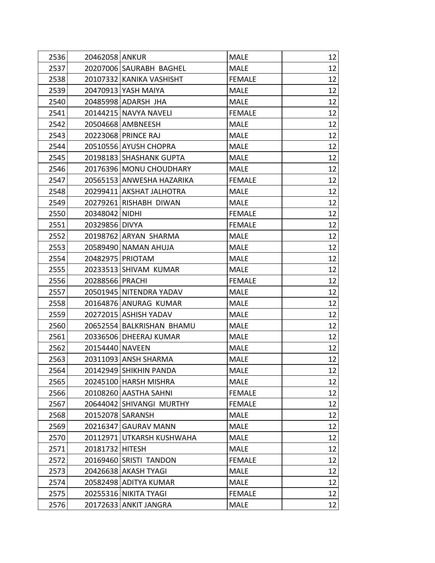| 2536 | 20462058 ANKUR  |                           | <b>MALE</b>   | 12 |
|------|-----------------|---------------------------|---------------|----|
| 2537 |                 | 20207006 SAURABH BAGHEL   | <b>MALE</b>   | 12 |
| 2538 |                 | 20107332 KANIKA VASHISHT  | <b>FEMALE</b> | 12 |
| 2539 |                 | 20470913 YASH MAIYA       | <b>MALE</b>   | 12 |
| 2540 |                 | 20485998 ADARSH JHA       | <b>MALE</b>   | 12 |
| 2541 |                 | 20144215 NAVYA NAVELI     | <b>FEMALE</b> | 12 |
| 2542 |                 | 20504668 AMBNEESH         | <b>MALE</b>   | 12 |
| 2543 |                 | 20223068 PRINCE RAJ       | <b>MALE</b>   | 12 |
| 2544 |                 | 20510556 AYUSH CHOPRA     | <b>MALE</b>   | 12 |
| 2545 |                 | 20198183 SHASHANK GUPTA   | <b>MALE</b>   | 12 |
| 2546 |                 | 20176396 MONU CHOUDHARY   | <b>MALE</b>   | 12 |
| 2547 |                 | 20565153 ANWESHA HAZARIKA | <b>FEMALE</b> | 12 |
| 2548 |                 | 20299411 AKSHAT JALHOTRA  | <b>MALE</b>   | 12 |
| 2549 |                 | 20279261 RISHABH DIWAN    | <b>MALE</b>   | 12 |
| 2550 | 20348042 NIDHI  |                           | <b>FEMALE</b> | 12 |
| 2551 | 20329856 DIVYA  |                           | <b>FEMALE</b> | 12 |
| 2552 |                 | 20198762 ARYAN SHARMA     | <b>MALE</b>   | 12 |
| 2553 |                 | 20589490 NAMAN AHUJA      | <b>MALE</b>   | 12 |
| 2554 |                 | 20482975 PRIOTAM          | <b>MALE</b>   | 12 |
| 2555 |                 | 20233513 SHIVAM KUMAR     | <b>MALE</b>   | 12 |
| 2556 | 20288566 PRACHI |                           | <b>FEMALE</b> | 12 |
| 2557 |                 | 20501945 NITENDRA YADAV   | <b>MALE</b>   | 12 |
| 2558 |                 | 20164876 ANURAG KUMAR     | <b>MALE</b>   | 12 |
| 2559 |                 | 20272015 ASHISH YADAV     | <b>MALE</b>   | 12 |
| 2560 |                 | 20652554 BALKRISHAN BHAMU | <b>MALE</b>   | 12 |
| 2561 |                 | 20336506 DHEERAJ KUMAR    | <b>MALE</b>   | 12 |
| 2562 | 20154440 NAVEEN |                           | <b>MALE</b>   | 12 |
| 2563 |                 | 20311093 ANSH SHARMA      | <b>MALE</b>   | 12 |
| 2564 |                 | 20142949 SHIKHIN PANDA    | <b>MALE</b>   | 12 |
| 2565 |                 | 20245100 HARSH MISHRA     | <b>MALE</b>   | 12 |
| 2566 |                 | 20108260 AASTHA SAHNI     | <b>FEMALE</b> | 12 |
| 2567 |                 | 20644042 SHIVANGI MURTHY  | <b>FEMALE</b> | 12 |
| 2568 |                 | 20152078 SARANSH          | <b>MALE</b>   | 12 |
| 2569 |                 | 20216347 GAURAV MANN      | <b>MALE</b>   | 12 |
| 2570 |                 | 20112971 UTKARSH KUSHWAHA | <b>MALE</b>   | 12 |
| 2571 | 20181732 HITESH |                           | <b>MALE</b>   | 12 |
| 2572 |                 | 20169460 SRISTI TANDON    | <b>FEMALE</b> | 12 |
| 2573 |                 | 20426638 AKASH TYAGI      | <b>MALE</b>   | 12 |
| 2574 |                 | 20582498 ADITYA KUMAR     | <b>MALE</b>   | 12 |
| 2575 |                 | 20255316 NIKITA TYAGI     | <b>FEMALE</b> | 12 |
| 2576 |                 | 20172633 ANKIT JANGRA     | <b>MALE</b>   | 12 |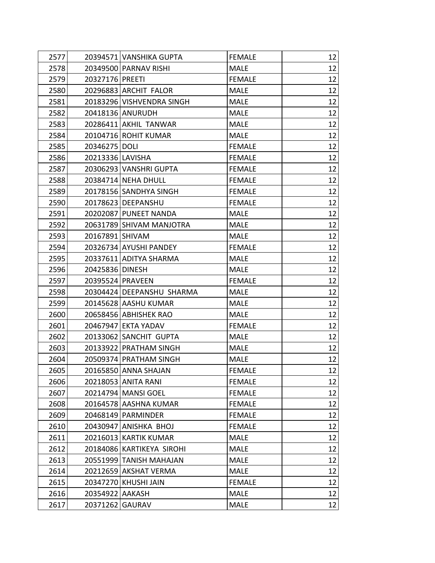| 2577 |                  | 20394571 VANSHIKA GUPTA   | <b>FEMALE</b> | 12 |
|------|------------------|---------------------------|---------------|----|
| 2578 |                  | 20349500 PARNAV RISHI     | <b>MALE</b>   | 12 |
| 2579 | 20327176 PREETI  |                           | <b>FEMALE</b> | 12 |
| 2580 |                  | 20296883 ARCHIT FALOR     | <b>MALE</b>   | 12 |
| 2581 |                  | 20183296 VISHVENDRA SINGH | <b>MALE</b>   | 12 |
| 2582 |                  | 20418136 ANURUDH          | <b>MALE</b>   | 12 |
| 2583 |                  | 20286411 AKHIL TANWAR     | <b>MALE</b>   | 12 |
| 2584 |                  | 20104716 ROHIT KUMAR      | <b>MALE</b>   | 12 |
| 2585 | 20346275 DOLI    |                           | <b>FEMALE</b> | 12 |
| 2586 | 20213336 LAVISHA |                           | <b>FEMALE</b> | 12 |
| 2587 |                  | 20306293 VANSHRI GUPTA    | <b>FEMALE</b> | 12 |
| 2588 |                  | 20384714 NEHA DHULL       | <b>FEMALE</b> | 12 |
| 2589 |                  | 20178156 SANDHYA SINGH    | <b>FEMALE</b> | 12 |
| 2590 |                  | 20178623 DEEPANSHU        | <b>FEMALE</b> | 12 |
| 2591 |                  | 20202087 PUNEET NANDA     | <b>MALE</b>   | 12 |
| 2592 |                  | 20631789 SHIVAM MANJOTRA  | <b>MALE</b>   | 12 |
| 2593 | 20167891 SHIVAM  |                           | <b>MALE</b>   | 12 |
| 2594 |                  | 20326734 AYUSHI PANDEY    | <b>FEMALE</b> | 12 |
| 2595 |                  | 20337611 ADITYA SHARMA    | <b>MALE</b>   | 12 |
| 2596 | 20425836 DINESH  |                           | <b>MALE</b>   | 12 |
| 2597 | 20395524 PRAVEEN |                           | <b>FEMALE</b> | 12 |
| 2598 |                  | 20304424 DEEPANSHU SHARMA | <b>MALE</b>   | 12 |
| 2599 |                  | 20145628 AASHU KUMAR      | <b>MALE</b>   | 12 |
| 2600 |                  | 20658456 ABHISHEK RAO     | <b>MALE</b>   | 12 |
| 2601 |                  | 20467947 EKTA YADAV       | <b>FEMALE</b> | 12 |
| 2602 |                  | 20133062 SANCHIT GUPTA    | <b>MALE</b>   | 12 |
| 2603 |                  | 20133922 PRATHAM SINGH    | <b>MALE</b>   | 12 |
| 2604 |                  | 20509374 PRATHAM SINGH    | <b>MALE</b>   | 12 |
| 2605 |                  | 20165850 ANNA SHAJAN      | <b>FEMALE</b> | 12 |
| 2606 |                  | 20218053 ANITA RANI       | <b>FEMALE</b> | 12 |
| 2607 |                  | 20214794   MANSI GOEL     | <b>FEMALE</b> | 12 |
| 2608 |                  | 20164578 AASHNA KUMAR     | <b>FEMALE</b> | 12 |
| 2609 |                  | 20468149   PARMINDER      | <b>FEMALE</b> | 12 |
| 2610 |                  | 20430947 ANISHKA BHOJ     | <b>FEMALE</b> | 12 |
| 2611 |                  | 20216013 KARTIK KUMAR     | <b>MALE</b>   | 12 |
| 2612 |                  | 20184086 KARTIKEYA SIROHI | <b>MALE</b>   | 12 |
| 2613 |                  | 20551999 TANISH MAHAJAN   | <b>MALE</b>   | 12 |
| 2614 |                  | 20212659 AKSHAT VERMA     | <b>MALE</b>   | 12 |
| 2615 |                  | 20347270 KHUSHI JAIN      | <b>FEMALE</b> | 12 |
| 2616 | 20354922 AAKASH  |                           | <b>MALE</b>   | 12 |
| 2617 | 20371262 GAURAV  |                           | <b>MALE</b>   | 12 |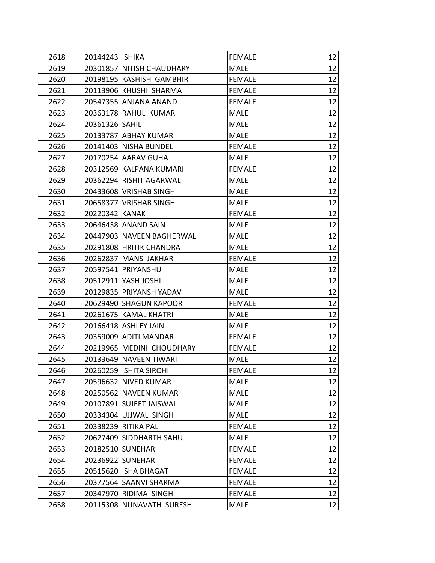| 2618 | 20144243 ISHIKA |                           | <b>FEMALE</b> | 12 |
|------|-----------------|---------------------------|---------------|----|
| 2619 |                 | 20301857 NITISH CHAUDHARY | <b>MALE</b>   | 12 |
| 2620 |                 | 20198195 KASHISH GAMBHIR  | <b>FEMALE</b> | 12 |
| 2621 |                 | 20113906 KHUSHI SHARMA    | <b>FEMALE</b> | 12 |
| 2622 |                 | 20547355 ANJANA ANAND     | <b>FEMALE</b> | 12 |
| 2623 |                 | 20363178 RAHUL KUMAR      | <b>MALE</b>   | 12 |
| 2624 | 20361326 SAHIL  |                           | <b>MALE</b>   | 12 |
| 2625 |                 | 20133787 ABHAY KUMAR      | <b>MALE</b>   | 12 |
| 2626 |                 | 20141403 NISHA BUNDEL     | <b>FEMALE</b> | 12 |
| 2627 |                 | 20170254 AARAV GUHA       | <b>MALE</b>   | 12 |
| 2628 |                 | 20312569 KALPANA KUMARI   | <b>FEMALE</b> | 12 |
| 2629 |                 | 20362294 RISHIT AGARWAL   | <b>MALE</b>   | 12 |
| 2630 |                 | 20433608 VRISHAB SINGH    | <b>MALE</b>   | 12 |
| 2631 |                 | 20658377 VRISHAB SINGH    | <b>MALE</b>   | 12 |
| 2632 | 20220342 KANAK  |                           | <b>FEMALE</b> | 12 |
| 2633 |                 | 20646438 ANAND SAIN       | <b>MALE</b>   | 12 |
| 2634 |                 | 20447903 NAVEEN BAGHERWAL | <b>MALE</b>   | 12 |
| 2635 |                 | 20291808 HRITIK CHANDRA   | <b>MALE</b>   | 12 |
| 2636 |                 | 20262837   MANSI JAKHAR   | <b>FEMALE</b> | 12 |
| 2637 |                 | 20597541 PRIYANSHU        | <b>MALE</b>   | 12 |
| 2638 |                 | 20512911 YASH JOSHI       | <b>MALE</b>   | 12 |
| 2639 |                 | 20129835 PRIYANSH YADAV   | <b>MALE</b>   | 12 |
| 2640 |                 | 20629490 SHAGUN KAPOOR    | <b>FEMALE</b> | 12 |
| 2641 |                 | 20261675   KAMAL KHATRI   | <b>MALE</b>   | 12 |
| 2642 |                 | 20166418 ASHLEY JAIN      | <b>MALE</b>   | 12 |
| 2643 |                 | 20359009 ADITI MANDAR     | <b>FEMALE</b> | 12 |
| 2644 |                 | 20219965 MEDINI CHOUDHARY | <b>FEMALE</b> | 12 |
| 2645 |                 | 20133649 NAVEEN TIWARI    | <b>MALE</b>   | 12 |
| 2646 |                 | 20260259 ISHITA SIROHI    | <b>FEMALE</b> | 12 |
| 2647 |                 | 20596632 NIVED KUMAR      | <b>MALE</b>   | 12 |
| 2648 |                 | 20250562 NAVEEN KUMAR     | <b>MALE</b>   | 12 |
| 2649 |                 | 20107891 SUJEET JAISWAL   | <b>MALE</b>   | 12 |
| 2650 |                 | 20334304 UJJWAL SINGH     | <b>MALE</b>   | 12 |
| 2651 |                 | 20338239 RITIKA PAL       | <b>FEMALE</b> | 12 |
| 2652 |                 | 20627409 SIDDHARTH SAHU   | <b>MALE</b>   | 12 |
| 2653 |                 | 20182510 SUNEHARI         | <b>FEMALE</b> | 12 |
| 2654 |                 | 20236922   SUNEHARI       | <b>FEMALE</b> | 12 |
| 2655 |                 | 20515620 ISHA BHAGAT      | <b>FEMALE</b> | 12 |
| 2656 |                 | 20377564 SAANVI SHARMA    | <b>FEMALE</b> | 12 |
| 2657 |                 | 20347970 RIDIMA SINGH     | <b>FEMALE</b> | 12 |
| 2658 |                 | 20115308 NUNAVATH SURESH  | <b>MALE</b>   | 12 |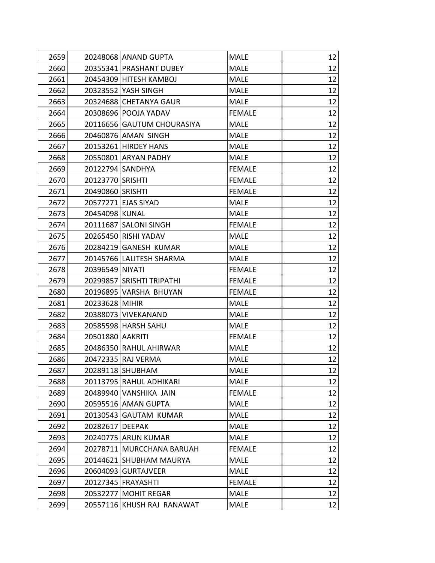| 2659 |                      | 20248068 ANAND GUPTA       | <b>MALE</b>   | 12 |
|------|----------------------|----------------------------|---------------|----|
| 2660 |                      | 20355341 PRASHANT DUBEY    | <b>MALE</b>   | 12 |
| 2661 |                      | 20454309 HITESH KAMBOJ     | <b>MALE</b>   | 12 |
| 2662 | 20323552 YASH SINGH  |                            | <b>MALE</b>   | 12 |
| 2663 |                      | 20324688 CHETANYA GAUR     | <b>MALE</b>   | 12 |
| 2664 |                      | 20308696 POOJA YADAV       | <b>FEMALE</b> | 12 |
| 2665 |                      | 20116656 GAUTUM CHOURASIYA | <b>MALE</b>   | 12 |
| 2666 |                      | 20460876 AMAN SINGH        | <b>MALE</b>   | 12 |
| 2667 |                      | 20153261 HIRDEY HANS       | <b>MALE</b>   | 12 |
| 2668 |                      | 20550801 ARYAN PADHY       | <b>MALE</b>   | 12 |
| 2669 | 20122794 SANDHYA     |                            | <b>FEMALE</b> | 12 |
| 2670 | 20123770 SRISHTI     |                            | <b>FEMALE</b> | 12 |
| 2671 | 20490860 SRISHTI     |                            | <b>FEMALE</b> | 12 |
| 2672 | 20577271 EJAS SIYAD  |                            | <b>MALE</b>   | 12 |
| 2673 | 20454098 KUNAL       |                            | <b>MALE</b>   | 12 |
| 2674 |                      | 20111687 SALONI SINGH      | <b>FEMALE</b> | 12 |
| 2675 |                      | 20265450 RISHI YADAV       | <b>MALE</b>   | 12 |
| 2676 |                      | 20284219 GANESH KUMAR      | <b>MALE</b>   | 12 |
| 2677 |                      | 20145766 LALITESH SHARMA   | <b>MALE</b>   | 12 |
| 2678 | 20396549 NIYATI      |                            | <b>FEMALE</b> | 12 |
| 2679 |                      | 20299857 SRISHTI TRIPATHI  | <b>FEMALE</b> | 12 |
| 2680 |                      | 20196895 VARSHA BHUYAN     | <b>FEMALE</b> | 12 |
| 2681 | 20233628 MIHIR       |                            | <b>MALE</b>   | 12 |
| 2682 |                      | 20388073 VIVEKANAND        | <b>MALE</b>   | 12 |
| 2683 |                      | 20585598 HARSH SAHU        | <b>MALE</b>   | 12 |
| 2684 | 20501880 AAKRITI     |                            | <b>FEMALE</b> | 12 |
| 2685 |                      | 20486350 RAHUL AHIRWAR     | <b>MALE</b>   | 12 |
| 2686 | 20472335 RAJ VERMA   |                            | <b>MALE</b>   | 12 |
| 2687 | 20289118 SHUBHAM     |                            | <b>MALE</b>   | 12 |
| 2688 |                      | 20113795 RAHUL ADHIKARI    | <b>MALE</b>   | 12 |
| 2689 |                      | 20489940 VANSHIKA JAIN     | <b>FEMALE</b> | 12 |
| 2690 |                      | 20595516 AMAN GUPTA        | <b>MALE</b>   | 12 |
| 2691 |                      | 20130543 GAUTAM KUMAR      | <b>MALE</b>   | 12 |
| 2692 | 20282617 DEEPAK      |                            | <b>MALE</b>   | 12 |
| 2693 |                      | 20240775 ARUN KUMAR        | <b>MALE</b>   | 12 |
| 2694 |                      | 20278711 MURCCHANA BARUAH  | <b>FEMALE</b> | 12 |
| 2695 |                      | 20144621 SHUBHAM MAURYA    | <b>MALE</b>   | 12 |
| 2696 |                      | 20604093 GURTAJVEER        | <b>MALE</b>   | 12 |
| 2697 | 20127345   FRAYASHTI |                            | <b>FEMALE</b> | 12 |
| 2698 | 20532277             | MOHIT REGAR                | <b>MALE</b>   | 12 |
| 2699 | 20557116             | KHUSH RAJ RANAWAT          | <b>MALE</b>   | 12 |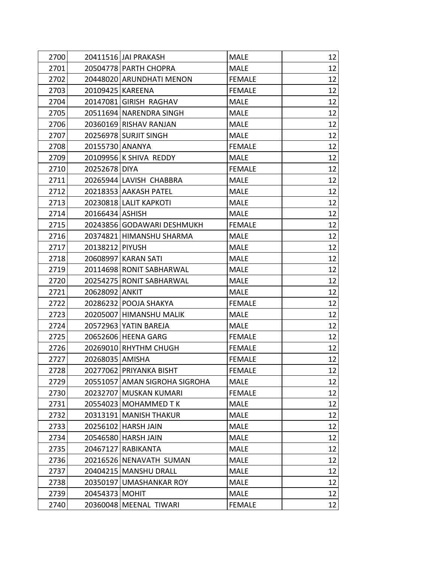| 2700 | 20411516 JAI PRAKASH          | <b>MALE</b>   | 12 |
|------|-------------------------------|---------------|----|
| 2701 | 20504778 PARTH CHOPRA         | <b>MALE</b>   | 12 |
| 2702 | 20448020 ARUNDHATI MENON      | <b>FEMALE</b> | 12 |
| 2703 | 20109425 KAREENA              | <b>FEMALE</b> | 12 |
| 2704 | 20147081 GIRISH RAGHAV        | <b>MALE</b>   | 12 |
| 2705 | 20511694 NARENDRA SINGH       | <b>MALE</b>   | 12 |
| 2706 | 20360169 RISHAV RANJAN        | <b>MALE</b>   | 12 |
| 2707 | 20256978 SURJIT SINGH         | <b>MALE</b>   | 12 |
| 2708 | 20155730 ANANYA               | <b>FEMALE</b> | 12 |
| 2709 | 20109956 K SHIVA REDDY        | <b>MALE</b>   | 12 |
| 2710 | 20252678 DIYA                 | <b>FEMALE</b> | 12 |
| 2711 | 20265944 LAVISH CHABBRA       | <b>MALE</b>   | 12 |
| 2712 | 20218353 AAKASH PATEL         | <b>MALE</b>   | 12 |
| 2713 | 20230818 LALIT KAPKOTI        | <b>MALE</b>   | 12 |
| 2714 | 20166434 ASHISH               | <b>MALE</b>   | 12 |
| 2715 | 20243856 GODAWARI DESHMUKH    | <b>FEMALE</b> | 12 |
| 2716 | 20374821 HIMANSHU SHARMA      | <b>MALE</b>   | 12 |
| 2717 | 20138212 PIYUSH               | <b>MALE</b>   | 12 |
| 2718 | 20608997 KARAN SATI           | <b>MALE</b>   | 12 |
| 2719 | 20114698 RONIT SABHARWAL      | <b>MALE</b>   | 12 |
| 2720 | 20254275 RONIT SABHARWAL      | MALE          | 12 |
| 2721 | 20628092 ANKIT                | <b>MALE</b>   | 12 |
| 2722 | 20286232 POOJA SHAKYA         | <b>FEMALE</b> | 12 |
| 2723 | 20205007 HIMANSHU MALIK       | <b>MALE</b>   | 12 |
| 2724 | 20572963 YATIN BAREJA         | <b>MALE</b>   | 12 |
| 2725 | 20652606 HEENA GARG           | <b>FEMALE</b> | 12 |
| 2726 | 20269010 RHYTHM CHUGH         | <b>FEMALE</b> | 12 |
| 2727 | 20268035 AMISHA               | <b>FEMALE</b> | 12 |
| 2728 | 20277062 PRIYANKA BISHT       | <b>FEMALE</b> | 12 |
| 2729 | 20551057 AMAN SIGROHA SIGROHA | <b>MALE</b>   | 12 |
| 2730 | 20232707   MUSKAN KUMARI      | <b>FEMALE</b> | 12 |
| 2731 | 20554023 MOHAMMED T K         | <b>MALE</b>   | 12 |
| 2732 | 20313191 MANISH THAKUR        | <b>MALE</b>   | 12 |
| 2733 | 20256102 HARSH JAIN           | <b>MALE</b>   | 12 |
| 2734 | 20546580 HARSH JAIN           | <b>MALE</b>   | 12 |
| 2735 | 20467127 RABIKANTA            | <b>MALE</b>   | 12 |
| 2736 | 20216526 NENAVATH SUMAN       | <b>MALE</b>   | 12 |
| 2737 | 20404215 MANSHU DRALL         | <b>MALE</b>   | 12 |
| 2738 | 20350197 UMASHANKAR ROY       | <b>MALE</b>   | 12 |
| 2739 | 20454373 MOHIT                | <b>MALE</b>   | 12 |
| 2740 | 20360048 MEENAL TIWARI        | <b>FEMALE</b> | 12 |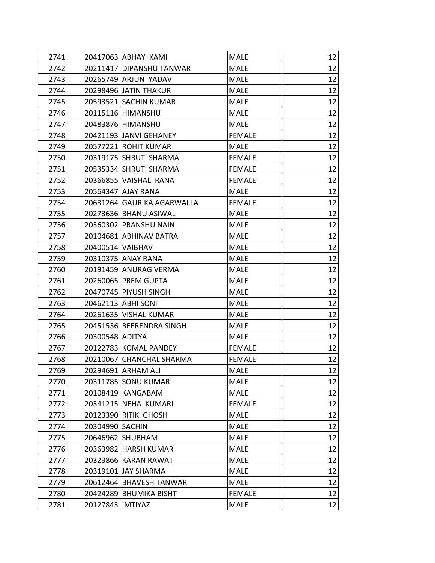| 2741 | 20417063 ABHAY KAMI        | <b>MALE</b>   | 12 |
|------|----------------------------|---------------|----|
| 2742 | 20211417 DIPANSHU TANWAR   | <b>MALE</b>   | 12 |
| 2743 | 20265749 ARJUN YADAV       | <b>MALE</b>   | 12 |
| 2744 | 20298496 JATIN THAKUR      | <b>MALE</b>   | 12 |
| 2745 | 20593521 SACHIN KUMAR      | <b>MALE</b>   | 12 |
| 2746 | 20115116 HIMANSHU          | <b>MALE</b>   | 12 |
| 2747 | 20483876 HIMANSHU          | <b>MALE</b>   | 12 |
| 2748 | 20421193 JANVI GEHANEY     | <b>FEMALE</b> | 12 |
| 2749 | 20577221 ROHIT KUMAR       | <b>MALE</b>   | 12 |
| 2750 | 20319175 SHRUTI SHARMA     | <b>FEMALE</b> | 12 |
| 2751 | 20535334 SHRUTI SHARMA     | <b>FEMALE</b> | 12 |
| 2752 | 20366855 VAISHALI RANA     | <b>FEMALE</b> | 12 |
| 2753 | 20564347 AJAY RANA         | <b>MALE</b>   | 12 |
| 2754 | 20631264 GAURIKA AGARWALLA | <b>FEMALE</b> | 12 |
| 2755 | 20273636 BHANU ASIWAL      | <b>MALE</b>   | 12 |
| 2756 | 20360302 PRANSHU NAIN      | <b>MALE</b>   | 12 |
| 2757 | 20104681 ABHINAV BATRA     | <b>MALE</b>   | 12 |
| 2758 | 20400514 VAIBHAV           | <b>MALE</b>   | 12 |
| 2759 | 20310375 ANAY RANA         | <b>MALE</b>   | 12 |
| 2760 | 20191459 ANURAG VERMA      | <b>MALE</b>   | 12 |
| 2761 | 20260065 PREM GUPTA        | <b>MALE</b>   | 12 |
| 2762 | 20470745 PIYUSH SINGH      | <b>MALE</b>   | 12 |
| 2763 | 20462113 ABHI SONI         | <b>MALE</b>   | 12 |
| 2764 | 20261635 VISHAL KUMAR      | <b>MALE</b>   | 12 |
| 2765 | 20451536 BEERENDRA SINGH   | <b>MALE</b>   | 12 |
| 2766 | 20300548 ADITYA            | <b>MALE</b>   | 12 |
| 2767 | 20122783 KOMAL PANDEY      | <b>FEMALE</b> | 12 |
| 2768 | 20210067 CHANCHAL SHARMA   | <b>FEMALE</b> | 12 |
| 2769 | 20294691 ARHAM ALI         | <b>MALE</b>   | 12 |
| 2770 | 20311785 SONU KUMAR        | <b>MALE</b>   | 12 |
| 2771 | 20108419 KANGABAM          | <b>MALE</b>   | 12 |
| 2772 | 20341215 NEHA KUMARI       | <b>FEMALE</b> | 12 |
| 2773 | 20123390 RITIK GHOSH       | <b>MALE</b>   | 12 |
| 2774 | 20304990 SACHIN            | <b>MALE</b>   | 12 |
| 2775 | 20646962 SHUBHAM           | <b>MALE</b>   | 12 |
| 2776 | 20363982 HARSH KUMAR       | <b>MALE</b>   | 12 |
| 2777 | 20323866 KARAN RAWAT       | <b>MALE</b>   | 12 |
| 2778 | 20319101 JAY SHARMA        | <b>MALE</b>   | 12 |
| 2779 | 20612464 BHAVESH TANWAR    | <b>MALE</b>   | 12 |
| 2780 | 20424289 BHUMIKA BISHT     | <b>FEMALE</b> | 12 |
| 2781 | 20127843<br><b>IMTIYAZ</b> | <b>MALE</b>   | 12 |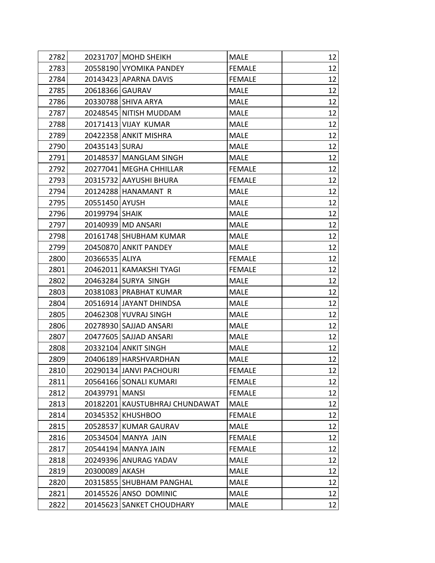| 2782 |                  | 20231707 MOHD SHEIKH           | <b>MALE</b>   | 12 |
|------|------------------|--------------------------------|---------------|----|
| 2783 |                  | 20558190 VYOMIKA PANDEY        | <b>FEMALE</b> | 12 |
| 2784 |                  | 20143423 APARNA DAVIS          | <b>FEMALE</b> | 12 |
| 2785 | 20618366 GAURAV  |                                | <b>MALE</b>   | 12 |
| 2786 |                  | 20330788 SHIVA ARYA            | <b>MALE</b>   | 12 |
| 2787 |                  | 20248545 NITISH MUDDAM         | <b>MALE</b>   | 12 |
| 2788 |                  | 20171413 VIJAY KUMAR           | <b>MALE</b>   | 12 |
| 2789 |                  | 20422358 ANKIT MISHRA          | <b>MALE</b>   | 12 |
| 2790 | 20435143 SURAJ   |                                | <b>MALE</b>   | 12 |
| 2791 |                  | 20148537   MANGLAM SINGH       | <b>MALE</b>   | 12 |
| 2792 |                  | 20277041   MEGHA CHHILLAR      | <b>FEMALE</b> | 12 |
| 2793 |                  | 20315732 AAYUSHI BHURA         | <b>FEMALE</b> | 12 |
| 2794 |                  | 20124288 HANAMANT R            | <b>MALE</b>   | 12 |
| 2795 | 20551450 AYUSH   |                                | <b>MALE</b>   | 12 |
| 2796 | 20199794 SHAIK   |                                | <b>MALE</b>   | 12 |
| 2797 |                  | 20140939 MD ANSARI             | <b>MALE</b>   | 12 |
| 2798 |                  | 20161748 SHUBHAM KUMAR         | <b>MALE</b>   | 12 |
| 2799 |                  | 20450870 ANKIT PANDEY          | <b>MALE</b>   | 12 |
| 2800 | 20366535 ALIYA   |                                | <b>FEMALE</b> | 12 |
| 2801 |                  | 20462011 KAMAKSHI TYAGI        | <b>FEMALE</b> | 12 |
| 2802 |                  | 20463284 SURYA SINGH           | <b>MALE</b>   | 12 |
| 2803 |                  | 20381083 PRABHAT KUMAR         | <b>MALE</b>   | 12 |
| 2804 |                  | 20516914 JAYANT DHINDSA        | <b>MALE</b>   | 12 |
| 2805 |                  | 20462308 YUVRAJ SINGH          | <b>MALE</b>   | 12 |
| 2806 |                  | 20278930 SAJJAD ANSARI         | <b>MALE</b>   | 12 |
| 2807 |                  | 20477605 SAJJAD ANSARI         | <b>MALE</b>   | 12 |
| 2808 |                  | 20332104 ANKIT SINGH           | <b>MALE</b>   | 12 |
| 2809 |                  | 20406189 HARSHVARDHAN          | <b>MALE</b>   | 12 |
| 2810 |                  | 20290134 JANVI PACHOURI        | <b>FEMALE</b> | 12 |
| 2811 |                  | 20564166 SONALI KUMARI         | <b>FEMALE</b> | 12 |
| 2812 | 20439791   MANSI |                                | <b>FEMALE</b> | 12 |
| 2813 |                  | 20182201 KAUSTUBHRAJ CHUNDAWAT | <b>MALE</b>   | 12 |
| 2814 |                  | 20345352 KHUSHBOO              | <b>FEMALE</b> | 12 |
| 2815 |                  | 20528537 KUMAR GAURAV          | <b>MALE</b>   | 12 |
| 2816 |                  | 20534504 MANYA JAIN            | <b>FEMALE</b> | 12 |
| 2817 |                  | 20544194 MANYA JAIN            | <b>FEMALE</b> | 12 |
| 2818 |                  | 20249396 ANURAG YADAV          | <b>MALE</b>   | 12 |
| 2819 | 20300089 AKASH   |                                | <b>MALE</b>   | 12 |
| 2820 |                  | 20315855 SHUBHAM PANGHAL       | <b>MALE</b>   | 12 |
| 2821 |                  | 20145526 ANSO DOMINIC          | <b>MALE</b>   | 12 |
| 2822 |                  | 20145623 SANKET CHOUDHARY      | <b>MALE</b>   | 12 |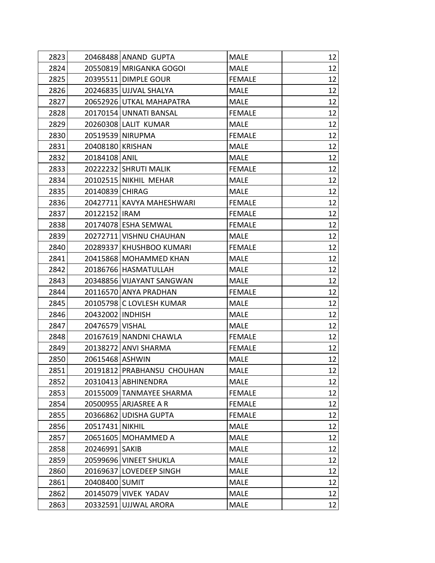| 2823 |                  | 20468488 ANAND GUPTA       | <b>MALE</b>   | 12 |
|------|------------------|----------------------------|---------------|----|
| 2824 |                  | 20550819 MRIGANKA GOGOI    | <b>MALE</b>   | 12 |
| 2825 |                  | 20395511 DIMPLE GOUR       | <b>FEMALE</b> | 12 |
| 2826 |                  | 20246835 UJJVAL SHALYA     | <b>MALE</b>   | 12 |
| 2827 |                  | 20652926 UTKAL MAHAPATRA   | <b>MALE</b>   | 12 |
| 2828 |                  | 20170154 UNNATI BANSAL     | <b>FEMALE</b> | 12 |
| 2829 |                  | 20260308 LALIT KUMAR       | <b>MALE</b>   | 12 |
| 2830 |                  | 20519539 NIRUPMA           | <b>FEMALE</b> | 12 |
| 2831 | 20408180 KRISHAN |                            | <b>MALE</b>   | 12 |
| 2832 | 20184108 ANIL    |                            | <b>MALE</b>   | 12 |
| 2833 |                  | 20222232 SHRUTI MALIK      | <b>FEMALE</b> | 12 |
| 2834 |                  | 20102515 NIKHIL MEHAR      | <b>MALE</b>   | 12 |
| 2835 | 20140839 CHIRAG  |                            | <b>MALE</b>   | 12 |
| 2836 |                  | 20427711 KAVYA MAHESHWARI  | <b>FEMALE</b> | 12 |
| 2837 | 20122152 IRAM    |                            | <b>FEMALE</b> | 12 |
| 2838 |                  | 20174078 ESHA SEMWAL       | <b>FEMALE</b> | 12 |
| 2839 |                  | 20272711 VISHNU CHAUHAN    | <b>MALE</b>   | 12 |
| 2840 |                  | 20289337 KHUSHBOO KUMARI   | <b>FEMALE</b> | 12 |
| 2841 |                  | 20415868 MOHAMMED KHAN     | <b>MALE</b>   | 12 |
| 2842 |                  | 20186766 HASMATULLAH       | <b>MALE</b>   | 12 |
| 2843 |                  | 20348856 VIJAYANT SANGWAN  | <b>MALE</b>   | 12 |
| 2844 |                  | 20116570 ANYA PRADHAN      | <b>FEMALE</b> | 12 |
| 2845 |                  | 20105798 C LOVLESH KUMAR   | <b>MALE</b>   | 12 |
| 2846 | 20432002 INDHISH |                            | <b>MALE</b>   | 12 |
| 2847 | 20476579 VISHAL  |                            | <b>MALE</b>   | 12 |
| 2848 |                  | 20167619 NANDNI CHAWLA     | <b>FEMALE</b> | 12 |
| 2849 |                  | 20138272 ANVI SHARMA       | <b>FEMALE</b> | 12 |
| 2850 | 20615468 ASHWIN  |                            | <b>MALE</b>   | 12 |
| 2851 |                  | 20191812 PRABHANSU CHOUHAN | <b>MALE</b>   | 12 |
| 2852 |                  | 20310413 ABHINENDRA        | <b>MALE</b>   | 12 |
| 2853 |                  | 20155009 TANMAYEE SHARMA   | <b>FEMALE</b> | 12 |
| 2854 |                  | 20500955 ARJASREE A R      | <b>FEMALE</b> | 12 |
| 2855 |                  | 20366862 UDISHA GUPTA      | <b>FEMALE</b> | 12 |
| 2856 | 20517431 NIKHIL  |                            | <b>MALE</b>   | 12 |
| 2857 |                  | 20651605 MOHAMMED A        | <b>MALE</b>   | 12 |
| 2858 | 20246991 SAKIB   |                            | <b>MALE</b>   | 12 |
| 2859 |                  | 20599696 VINEET SHUKLA     | <b>MALE</b>   | 12 |
| 2860 |                  | 20169637 LOVEDEEP SINGH    | <b>MALE</b>   | 12 |
| 2861 | 20408400 SUMIT   |                            | <b>MALE</b>   | 12 |
| 2862 |                  | 20145079 VIVEK YADAV       | <b>MALE</b>   | 12 |
| 2863 |                  | 20332591 UJJWAL ARORA      | <b>MALE</b>   | 12 |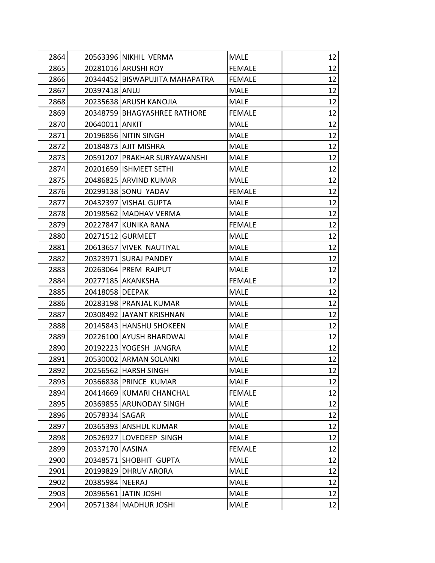| 2864 |                 | 20563396 NIKHIL VERMA          | MALE          | 12 |
|------|-----------------|--------------------------------|---------------|----|
| 2865 |                 | 20281016 ARUSHI ROY            | <b>FEMALE</b> | 12 |
| 2866 |                 | 20344452 BISWAPUJITA MAHAPATRA | <b>FEMALE</b> | 12 |
| 2867 | 20397418 ANUJ   |                                | <b>MALE</b>   | 12 |
| 2868 |                 | 20235638 ARUSH KANOJIA         | <b>MALE</b>   | 12 |
| 2869 |                 | 20348759 BHAGYASHREE RATHORE   | <b>FEMALE</b> | 12 |
| 2870 | 20640011 ANKIT  |                                | <b>MALE</b>   | 12 |
| 2871 |                 | 20196856 NITIN SINGH           | <b>MALE</b>   | 12 |
| 2872 |                 | 20184873 AJIT MISHRA           | <b>MALE</b>   | 12 |
| 2873 |                 | 20591207 PRAKHAR SURYAWANSHI   | <b>MALE</b>   | 12 |
| 2874 |                 | 20201659   ISHMEET SETHI       | <b>MALE</b>   | 12 |
| 2875 |                 | 20486825 ARVIND KUMAR          | <b>MALE</b>   | 12 |
| 2876 |                 | 20299138 SONU YADAV            | <b>FEMALE</b> | 12 |
| 2877 |                 | 20432397 VISHAL GUPTA          | <b>MALE</b>   | 12 |
| 2878 |                 | 20198562 MADHAV VERMA          | <b>MALE</b>   | 12 |
| 2879 |                 | 20227847 KUNIKA RANA           | <b>FEMALE</b> | 12 |
| 2880 |                 | 20271512 GURMEET               | <b>MALE</b>   | 12 |
| 2881 |                 | 20613657 VIVEK NAUTIYAL        | MALE          | 12 |
| 2882 |                 | 20323971 SURAJ PANDEY          | <b>MALE</b>   | 12 |
| 2883 |                 | 20263064 PREM RAJPUT           | <b>MALE</b>   | 12 |
| 2884 |                 | 20277185 AKANKSHA              | <b>FEMALE</b> | 12 |
| 2885 | 20418058 DEEPAK |                                | <b>MALE</b>   | 12 |
| 2886 |                 | 20283198 PRANJAL KUMAR         | <b>MALE</b>   | 12 |
| 2887 |                 | 20308492 JAYANT KRISHNAN       | <b>MALE</b>   | 12 |
| 2888 |                 | 20145843 HANSHU SHOKEEN        | <b>MALE</b>   | 12 |
| 2889 |                 | 20226100 AYUSH BHARDWAJ        | <b>MALE</b>   | 12 |
| 2890 |                 | 20192223 YOGESH JANGRA         | <b>MALE</b>   | 12 |
| 2891 |                 | 20530002 ARMAN SOLANKI         | <b>MALE</b>   | 12 |
| 2892 |                 | 20256562 HARSH SINGH           | <b>MALE</b>   | 12 |
| 2893 |                 | 20366838 PRINCE KUMAR          | <b>MALE</b>   | 12 |
| 2894 |                 | 20414669 KUMARI CHANCHAL       | <b>FEMALE</b> | 12 |
| 2895 |                 | 20369855 ARUNODAY SINGH        | <b>MALE</b>   | 12 |
| 2896 | 20578334 SAGAR  |                                | <b>MALE</b>   | 12 |
| 2897 |                 | 20365393 ANSHUL KUMAR          | <b>MALE</b>   | 12 |
| 2898 |                 | 20526927 LOVEDEEP SINGH        | <b>MALE</b>   | 12 |
| 2899 | 20337170 AASINA |                                | <b>FEMALE</b> | 12 |
| 2900 |                 | 20348571 SHOBHIT GUPTA         | <b>MALE</b>   | 12 |
| 2901 |                 | 20199829 DHRUV ARORA           | <b>MALE</b>   | 12 |
| 2902 | 20385984 NEERAJ |                                | <b>MALE</b>   | 12 |
| 2903 |                 | 20396561 JATIN JOSHI           | <b>MALE</b>   | 12 |
| 2904 |                 | 20571384 MADHUR JOSHI          | <b>MALE</b>   | 12 |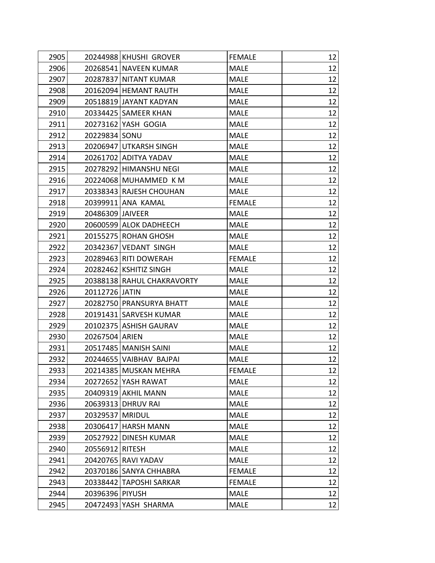| 2905 |                  | 20244988 KHUSHI GROVER     | <b>FEMALE</b> | 12 |
|------|------------------|----------------------------|---------------|----|
| 2906 |                  | 20268541 NAVEEN KUMAR      | <b>MALE</b>   | 12 |
| 2907 |                  | 20287837 NITANT KUMAR      | <b>MALE</b>   | 12 |
| 2908 |                  | 20162094 HEMANT RAUTH      | <b>MALE</b>   | 12 |
| 2909 |                  | 20518819 JAYANT KADYAN     | <b>MALE</b>   | 12 |
| 2910 |                  | 20334425 SAMEER KHAN       | <b>MALE</b>   | 12 |
| 2911 |                  | 20273162 YASH GOGIA        | <b>MALE</b>   | 12 |
| 2912 | 20229834 SONU    |                            | <b>MALE</b>   | 12 |
| 2913 |                  | 20206947 UTKARSH SINGH     | <b>MALE</b>   | 12 |
| 2914 |                  | 20261702 ADITYA YADAV      | <b>MALE</b>   | 12 |
| 2915 |                  | 20278292 HIMANSHU NEGI     | <b>MALE</b>   | 12 |
| 2916 |                  | 20224068 MUHAMMED K M      | <b>MALE</b>   | 12 |
| 2917 |                  | 20338343 RAJESH CHOUHAN    | <b>MALE</b>   | 12 |
| 2918 |                  | 20399911 ANA KAMAL         | <b>FEMALE</b> | 12 |
| 2919 | 20486309 JAIVEER |                            | <b>MALE</b>   | 12 |
| 2920 |                  | 20600599 ALOK DADHEECH     | <b>MALE</b>   | 12 |
| 2921 |                  | 20155275 ROHAN GHOSH       | <b>MALE</b>   | 12 |
| 2922 |                  | 20342367 VEDANT SINGH      | <b>MALE</b>   | 12 |
| 2923 |                  | 20289463 RITI DOWERAH      | <b>FEMALE</b> | 12 |
| 2924 |                  | 20282462 KSHITIZ SINGH     | <b>MALE</b>   | 12 |
| 2925 |                  | 20388138 RAHUL CHAKRAVORTY | <b>MALE</b>   | 12 |
| 2926 | 20112726 JATIN   |                            | <b>MALE</b>   | 12 |
| 2927 |                  | 20282750 PRANSURYA BHATT   | <b>MALE</b>   | 12 |
| 2928 |                  | 20191431 SARVESH KUMAR     | <b>MALE</b>   | 12 |
| 2929 |                  | 20102375 ASHISH GAURAV     | <b>MALE</b>   | 12 |
| 2930 | 20267504 ARIEN   |                            | <b>MALE</b>   | 12 |
| 2931 |                  | 20517485 MANISH SAINI      | <b>MALE</b>   | 12 |
| 2932 |                  | 20244655 VAIBHAV BAJPAI    | <b>MALE</b>   | 12 |
| 2933 |                  | 20214385 MUSKAN MEHRA      | <b>FEMALE</b> | 12 |
| 2934 |                  | 20272652 YASH RAWAT        | <b>MALE</b>   | 12 |
| 2935 |                  | 20409319 AKHIL MANN        | <b>MALE</b>   | 12 |
| 2936 |                  | 20639313 DHRUV RAI         | <b>MALE</b>   | 12 |
| 2937 | 20329537 MRIDUL  |                            | <b>MALE</b>   | 12 |
| 2938 |                  | 20306417 HARSH MANN        | <b>MALE</b>   | 12 |
| 2939 |                  | 20527922 DINESH KUMAR      | <b>MALE</b>   | 12 |
| 2940 | 20556912 RITESH  |                            | <b>MALE</b>   | 12 |
| 2941 |                  | 20420765 RAVI YADAV        | <b>MALE</b>   | 12 |
| 2942 |                  | 20370186 SANYA CHHABRA     | <b>FEMALE</b> | 12 |
| 2943 |                  | 20338442 TAPOSHI SARKAR    | <b>FEMALE</b> | 12 |
| 2944 | 20396396 PIYUSH  |                            | <b>MALE</b>   | 12 |
| 2945 |                  | 20472493 YASH SHARMA       | <b>MALE</b>   | 12 |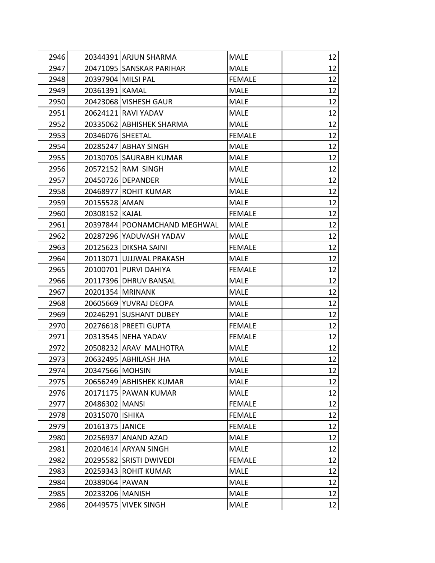| 2946 |                   | 20344391 ARJUN SHARMA        | <b>MALE</b>   | 12 |
|------|-------------------|------------------------------|---------------|----|
| 2947 |                   | 20471095 SANSKAR PARIHAR     | <b>MALE</b>   | 12 |
| 2948 |                   | 20397904 MILSI PAL           | <b>FEMALE</b> | 12 |
| 2949 | 20361391 KAMAL    |                              | <b>MALE</b>   | 12 |
| 2950 |                   | 20423068 VISHESH GAUR        | <b>MALE</b>   | 12 |
| 2951 |                   | 20624121 RAVI YADAV          | <b>MALE</b>   | 12 |
| 2952 |                   | 20335062 ABHISHEK SHARMA     | <b>MALE</b>   | 12 |
| 2953 | 20346076 SHEETAL  |                              | <b>FEMALE</b> | 12 |
| 2954 |                   | 20285247 ABHAY SINGH         | <b>MALE</b>   | 12 |
| 2955 |                   | 20130705 SAURABH KUMAR       | <b>MALE</b>   | 12 |
| 2956 |                   | 20572152 RAM SINGH           | <b>MALE</b>   | 12 |
| 2957 |                   | 20450726 DEPANDER            | <b>MALE</b>   | 12 |
| 2958 |                   | 20468977 ROHIT KUMAR         | <b>MALE</b>   | 12 |
| 2959 | 20155528 AMAN     |                              | <b>MALE</b>   | 12 |
| 2960 | 20308152 KAJAL    |                              | <b>FEMALE</b> | 12 |
| 2961 |                   | 20397844 POONAMCHAND MEGHWAL | <b>MALE</b>   | 12 |
| 2962 |                   | 20287296 YADUVASH YADAV      | <b>MALE</b>   | 12 |
| 2963 |                   | 20125623 DIKSHA SAINI        | <b>FEMALE</b> | 12 |
| 2964 |                   | 20113071 UJJJWAL PRAKASH     | <b>MALE</b>   | 12 |
| 2965 |                   | 20100701 PURVI DAHIYA        | <b>FEMALE</b> | 12 |
| 2966 |                   | 20117396 DHRUV BANSAL        | <b>MALE</b>   | 12 |
| 2967 |                   | 20201354 MRINANK             | <b>MALE</b>   | 12 |
| 2968 |                   | 20605669 YUVRAJ DEOPA        | <b>MALE</b>   | 12 |
| 2969 |                   | 20246291 SUSHANT DUBEY       | <b>MALE</b>   | 12 |
| 2970 |                   | 20276618 PREETI GUPTA        | <b>FEMALE</b> | 12 |
| 2971 |                   | 20313545 NEHA YADAV          | <b>FEMALE</b> | 12 |
| 2972 |                   | 20508232 ARAV MALHOTRA       | <b>MALE</b>   | 12 |
| 2973 |                   | 20632495 ABHILASH JHA        | <b>MALE</b>   | 12 |
| 2974 | 20347566 MOHSIN   |                              | <b>MALE</b>   | 12 |
| 2975 |                   | 20656249 ABHISHEK KUMAR      | <b>MALE</b>   | 12 |
| 2976 |                   | 20171175   PAWAN KUMAR       | <b>MALE</b>   | 12 |
| 2977 | 20486302 MANSI    |                              | <b>FEMALE</b> | 12 |
| 2978 | 20315070 ISHIKA   |                              | <b>FEMALE</b> | 12 |
| 2979 | 20161375 JANICE   |                              | <b>FEMALE</b> | 12 |
| 2980 |                   | 20256937 ANAND AZAD          | <b>MALE</b>   | 12 |
| 2981 |                   | 20204614 ARYAN SINGH         | <b>MALE</b>   | 12 |
| 2982 |                   | 20295582 SRISTI DWIVEDI      | <b>FEMALE</b> | 12 |
| 2983 |                   | 20259343 ROHIT KUMAR         | <b>MALE</b>   | 12 |
| 2984 | 20389064 PAWAN    |                              | <b>MALE</b>   | 12 |
| 2985 | 20233206   MANISH |                              | <b>MALE</b>   | 12 |
| 2986 |                   | 20449575 VIVEK SINGH         | <b>MALE</b>   | 12 |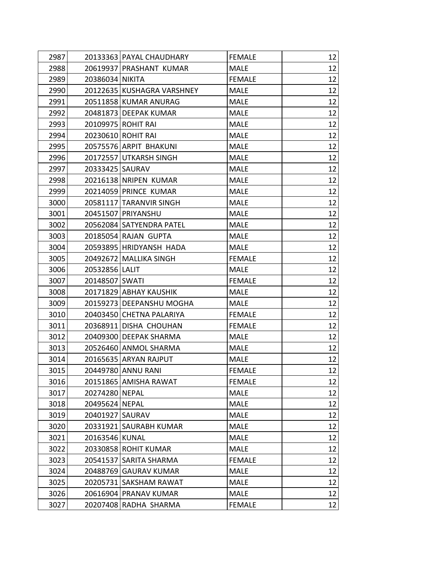| 2987 |                   | 20133363 PAYAL CHAUDHARY   | <b>FEMALE</b> | 12 |
|------|-------------------|----------------------------|---------------|----|
| 2988 |                   | 20619937 PRASHANT KUMAR    | <b>MALE</b>   | 12 |
| 2989 | 20386034 NIKITA   |                            | <b>FEMALE</b> | 12 |
| 2990 |                   | 20122635 KUSHAGRA VARSHNEY | <b>MALE</b>   | 12 |
| 2991 |                   | 20511858 KUMAR ANURAG      | <b>MALE</b>   | 12 |
| 2992 |                   | 20481873 DEEPAK KUMAR      | <b>MALE</b>   | 12 |
| 2993 |                   | 20109975 ROHIT RAI         | <b>MALE</b>   | 12 |
| 2994 |                   | 20230610 ROHIT RAI         | <b>MALE</b>   | 12 |
| 2995 |                   | 20575576 ARPIT BHAKUNI     | <b>MALE</b>   | 12 |
| 2996 |                   | 20172557 UTKARSH SINGH     | <b>MALE</b>   | 12 |
| 2997 | 20333425   SAURAV |                            | <b>MALE</b>   | 12 |
| 2998 |                   | 20216138 NRIPEN KUMAR      | <b>MALE</b>   | 12 |
| 2999 |                   | 20214059 PRINCE KUMAR      | <b>MALE</b>   | 12 |
| 3000 |                   | 20581117 TARANVIR SINGH    | <b>MALE</b>   | 12 |
| 3001 |                   | 20451507 PRIYANSHU         | <b>MALE</b>   | 12 |
| 3002 |                   | 20562084 SATYENDRA PATEL   | <b>MALE</b>   | 12 |
| 3003 |                   | 20185054 RAJAN GUPTA       | <b>MALE</b>   | 12 |
| 3004 |                   | 20593895 HRIDYANSH HADA    | <b>MALE</b>   | 12 |
| 3005 |                   | 20492672 MALLIKA SINGH     | <b>FEMALE</b> | 12 |
| 3006 | 20532856 LALIT    |                            | <b>MALE</b>   | 12 |
| 3007 | 20148507 SWATI    |                            | <b>FEMALE</b> | 12 |
| 3008 |                   | 20171829 ABHAY KAUSHIK     | <b>MALE</b>   | 12 |
| 3009 |                   | 20159273   DEEPANSHU MOGHA | <b>MALE</b>   | 12 |
| 3010 |                   | 20403450 CHETNA PALARIYA   | <b>FEMALE</b> | 12 |
| 3011 |                   | 20368911 DISHA CHOUHAN     | <b>FEMALE</b> | 12 |
| 3012 |                   | 20409300 DEEPAK SHARMA     | <b>MALE</b>   | 12 |
| 3013 |                   | 20526460 ANMOL SHARMA      | <b>MALE</b>   | 12 |
| 3014 |                   | 20165635 ARYAN RAJPUT      | <b>MALE</b>   | 12 |
| 3015 |                   | 20449780 ANNU RANI         | <b>FEMALE</b> | 12 |
| 3016 |                   | 20151865 AMISHA RAWAT      | <b>FEMALE</b> | 12 |
| 3017 | 20274280 NEPAL    |                            | <b>MALE</b>   | 12 |
| 3018 | 20495624 NEPAL    |                            | <b>MALE</b>   | 12 |
| 3019 | 20401927 SAURAV   |                            | <b>MALE</b>   | 12 |
| 3020 |                   | 20331921 SAURABH KUMAR     | <b>MALE</b>   | 12 |
| 3021 | 20163546 KUNAL    |                            | <b>MALE</b>   | 12 |
| 3022 |                   | 20330858 ROHIT KUMAR       | <b>MALE</b>   | 12 |
| 3023 |                   | 20541537 SARITA SHARMA     | <b>FEMALE</b> | 12 |
| 3024 |                   | 20488769 GAURAV KUMAR      | <b>MALE</b>   | 12 |
| 3025 |                   | 20205731 SAKSHAM RAWAT     | <b>MALE</b>   | 12 |
| 3026 |                   | 20616904 PRANAV KUMAR      | <b>MALE</b>   | 12 |
| 3027 |                   | 20207408 RADHA SHARMA      | <b>FEMALE</b> | 12 |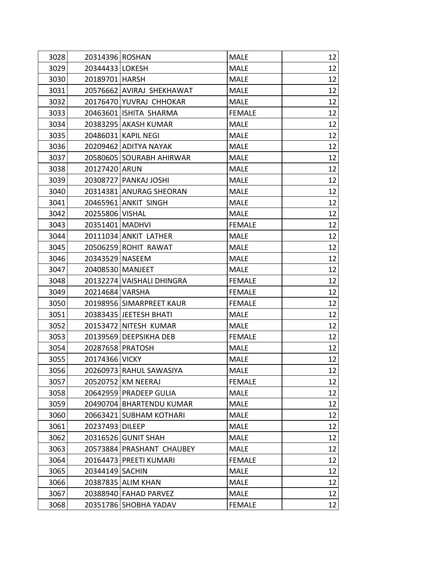| 3028 | 20314396 ROSHAN           | <b>MALE</b>   | 12 |
|------|---------------------------|---------------|----|
| 3029 | 20344433 LOKESH           | <b>MALE</b>   | 12 |
| 3030 | 20189701   HARSH          | <b>MALE</b>   | 12 |
| 3031 | 20576662 AVIRAJ SHEKHAWAT | <b>MALE</b>   | 12 |
| 3032 | 20176470 YUVRAJ CHHOKAR   | <b>MALE</b>   | 12 |
| 3033 | 20463601 ISHITA SHARMA    | <b>FEMALE</b> | 12 |
| 3034 | 20383295 AKASH KUMAR      | <b>MALE</b>   | 12 |
| 3035 | 20486031 KAPIL NEGI       | <b>MALE</b>   | 12 |
| 3036 | 20209462 ADITYA NAYAK     | <b>MALE</b>   | 12 |
| 3037 | 20580605 SOURABH AHIRWAR  | <b>MALE</b>   | 12 |
| 3038 | 20127420 ARUN             | <b>MALE</b>   | 12 |
| 3039 | 20308727 PANKAJ JOSHI     | <b>MALE</b>   | 12 |
| 3040 | 20314381 ANURAG SHEORAN   | <b>MALE</b>   | 12 |
| 3041 | 20465961 ANKIT SINGH      | <b>MALE</b>   | 12 |
| 3042 | 20255806 VISHAL           | <b>MALE</b>   | 12 |
| 3043 | 20351401 MADHVI           | <b>FEMALE</b> | 12 |
| 3044 | 20111034 ANKIT LATHER     | <b>MALE</b>   | 12 |
| 3045 | 20506259 ROHIT RAWAT      | MALE          | 12 |
| 3046 | 20343529 NASEEM           | <b>MALE</b>   | 12 |
| 3047 | 20408530 MANJEET          | <b>MALE</b>   | 12 |
| 3048 | 20132274 VAISHALI DHINGRA | <b>FEMALE</b> | 12 |
| 3049 | 20214684 VARSHA           | <b>FEMALE</b> | 12 |
| 3050 | 20198956 SIMARPREET KAUR  | <b>FEMALE</b> | 12 |
| 3051 | 20383435 JEETESH BHATI    | <b>MALE</b>   | 12 |
| 3052 | 20153472 NITESH KUMAR     | <b>MALE</b>   | 12 |
| 3053 | 20139569 DEEPSIKHA DEB    | <b>FEMALE</b> | 12 |
| 3054 | 20287658 PRATOSH          | <b>MALE</b>   | 12 |
| 3055 | 20174366 VICKY            | <b>MALE</b>   | 12 |
| 3056 | 20260973 RAHUL SAWASIYA   | <b>MALE</b>   | 12 |
| 3057 | 20520752 KM NEERAJ        | <b>FEMALE</b> | 12 |
| 3058 | 20642959 PRADEEP GULIA    | <b>MALE</b>   | 12 |
| 3059 | 20490704 BHARTENDU KUMAR  | <b>MALE</b>   | 12 |
| 3060 | 20663421 SUBHAM KOTHARI   | <b>MALE</b>   | 12 |
| 3061 | 20237493 DILEEP           | <b>MALE</b>   | 12 |
| 3062 | 20316526 GUNIT SHAH       | <b>MALE</b>   | 12 |
| 3063 | 20573884 PRASHANT CHAUBEY | <b>MALE</b>   | 12 |
| 3064 | 20164473 PREETI KUMARI    | <b>FEMALE</b> | 12 |
| 3065 | 20344149 SACHIN           | <b>MALE</b>   | 12 |
| 3066 | 20387835 ALIM KHAN        | <b>MALE</b>   | 12 |
| 3067 | 20388940 FAHAD PARVEZ     | <b>MALE</b>   | 12 |
| 3068 | 20351786 SHOBHA YADAV     | <b>FEMALE</b> | 12 |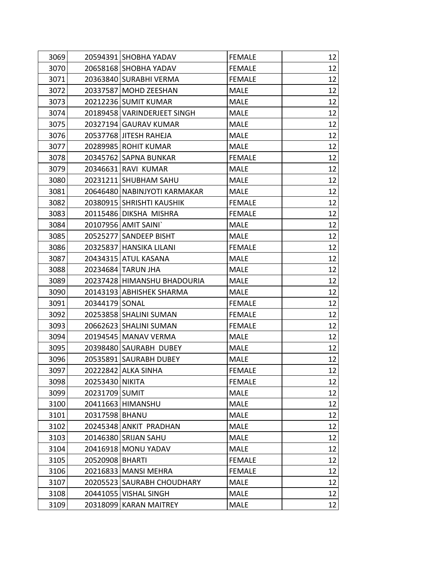| 3069 |                 | 20594391 SHOBHA YADAV        | <b>FEMALE</b> | 12 |
|------|-----------------|------------------------------|---------------|----|
| 3070 |                 | 20658168 SHOBHA YADAV        | <b>FEMALE</b> | 12 |
| 3071 |                 | 20363840 SURABHI VERMA       | <b>FEMALE</b> | 12 |
| 3072 |                 | 20337587   MOHD ZEESHAN      | <b>MALE</b>   | 12 |
| 3073 |                 | 20212236 SUMIT KUMAR         | <b>MALE</b>   | 12 |
| 3074 |                 | 20189458 VARINDERJEET SINGH  | <b>MALE</b>   | 12 |
| 3075 |                 | 20327194 GAURAV KUMAR        | <b>MALE</b>   | 12 |
| 3076 |                 | 20537768 JITESH RAHEJA       | <b>MALE</b>   | 12 |
| 3077 |                 | 20289985 ROHIT KUMAR         | <b>MALE</b>   | 12 |
| 3078 |                 | 20345762 SAPNA BUNKAR        | <b>FEMALE</b> | 12 |
| 3079 |                 | 20346631 RAVI KUMAR          | <b>MALE</b>   | 12 |
| 3080 |                 | 20231211 SHUBHAM SAHU        | <b>MALE</b>   | 12 |
| 3081 |                 | 20646480 NABINJYOTI KARMAKAR | <b>MALE</b>   | 12 |
| 3082 |                 | 20380915 SHRISHTI KAUSHIK    | <b>FEMALE</b> | 12 |
| 3083 |                 | 20115486 DIKSHA MISHRA       | <b>FEMALE</b> | 12 |
| 3084 |                 | 20107956 AMIT SAINI`         | <b>MALE</b>   | 12 |
| 3085 |                 | 20525277 SANDEEP BISHT       | <b>MALE</b>   | 12 |
| 3086 |                 | 20325837 HANSIKA LILANI      | <b>FEMALE</b> | 12 |
| 3087 |                 | 20434315 ATUL KASANA         | <b>MALE</b>   | 12 |
| 3088 |                 | 20234684 TARUN JHA           | <b>MALE</b>   | 12 |
| 3089 |                 | 20237428 HIMANSHU BHADOURIA  | <b>MALE</b>   | 12 |
| 3090 |                 | 20143193 ABHISHEK SHARMA     | <b>MALE</b>   | 12 |
| 3091 | 20344179 SONAL  |                              | <b>FEMALE</b> | 12 |
| 3092 |                 | 20253858 SHALINI SUMAN       | <b>FEMALE</b> | 12 |
| 3093 |                 | 20662623 SHALINI SUMAN       | <b>FEMALE</b> | 12 |
| 3094 |                 | 20194545   MANAV VERMA       | <b>MALE</b>   | 12 |
| 3095 |                 | 20398480 SAURABH DUBEY       | <b>MALE</b>   | 12 |
| 3096 |                 | 20535891 SAURABH DUBEY       | <b>MALE</b>   | 12 |
| 3097 |                 | 20222842 ALKA SINHA          | <b>FEMALE</b> | 12 |
| 3098 | 20253430 NIKITA |                              | <b>FEMALE</b> | 12 |
| 3099 | 20231709 SUMIT  |                              | <b>MALE</b>   | 12 |
| 3100 |                 | 20411663 HIMANSHU            | <b>MALE</b>   | 12 |
| 3101 | 20317598 BHANU  |                              | <b>MALE</b>   | 12 |
| 3102 |                 | 20245348 ANKIT PRADHAN       | <b>MALE</b>   | 12 |
| 3103 |                 | 20146380 SRIJAN SAHU         | <b>MALE</b>   | 12 |
| 3104 |                 | 20416918 MONU YADAV          | <b>MALE</b>   | 12 |
| 3105 | 20520908 BHARTI |                              | <b>FEMALE</b> | 12 |
| 3106 |                 | 20216833 MANSI MEHRA         | <b>FEMALE</b> | 12 |
| 3107 |                 | 20205523 SAURABH CHOUDHARY   | <b>MALE</b>   | 12 |
| 3108 |                 | 20441055 VISHAL SINGH        | <b>MALE</b>   | 12 |
| 3109 |                 | 20318099 KARAN MAITREY       | <b>MALE</b>   | 12 |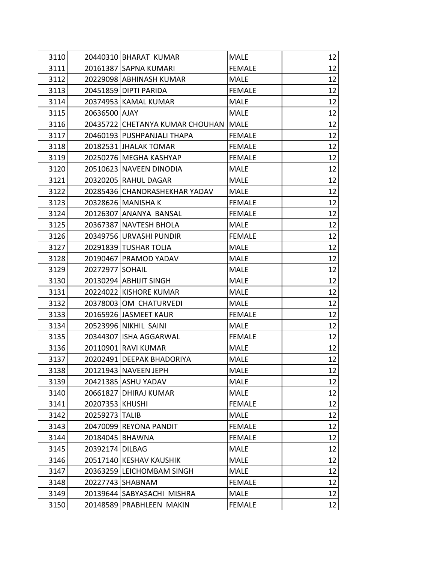| 3110 |                   | 20440310 BHARAT KUMAR                | MALE          | 12 |
|------|-------------------|--------------------------------------|---------------|----|
| 3111 |                   | 20161387 SAPNA KUMARI                | <b>FEMALE</b> | 12 |
| 3112 |                   | 20229098 ABHINASH KUMAR              | <b>MALE</b>   | 12 |
| 3113 |                   | 20451859 DIPTI PARIDA                | <b>FEMALE</b> | 12 |
| 3114 |                   | 20374953 KAMAL KUMAR                 | <b>MALE</b>   | 12 |
| 3115 | 20636500 AJAY     |                                      | <b>MALE</b>   | 12 |
| 3116 |                   | 20435722 CHETANYA KUMAR CHOUHAN MALE |               | 12 |
| 3117 |                   | 20460193 PUSHPANJALI THAPA           | <b>FEMALE</b> | 12 |
| 3118 |                   | 20182531 JHALAK TOMAR                | <b>FEMALE</b> | 12 |
| 3119 |                   | 20250276 MEGHA KASHYAP               | <b>FEMALE</b> | 12 |
| 3120 |                   | 20510623 NAVEEN DINODIA              | <b>MALE</b>   | 12 |
| 3121 |                   | 20320205 RAHUL DAGAR                 | MALE          | 12 |
| 3122 |                   | 20285436 CHANDRASHEKHAR YADAV        | <b>MALE</b>   | 12 |
| 3123 |                   | 20328626 MANISHA K                   | <b>FEMALE</b> | 12 |
| 3124 |                   | 20126307 ANANYA BANSAL               | <b>FEMALE</b> | 12 |
| 3125 |                   | 20367387 NAVTESH BHOLA               | <b>MALE</b>   | 12 |
| 3126 |                   | 20349756 URVASHI PUNDIR              | <b>FEMALE</b> | 12 |
| 3127 |                   | 20291839 TUSHAR TOLIA                | <b>MALE</b>   | 12 |
| 3128 |                   | 20190467 PRAMOD YADAV                | <b>MALE</b>   | 12 |
| 3129 | 20272977 SOHAIL   |                                      | <b>MALE</b>   | 12 |
| 3130 |                   | 20130294 ABHIJIT SINGH               | <b>MALE</b>   | 12 |
| 3131 |                   | 20224022 KISHORE KUMAR               | <b>MALE</b>   | 12 |
| 3132 |                   | 20378003 OM CHATURVEDI               | <b>MALE</b>   | 12 |
| 3133 |                   | 20165926 JASMEET KAUR                | <b>FEMALE</b> | 12 |
| 3134 |                   | 20523996 NIKHIL SAINI                | <b>MALE</b>   | 12 |
| 3135 |                   | 20344307 ISHA AGGARWAL               | <b>FEMALE</b> | 12 |
| 3136 |                   | 20110901 RAVI KUMAR                  | <b>MALE</b>   | 12 |
| 3137 |                   | 20202491 DEEPAK BHADORIYA            | <b>MALE</b>   | 12 |
| 3138 |                   | 20121943 NAVEEN JEPH                 | <b>MALE</b>   | 12 |
| 3139 |                   | 20421385 ASHU YADAV                  | <b>MALE</b>   | 12 |
| 3140 |                   | 20661827 DHIRAJ KUMAR                | <b>MALE</b>   | 12 |
| 3141 | 20207353 KHUSHI   |                                      | <b>FEMALE</b> | 12 |
| 3142 | 20259273 TALIB    |                                      | <b>MALE</b>   | 12 |
| 3143 |                   | 20470099 REYONA PANDIT               | <b>FEMALE</b> | 12 |
| 3144 | 20184045   BHAWNA |                                      | <b>FEMALE</b> | 12 |
| 3145 | 20392174 DILBAG   |                                      | <b>MALE</b>   | 12 |
| 3146 |                   | 20517140 KESHAV KAUSHIK              | <b>MALE</b>   | 12 |
| 3147 |                   | 20363259 LEICHOMBAM SINGH            | <b>MALE</b>   | 12 |
| 3148 |                   | 20227743   SHABNAM                   | <b>FEMALE</b> | 12 |
| 3149 |                   | 20139644 SABYASACHI MISHRA           | <b>MALE</b>   | 12 |
| 3150 |                   | 20148589 PRABHLEEN MAKIN             | <b>FEMALE</b> | 12 |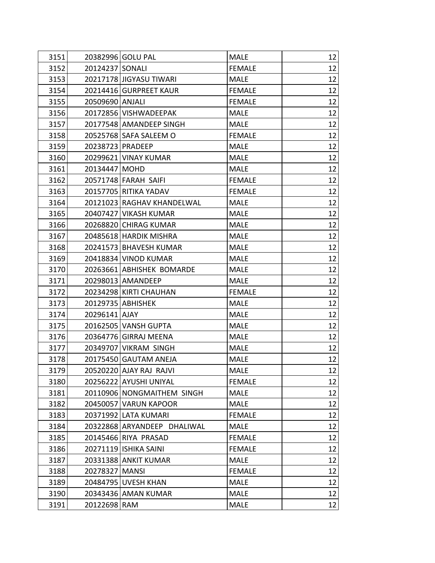| 3151 |                  | 20382996 GOLU PAL           | <b>MALE</b>   | 12 |
|------|------------------|-----------------------------|---------------|----|
| 3152 | 20124237 SONALI  |                             | <b>FEMALE</b> | 12 |
| 3153 |                  | 20217178 JIGYASU TIWARI     | <b>MALE</b>   | 12 |
| 3154 |                  | 20214416 GURPREET KAUR      | <b>FEMALE</b> | 12 |
| 3155 | 20509690 ANJALI  |                             | <b>FEMALE</b> | 12 |
| 3156 |                  | 20172856 VISHWADEEPAK       | <b>MALE</b>   | 12 |
| 3157 |                  | 20177548 AMANDEEP SINGH     | <b>MALE</b>   | 12 |
| 3158 |                  | 20525768 SAFA SALEEM O      | <b>FEMALE</b> | 12 |
| 3159 | 20238723 PRADEEP |                             | <b>MALE</b>   | 12 |
| 3160 |                  | 20299621 VINAY KUMAR        | <b>MALE</b>   | 12 |
| 3161 | 20134447 MOHD    |                             | <b>MALE</b>   | 12 |
| 3162 |                  | 20571748 FARAH SAIFI        | <b>FEMALE</b> | 12 |
| 3163 |                  | 20157705 RITIKA YADAV       | <b>FEMALE</b> | 12 |
| 3164 |                  | 20121023 RAGHAV KHANDELWAL  | <b>MALE</b>   | 12 |
| 3165 |                  | 20407427 VIKASH KUMAR       | <b>MALE</b>   | 12 |
| 3166 |                  | 20268820 CHIRAG KUMAR       | <b>MALE</b>   | 12 |
| 3167 |                  | 20485618 HARDIK MISHRA      | <b>MALE</b>   | 12 |
| 3168 |                  | 20241573 BHAVESH KUMAR      | <b>MALE</b>   | 12 |
| 3169 |                  | 20418834 VINOD KUMAR        | <b>MALE</b>   | 12 |
| 3170 |                  | 20263661 ABHISHEK BOMARDE   | <b>MALE</b>   | 12 |
| 3171 |                  | 20298013   AMANDEEP         | <b>MALE</b>   | 12 |
| 3172 |                  | 20234298 KIRTI CHAUHAN      | <b>FEMALE</b> | 12 |
| 3173 |                  | 20129735 ABHISHEK           | <b>MALE</b>   | 12 |
| 3174 | 20296141 AJAY    |                             | <b>MALE</b>   | 12 |
| 3175 |                  | 20162505 VANSH GUPTA        | <b>MALE</b>   | 12 |
| 3176 |                  | 20364776 GIRRAJ MEENA       | <b>MALE</b>   | 12 |
| 3177 |                  | 20349707 VIKRAM SINGH       | <b>MALE</b>   | 12 |
| 3178 |                  | 20175450 GAUTAM ANEJA       | <b>MALE</b>   | 12 |
| 3179 |                  | 20520220 AJAY RAJ RAJVI     | MALE          | 12 |
| 3180 |                  | 20256222 AYUSHI UNIYAL      | <b>FEMALE</b> | 12 |
| 3181 |                  | 20110906 NONGMAITHEM SINGH  | <b>MALE</b>   | 12 |
| 3182 |                  | 20450057 VARUN KAPOOR       | <b>MALE</b>   | 12 |
| 3183 |                  | 20371992 LATA KUMARI        | <b>FEMALE</b> | 12 |
| 3184 |                  | 20322868 ARYANDEEP DHALIWAL | <b>MALE</b>   | 12 |
| 3185 |                  | 20145466 RIYA PRASAD        | <b>FEMALE</b> | 12 |
| 3186 |                  | 20271119 ISHIKA SAINI       | <b>FEMALE</b> | 12 |
| 3187 |                  | 20331388 ANKIT KUMAR        | <b>MALE</b>   | 12 |
| 3188 | 20278327 MANSI   |                             | <b>FEMALE</b> | 12 |
| 3189 |                  | 20484795 UVESH KHAN         | <b>MALE</b>   | 12 |
| 3190 |                  | 20343436 AMAN KUMAR         | <b>MALE</b>   | 12 |
| 3191 | 20122698 RAM     |                             | <b>MALE</b>   | 12 |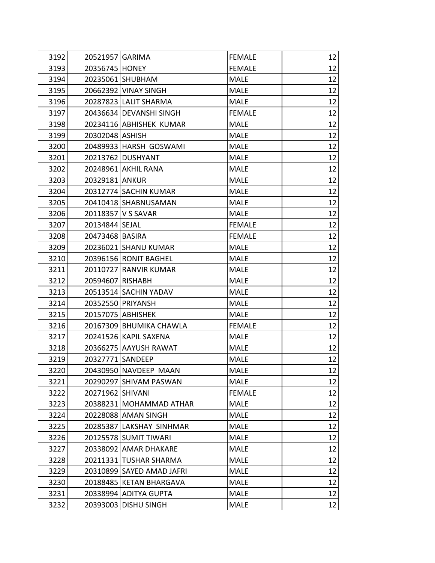| 3192 | 20521957 GARIMA  |                           | <b>FEMALE</b> | 12 |
|------|------------------|---------------------------|---------------|----|
| 3193 | 20356745 HONEY   |                           | <b>FEMALE</b> | 12 |
| 3194 |                  | 20235061 SHUBHAM          | <b>MALE</b>   | 12 |
| 3195 |                  | 20662392 VINAY SINGH      | <b>MALE</b>   | 12 |
| 3196 |                  | 20287823 LALIT SHARMA     | <b>MALE</b>   | 12 |
| 3197 |                  | 20436634 DEVANSHI SINGH   | <b>FEMALE</b> | 12 |
| 3198 |                  | 20234116 ABHISHEK KUMAR   | <b>MALE</b>   | 12 |
| 3199 | 20302048 ASHISH  |                           | <b>MALE</b>   | 12 |
| 3200 |                  | 20489933 HARSH GOSWAMI    | <b>MALE</b>   | 12 |
| 3201 |                  | 20213762 DUSHYANT         | <b>MALE</b>   | 12 |
| 3202 |                  | 20248961 AKHIL RANA       | <b>MALE</b>   | 12 |
| 3203 | 20329181 ANKUR   |                           | <b>MALE</b>   | 12 |
| 3204 |                  | 20312774 SACHIN KUMAR     | <b>MALE</b>   | 12 |
| 3205 |                  | 20410418 SHABNUSAMAN      | <b>MALE</b>   | 12 |
| 3206 |                  | 20118357 V S SAVAR        | <b>MALE</b>   | 12 |
| 3207 | 20134844 SEJAL   |                           | <b>FEMALE</b> | 12 |
| 3208 | 20473468 BASIRA  |                           | <b>FEMALE</b> | 12 |
| 3209 |                  | 20236021 SHANU KUMAR      | <b>MALE</b>   | 12 |
| 3210 |                  | 20396156 RONIT BAGHEL     | <b>MALE</b>   | 12 |
| 3211 |                  | 20110727 RANVIR KUMAR     | <b>MALE</b>   | 12 |
| 3212 | 20594607 RISHABH |                           | <b>MALE</b>   | 12 |
| 3213 |                  | 20513514 SACHIN YADAV     | <b>MALE</b>   | 12 |
| 3214 |                  | 20352550 PRIYANSH         | <b>MALE</b>   | 12 |
| 3215 |                  | 20157075 ABHISHEK         | <b>MALE</b>   | 12 |
| 3216 |                  | 20167309 BHUMIKA CHAWLA   | <b>FEMALE</b> | 12 |
| 3217 |                  | 20241526 KAPIL SAXENA     | <b>MALE</b>   | 12 |
| 3218 |                  | 20366275 AAYUSH RAWAT     | <b>MALE</b>   | 12 |
| 3219 | 20327771 SANDEEP |                           | <b>MALE</b>   | 12 |
| 3220 |                  | 20430950 NAVDEEP MAAN     | <b>MALE</b>   | 12 |
| 3221 |                  | 20290297 SHIVAM PASWAN    | <b>MALE</b>   | 12 |
| 3222 | 20271962 SHIVANI |                           | <b>FEMALE</b> | 12 |
| 3223 |                  | 20388231 MOHAMMAD ATHAR   | <b>MALE</b>   | 12 |
| 3224 |                  | 20228088 AMAN SINGH       | <b>MALE</b>   | 12 |
| 3225 |                  | 20285387 LAKSHAY SINHMAR  | <b>MALE</b>   | 12 |
| 3226 |                  | 20125578 SUMIT TIWARI     | <b>MALE</b>   | 12 |
| 3227 |                  | 20338092 AMAR DHAKARE     | <b>MALE</b>   | 12 |
| 3228 |                  | 20211331 TUSHAR SHARMA    | <b>MALE</b>   | 12 |
| 3229 |                  | 20310899 SAYED AMAD JAFRI | <b>MALE</b>   | 12 |
| 3230 |                  | 20188485 KETAN BHARGAVA   | <b>MALE</b>   | 12 |
| 3231 |                  | 20338994 ADITYA GUPTA     | <b>MALE</b>   | 12 |
| 3232 |                  | 20393003 DISHU SINGH      | <b>MALE</b>   | 12 |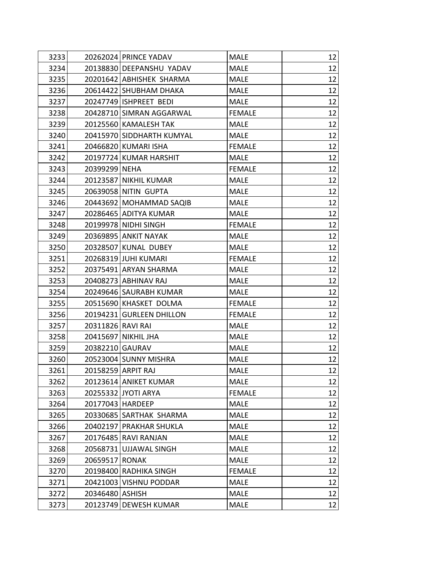| 3233 | 20262024 PRINCE YADAV     | <b>MALE</b>   | 12 |
|------|---------------------------|---------------|----|
| 3234 | 20138830 DEEPANSHU YADAV  | <b>MALE</b>   | 12 |
| 3235 | 20201642 ABHISHEK SHARMA  | <b>MALE</b>   | 12 |
| 3236 | 20614422 SHUBHAM DHAKA    | <b>MALE</b>   | 12 |
| 3237 | 20247749 ISHPREET BEDI    | <b>MALE</b>   | 12 |
| 3238 | 20428710 SIMRAN AGGARWAL  | <b>FEMALE</b> | 12 |
| 3239 | 20125560 KAMALESH TAK     | <b>MALE</b>   | 12 |
| 3240 | 20415970 SIDDHARTH KUMYAL | <b>MALE</b>   | 12 |
| 3241 | 20466820 KUMARI ISHA      | <b>FEMALE</b> | 12 |
| 3242 | 20197724 KUMAR HARSHIT    | <b>MALE</b>   | 12 |
| 3243 | 20399299 NEHA             | <b>FEMALE</b> | 12 |
| 3244 | 20123587 NIKHIL KUMAR     | <b>MALE</b>   | 12 |
| 3245 | 20639058 NITIN GUPTA      | <b>MALE</b>   | 12 |
| 3246 | 20443692 MOHAMMAD SAQIB   | <b>MALE</b>   | 12 |
| 3247 | 20286465 ADITYA KUMAR     | <b>MALE</b>   | 12 |
| 3248 | 20199978 NIDHI SINGH      | <b>FEMALE</b> | 12 |
| 3249 | 20369895 ANKIT NAYAK      | <b>MALE</b>   | 12 |
| 3250 | 20328507 KUNAL DUBEY      | <b>MALE</b>   | 12 |
| 3251 | 20268319 JUHI KUMARI      | <b>FEMALE</b> | 12 |
| 3252 | 20375491 ARYAN SHARMA     | <b>MALE</b>   | 12 |
| 3253 | 20408273 ABHINAV RAJ      | <b>MALE</b>   | 12 |
| 3254 | 20249646 SAURABH KUMAR    | <b>MALE</b>   | 12 |
| 3255 | 20515690 KHASKET DOLMA    | <b>FEMALE</b> | 12 |
| 3256 | 20194231 GURLEEN DHILLON  | <b>FEMALE</b> | 12 |
| 3257 | 20311826 RAVI RAI         | <b>MALE</b>   | 12 |
| 3258 | 20415697 NIKHIL JHA       | <b>MALE</b>   | 12 |
| 3259 | 20382210 GAURAV           | <b>MALE</b>   | 12 |
| 3260 | 20523004 SUNNY MISHRA     | <b>MALE</b>   | 12 |
| 3261 | 20158259 ARPIT RAJ        | <b>MALE</b>   | 12 |
| 3262 | 20123614 ANIKET KUMAR     | <b>MALE</b>   | 12 |
| 3263 | 20255332 JYOTI ARYA       | <b>FEMALE</b> | 12 |
| 3264 | 20177043   HARDEEP        | <b>MALE</b>   | 12 |
| 3265 | 20330685 SARTHAK SHARMA   | <b>MALE</b>   | 12 |
| 3266 | 20402197 PRAKHAR SHUKLA   | <b>MALE</b>   | 12 |
| 3267 | 20176485 RAVI RANJAN      | <b>MALE</b>   | 12 |
| 3268 | 20568731 UJJAWAL SINGH    | <b>MALE</b>   | 12 |
| 3269 | 20659517 RONAK            | <b>MALE</b>   | 12 |
| 3270 | 20198400 RADHIKA SINGH    | <b>FEMALE</b> | 12 |
| 3271 | 20421003 VISHNU PODDAR    | <b>MALE</b>   | 12 |
| 3272 | 20346480 ASHISH           | <b>MALE</b>   | 12 |
| 3273 | 20123749 DEWESH KUMAR     | <b>MALE</b>   | 12 |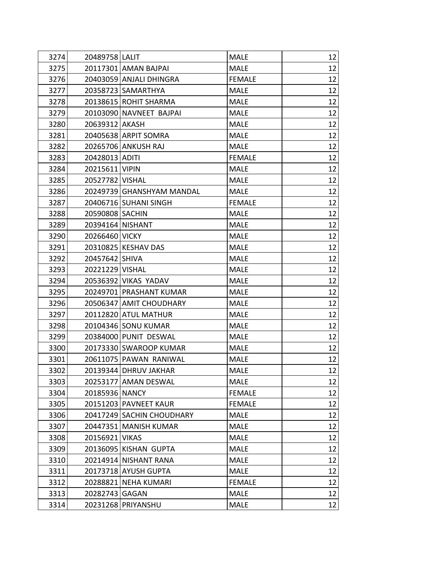| 3274 | 20489758 LALIT            | <b>MALE</b>   | 12 |
|------|---------------------------|---------------|----|
| 3275 | 20117301 AMAN BAJPAI      | <b>MALE</b>   | 12 |
| 3276 | 20403059 ANJALI DHINGRA   | <b>FEMALE</b> | 12 |
| 3277 | 20358723 SAMARTHYA        | <b>MALE</b>   | 12 |
| 3278 | 20138615 ROHIT SHARMA     | <b>MALE</b>   | 12 |
| 3279 | 20103090 NAVNEET BAJPAI   | <b>MALE</b>   | 12 |
| 3280 | 20639312 AKASH            | <b>MALE</b>   | 12 |
| 3281 | 20405638 ARPIT SOMRA      | <b>MALE</b>   | 12 |
| 3282 | 20265706 ANKUSH RAJ       | <b>MALE</b>   | 12 |
| 3283 | 20428013 ADITI            | <b>FEMALE</b> | 12 |
| 3284 | 20215611 VIPIN            | <b>MALE</b>   | 12 |
| 3285 | 20527782 VISHAL           | <b>MALE</b>   | 12 |
| 3286 | 20249739 GHANSHYAM MANDAL | <b>MALE</b>   | 12 |
| 3287 | 20406716 SUHANI SINGH     | <b>FEMALE</b> | 12 |
| 3288 | 20590808 SACHIN           | <b>MALE</b>   | 12 |
| 3289 | 20394164 NISHANT          | <b>MALE</b>   | 12 |
| 3290 | 20266460 VICKY            | <b>MALE</b>   | 12 |
| 3291 | 20310825 KESHAV DAS       | <b>MALE</b>   | 12 |
| 3292 | 20457642 SHIVA            | <b>MALE</b>   | 12 |
| 3293 | 20221229 VISHAL           | <b>MALE</b>   | 12 |
| 3294 | 20536392 VIKAS YADAV      | <b>MALE</b>   | 12 |
| 3295 | 20249701 PRASHANT KUMAR   | <b>MALE</b>   | 12 |
| 3296 | 20506347 AMIT CHOUDHARY   | <b>MALE</b>   | 12 |
| 3297 | 20112820 ATUL MATHUR      | <b>MALE</b>   | 12 |
| 3298 | 20104346 SONU KUMAR       | <b>MALE</b>   | 12 |
| 3299 | 20384000 PUNIT DESWAL     | <b>MALE</b>   | 12 |
| 3300 | 20173330 SWAROOP KUMAR    | <b>MALE</b>   | 12 |
| 3301 | 20611075 PAWAN RANIWAL    | <b>MALE</b>   | 12 |
| 3302 | 20139344 DHRUV JAKHAR     | <b>MALE</b>   | 12 |
| 3303 | 20253177 AMAN DESWAL      | <b>MALE</b>   | 12 |
| 3304 | 20185936 NANCY            | <b>FEMALE</b> | 12 |
| 3305 | 20151203 PAVNEET KAUR     | <b>FEMALE</b> | 12 |
| 3306 | 20417249 SACHIN CHOUDHARY | <b>MALE</b>   | 12 |
| 3307 | 20447351 MANISH KUMAR     | <b>MALE</b>   | 12 |
| 3308 | 20156921 VIKAS            | <b>MALE</b>   | 12 |
| 3309 | 20136095 KISHAN GUPTA     | <b>MALE</b>   | 12 |
| 3310 | 20214914 NISHANT RANA     | <b>MALE</b>   | 12 |
| 3311 | 20173718 AYUSH GUPTA      | <b>MALE</b>   | 12 |
| 3312 | 20288821 NEHA KUMARI      | <b>FEMALE</b> | 12 |
| 3313 | 20282743 GAGAN            | <b>MALE</b>   | 12 |
| 3314 | 20231268 PRIYANSHU        | <b>MALE</b>   | 12 |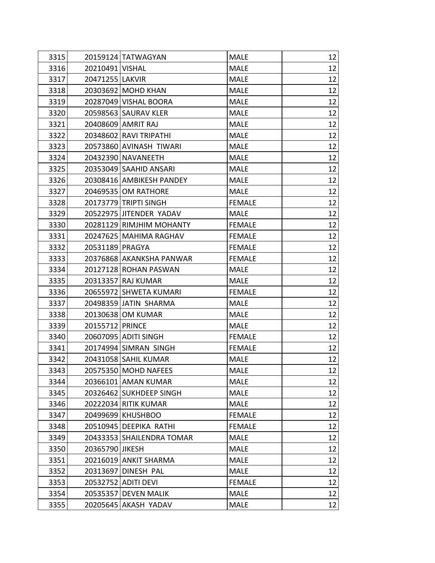| 3315 |                   | 20159124 TATWAGYAN        | <b>MALE</b>   | 12 |
|------|-------------------|---------------------------|---------------|----|
| 3316 | 20210491   VISHAL |                           | <b>MALE</b>   | 12 |
| 3317 | 20471255 LAKVIR   |                           | <b>MALE</b>   | 12 |
| 3318 |                   | 20303692 MOHD KHAN        | <b>MALE</b>   | 12 |
| 3319 |                   | 20287049 VISHAL BOORA     | <b>MALE</b>   | 12 |
| 3320 |                   | 20598563 SAURAV KLER      | <b>MALE</b>   | 12 |
| 3321 |                   | 20408609 AMRIT RAJ        | <b>MALE</b>   | 12 |
| 3322 |                   | 20348602 RAVI TRIPATHI    | <b>MALE</b>   | 12 |
| 3323 |                   | 20573860 AVINASH TIWARI   | <b>MALE</b>   | 12 |
| 3324 |                   | 20432390 NAVANEETH        | <b>MALE</b>   | 12 |
| 3325 |                   | 20353049 SAAHID ANSARI    | <b>MALE</b>   | 12 |
| 3326 |                   | 20308416 AMBIKESH PANDEY  | <b>MALE</b>   | 12 |
| 3327 |                   | 20469535 OM RATHORE       | <b>MALE</b>   | 12 |
| 3328 |                   | 20173779 TRIPTI SINGH     | <b>FEMALE</b> | 12 |
| 3329 |                   | 20522975 JITENDER YADAV   | <b>MALE</b>   | 12 |
| 3330 |                   | 20281129 RIMJHIM MOHANTY  | <b>FEMALE</b> | 12 |
| 3331 |                   | 20247625 MAHIMA RAGHAV    | <b>FEMALE</b> | 12 |
| 3332 | 20531189 PRAGYA   |                           | <b>FEMALE</b> | 12 |
| 3333 |                   | 20376868 AKANKSHA PANWAR  | <b>FEMALE</b> | 12 |
| 3334 |                   | 20127128 ROHAN PASWAN     | <b>MALE</b>   | 12 |
| 3335 |                   | 20313357 RAJ KUMAR        | <b>MALE</b>   | 12 |
| 3336 |                   | 20655972 SHWETA KUMARI    | <b>FEMALE</b> | 12 |
| 3337 |                   | 20498359 JATIN SHARMA     | <b>MALE</b>   | 12 |
| 3338 |                   | 20130638 OM KUMAR         | <b>MALE</b>   | 12 |
| 3339 | 20155712 PRINCE   |                           | <b>MALE</b>   | 12 |
| 3340 |                   | 20607095 ADITI SINGH      | <b>FEMALE</b> | 12 |
| 3341 |                   | 20174994 SIMRAN SINGH     | <b>FEMALE</b> | 12 |
| 3342 |                   | 20431058 SAHIL KUMAR      | <b>MALE</b>   | 12 |
| 3343 |                   | 20575350 MOHD NAFEES      | <b>MALE</b>   | 12 |
| 3344 |                   | 20366101 AMAN KUMAR       | <b>MALE</b>   | 12 |
| 3345 |                   | 20326462 SUKHDEEP SINGH   | <b>MALE</b>   | 12 |
| 3346 |                   | 20222034 RITIK KUMAR      | <b>MALE</b>   | 12 |
| 3347 |                   | 20499699 KHUSHBOO         | <b>FEMALE</b> | 12 |
| 3348 |                   | 20510945 DEEPIKA RATHI    | <b>FEMALE</b> | 12 |
| 3349 |                   | 20433353 SHAILENDRA TOMAR | <b>MALE</b>   | 12 |
| 3350 | 20365790 JIKESH   |                           | <b>MALE</b>   | 12 |
| 3351 |                   | 20216019 ANKIT SHARMA     | <b>MALE</b>   | 12 |
| 3352 |                   | 20313697 DINESH PAL       | <b>MALE</b>   | 12 |
| 3353 |                   | 20532752 ADITI DEVI       | <b>FEMALE</b> | 12 |
| 3354 |                   | 20535357 DEVEN MALIK      | <b>MALE</b>   | 12 |
| 3355 |                   | 20205645 AKASH YADAV      | <b>MALE</b>   | 12 |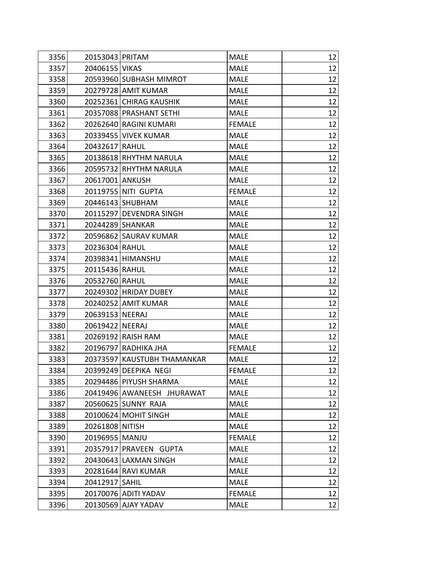| 3356 | 20153043 PRITAM |                             | <b>MALE</b>   | 12 |
|------|-----------------|-----------------------------|---------------|----|
| 3357 | 20406155 VIKAS  |                             | <b>MALE</b>   | 12 |
| 3358 |                 | 20593960 SUBHASH MIMROT     | <b>MALE</b>   | 12 |
| 3359 |                 | 20279728 AMIT KUMAR         | <b>MALE</b>   | 12 |
| 3360 |                 | 20252361 CHIRAG KAUSHIK     | <b>MALE</b>   | 12 |
| 3361 |                 | 20357088 PRASHANT SETHI     | <b>MALE</b>   | 12 |
| 3362 |                 | 20262640 RAGINI KUMARI      | <b>FEMALE</b> | 12 |
| 3363 |                 | 20339455 VIVEK KUMAR        | <b>MALE</b>   | 12 |
| 3364 | 20432617 RAHUL  |                             | <b>MALE</b>   | 12 |
| 3365 |                 | 20138618 RHYTHM NARULA      | <b>MALE</b>   | 12 |
| 3366 |                 | 20595732 RHYTHM NARULA      | <b>MALE</b>   | 12 |
| 3367 | 20617001 ANKUSH |                             | <b>MALE</b>   | 12 |
| 3368 |                 | 20119755 NITI GUPTA         | <b>FEMALE</b> | 12 |
| 3369 |                 | 20446143 SHUBHAM            | <b>MALE</b>   | 12 |
| 3370 |                 | 20115297 DEVENDRA SINGH     | <b>MALE</b>   | 12 |
| 3371 |                 | 20244289 SHANKAR            | <b>MALE</b>   | 12 |
| 3372 |                 | 20596862 SAURAV KUMAR       | <b>MALE</b>   | 12 |
| 3373 | 20236304 RAHUL  |                             | <b>MALE</b>   | 12 |
| 3374 |                 | 20398341 HIMANSHU           | <b>MALE</b>   | 12 |
| 3375 | 20115436 RAHUL  |                             | <b>MALE</b>   | 12 |
| 3376 | 20532760 RAHUL  |                             | <b>MALE</b>   | 12 |
| 3377 |                 | 20249302 HRIDAY DUBEY       | <b>MALE</b>   | 12 |
| 3378 |                 | 20240252 AMIT KUMAR         | <b>MALE</b>   | 12 |
| 3379 | 20639153 NEERAJ |                             | <b>MALE</b>   | 12 |
| 3380 | 20619422 NEERAJ |                             | <b>MALE</b>   | 12 |
| 3381 |                 | 20269192 RAISH RAM          | <b>MALE</b>   | 12 |
| 3382 |                 | 20196797 RADHIKA JHA        | <b>FEMALE</b> | 12 |
| 3383 |                 | 20373597 KAUSTUBH THAMANKAR | <b>MALE</b>   | 12 |
| 3384 |                 | 20399249 DEEPIKA NEGI       | <b>FEMALE</b> | 12 |
| 3385 |                 | 20294486 PIYUSH SHARMA      | <b>MALE</b>   | 12 |
| 3386 |                 | 20419496 AWANEESH JHURAWAT  | <b>MALE</b>   | 12 |
| 3387 |                 | 20560625 SUNNY RAJA         | <b>MALE</b>   | 12 |
| 3388 |                 | 20100624 MOHIT SINGH        | <b>MALE</b>   | 12 |
| 3389 | 20261808 NITISH |                             | <b>MALE</b>   | 12 |
| 3390 | 20196955 MANJU  |                             | <b>FEMALE</b> | 12 |
| 3391 |                 | 20357917 PRAVEEN GUPTA      | <b>MALE</b>   | 12 |
| 3392 |                 | 20430643 LAXMAN SINGH       | <b>MALE</b>   | 12 |
| 3393 |                 | 20281644 RAVI KUMAR         | <b>MALE</b>   | 12 |
| 3394 | 20412917 SAHIL  |                             | <b>MALE</b>   | 12 |
| 3395 |                 | 20170076 ADITI YADAV        | <b>FEMALE</b> | 12 |
| 3396 |                 | 20130569 AJAY YADAV         | <b>MALE</b>   | 12 |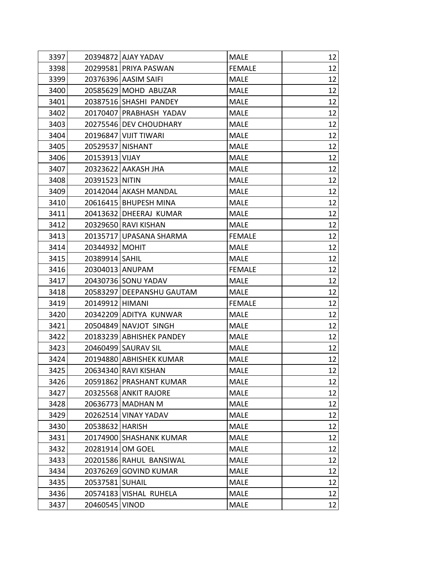| 3397 |                  | 20394872 AJAY YADAV       | <b>MALE</b>   | 12 |
|------|------------------|---------------------------|---------------|----|
| 3398 |                  | 20299581 PRIYA PASWAN     | <b>FEMALE</b> | 12 |
| 3399 |                  | 20376396 AASIM SAIFI      | <b>MALE</b>   | 12 |
| 3400 |                  | 20585629 MOHD ABUZAR      | <b>MALE</b>   | 12 |
| 3401 |                  | 20387516 SHASHI PANDEY    | <b>MALE</b>   | 12 |
| 3402 |                  | 20170407 PRABHASH YADAV   | <b>MALE</b>   | 12 |
| 3403 |                  | 20275546 DEV CHOUDHARY    | <b>MALE</b>   | 12 |
| 3404 |                  | 20196847 VIJIT TIWARI     | <b>MALE</b>   | 12 |
| 3405 | 20529537 NISHANT |                           | <b>MALE</b>   | 12 |
| 3406 | 20153913 VIJAY   |                           | <b>MALE</b>   | 12 |
| 3407 |                  | 20323622 AAKASH JHA       | <b>MALE</b>   | 12 |
| 3408 | 20391523 NITIN   |                           | <b>MALE</b>   | 12 |
| 3409 |                  | 20142044 AKASH MANDAL     | <b>MALE</b>   | 12 |
| 3410 |                  | 20616415 BHUPESH MINA     | <b>MALE</b>   | 12 |
| 3411 |                  | 20413632 DHEERAJ KUMAR    | <b>MALE</b>   | 12 |
| 3412 |                  | 20329650 RAVI KISHAN      | <b>MALE</b>   | 12 |
| 3413 |                  | 20135717 UPASANA SHARMA   | <b>FEMALE</b> | 12 |
| 3414 | 20344932 MOHIT   |                           | <b>MALE</b>   | 12 |
| 3415 | 20389914   SAHIL |                           | <b>MALE</b>   | 12 |
| 3416 | 20304013 ANUPAM  |                           | <b>FEMALE</b> | 12 |
| 3417 |                  | 20430736 SONU YADAV       | <b>MALE</b>   | 12 |
| 3418 |                  | 20583297 DEEPANSHU GAUTAM | <b>MALE</b>   | 12 |
| 3419 | 20149912 HIMANI  |                           | <b>FEMALE</b> | 12 |
| 3420 |                  | 20342209 ADITYA KUNWAR    | <b>MALE</b>   | 12 |
| 3421 |                  | 20504849 NAVJOT SINGH     | <b>MALE</b>   | 12 |
| 3422 |                  | 20183239 ABHISHEK PANDEY  | <b>MALE</b>   | 12 |
| 3423 |                  | 20460499 SAURAV SIL       | <b>MALE</b>   | 12 |
| 3424 |                  | 20194880 ABHISHEK KUMAR   | <b>MALE</b>   | 12 |
| 3425 |                  | 20634340 RAVI KISHAN      | <b>MALE</b>   | 12 |
| 3426 |                  | 20591862 PRASHANT KUMAR   | <b>MALE</b>   | 12 |
| 3427 |                  | 20325568 ANKIT RAJORE     | <b>MALE</b>   | 12 |
| 3428 |                  | 20636773 MADHAN M         | <b>MALE</b>   | 12 |
| 3429 |                  | 20262514 VINAY YADAV      | <b>MALE</b>   | 12 |
| 3430 | 20538632 HARISH  |                           | <b>MALE</b>   | 12 |
| 3431 |                  | 20174900 SHASHANK KUMAR   | <b>MALE</b>   | 12 |
| 3432 | 20281914 OM GOEL |                           | <b>MALE</b>   | 12 |
| 3433 |                  | 20201586 RAHUL BANSIWAL   | <b>MALE</b>   | 12 |
| 3434 |                  | 20376269 GOVIND KUMAR     | <b>MALE</b>   | 12 |
| 3435 | 20537581 SUHAIL  |                           | <b>MALE</b>   | 12 |
| 3436 |                  | 20574183 VISHAL RUHELA    | <b>MALE</b>   | 12 |
| 3437 | 20460545 VINOD   |                           | <b>MALE</b>   | 12 |